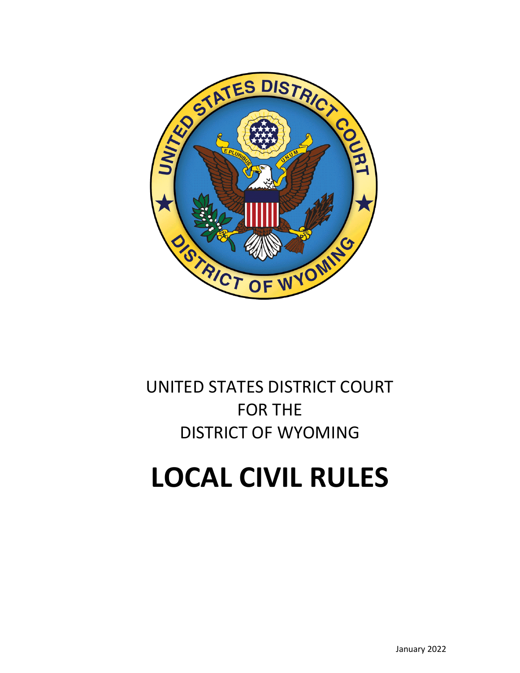

# UNITED STATES DISTRICT COURT FOR THE DISTRICT OF WYOMING

# **LOCAL CIVIL RULES**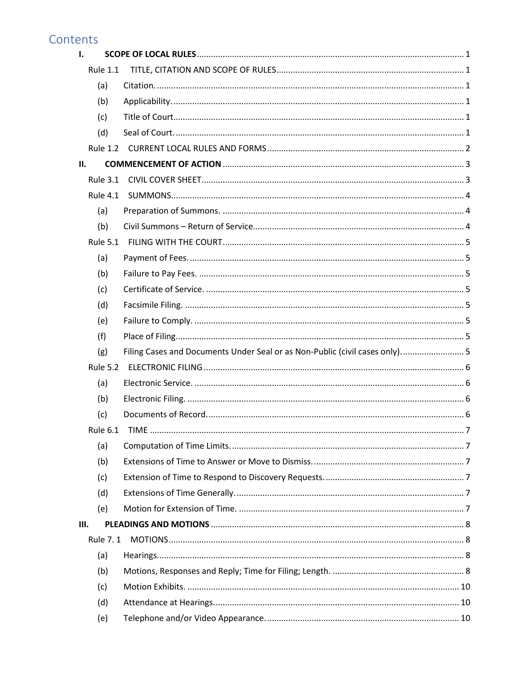# Contents

| $\mathbf{I}$ . |                 |                                                                             |  |
|----------------|-----------------|-----------------------------------------------------------------------------|--|
|                | <b>Rule 1.1</b> |                                                                             |  |
|                | (a)             |                                                                             |  |
|                | (b)             |                                                                             |  |
|                | (c)             |                                                                             |  |
|                | (d)             |                                                                             |  |
|                |                 |                                                                             |  |
| II.            |                 |                                                                             |  |
|                | <b>Rule 3.1</b> |                                                                             |  |
|                | <b>Rule 4.1</b> |                                                                             |  |
|                | (a)             |                                                                             |  |
|                | (b)             |                                                                             |  |
|                | <b>Rule 5.1</b> |                                                                             |  |
|                | (a)             |                                                                             |  |
|                | (b)             |                                                                             |  |
|                | (c)             |                                                                             |  |
|                | (d)             |                                                                             |  |
|                | (e)             |                                                                             |  |
|                | (f)             |                                                                             |  |
|                | (g)             | Filing Cases and Documents Under Seal or as Non-Public (civil cases only) 5 |  |
|                | <b>Rule 5.2</b> |                                                                             |  |
|                | (a)             |                                                                             |  |
|                | (b)             |                                                                             |  |
|                | (c)             |                                                                             |  |
|                | Rule 6.1 TIME   |                                                                             |  |
|                | (a)             |                                                                             |  |
|                | (b)             |                                                                             |  |
|                | (c)             |                                                                             |  |
|                | (d)             |                                                                             |  |
|                | (e)             |                                                                             |  |
| III.           |                 |                                                                             |  |
|                | Rule 7.1        |                                                                             |  |
|                | (a)             |                                                                             |  |
|                | (b)             |                                                                             |  |
|                | (c)             |                                                                             |  |
|                | (d)             |                                                                             |  |
|                | (e)             |                                                                             |  |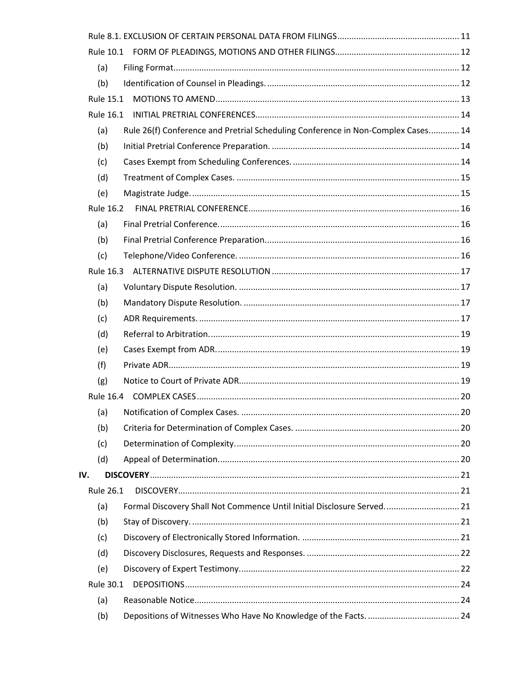| (a)              |                                                                                  |  |
|------------------|----------------------------------------------------------------------------------|--|
| (b)              |                                                                                  |  |
| <b>Rule 15.1</b> |                                                                                  |  |
|                  |                                                                                  |  |
| (a)              | Rule 26(f) Conference and Pretrial Scheduling Conference in Non-Complex Cases 14 |  |
| (b)              |                                                                                  |  |
| (c)              |                                                                                  |  |
| (d)              |                                                                                  |  |
| (e)              |                                                                                  |  |
| Rule 16.2        |                                                                                  |  |
| (a)              |                                                                                  |  |
| (b)              |                                                                                  |  |
| (c)              |                                                                                  |  |
|                  |                                                                                  |  |
| (a)              |                                                                                  |  |
| (b)              |                                                                                  |  |
| (c)              |                                                                                  |  |
| (d)              |                                                                                  |  |
| (e)              |                                                                                  |  |
| (f)              |                                                                                  |  |
| (g)              |                                                                                  |  |
|                  |                                                                                  |  |
| (a)              |                                                                                  |  |
| (b)              |                                                                                  |  |
| (c)              |                                                                                  |  |
| (d)              |                                                                                  |  |
| IV.              |                                                                                  |  |
| <b>Rule 26.1</b> |                                                                                  |  |
| (a)              | Formal Discovery Shall Not Commence Until Initial Disclosure Served 21           |  |
| (b)              |                                                                                  |  |
| (c)              |                                                                                  |  |
| (d)              |                                                                                  |  |
| (e)              |                                                                                  |  |
| Rule 30.1        |                                                                                  |  |
| (a)              |                                                                                  |  |
| (b)              |                                                                                  |  |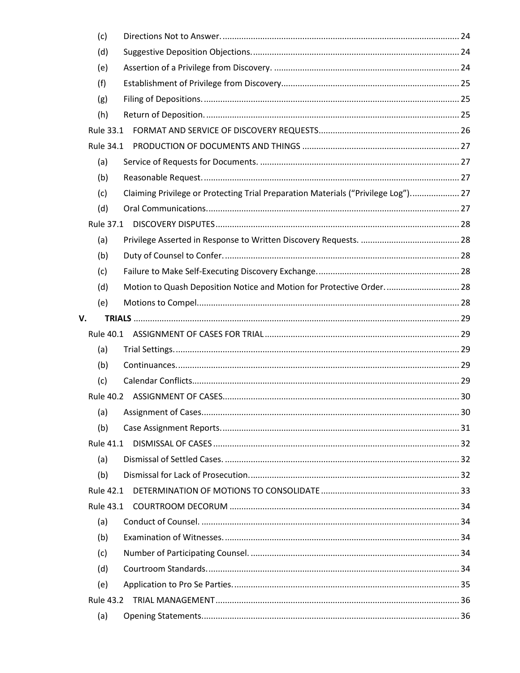| (c)              |                                                                                   |  |
|------------------|-----------------------------------------------------------------------------------|--|
| (d)              |                                                                                   |  |
| (e)              |                                                                                   |  |
| (f)              |                                                                                   |  |
| (g)              |                                                                                   |  |
| (h)              |                                                                                   |  |
| <b>Rule 33.1</b> |                                                                                   |  |
| <b>Rule 34.1</b> |                                                                                   |  |
| (a)              |                                                                                   |  |
| (b)              |                                                                                   |  |
| (c)              | Claiming Privilege or Protecting Trial Preparation Materials ("Privilege Log") 27 |  |
| (d)              |                                                                                   |  |
| Rule 37.1        |                                                                                   |  |
| (a)              |                                                                                   |  |
| (b)              |                                                                                   |  |
| (c)              |                                                                                   |  |
| (d)              | Motion to Quash Deposition Notice and Motion for Protective Order 28              |  |
| (e)              |                                                                                   |  |
| V.               |                                                                                   |  |
| Rule 40.1        |                                                                                   |  |
| (a)              |                                                                                   |  |
| (b)              |                                                                                   |  |
| (c)              |                                                                                   |  |
|                  |                                                                                   |  |
|                  |                                                                                   |  |
| (b)              |                                                                                   |  |
| <b>Rule 41.1</b> |                                                                                   |  |
| (a)              |                                                                                   |  |
| (b)              |                                                                                   |  |
| <b>Rule 42.1</b> |                                                                                   |  |
| <b>Rule 43.1</b> |                                                                                   |  |
| (a)              |                                                                                   |  |
| (b)              |                                                                                   |  |
| (c)              |                                                                                   |  |
| (d)              |                                                                                   |  |
| (e)              |                                                                                   |  |
|                  |                                                                                   |  |
| (a)              |                                                                                   |  |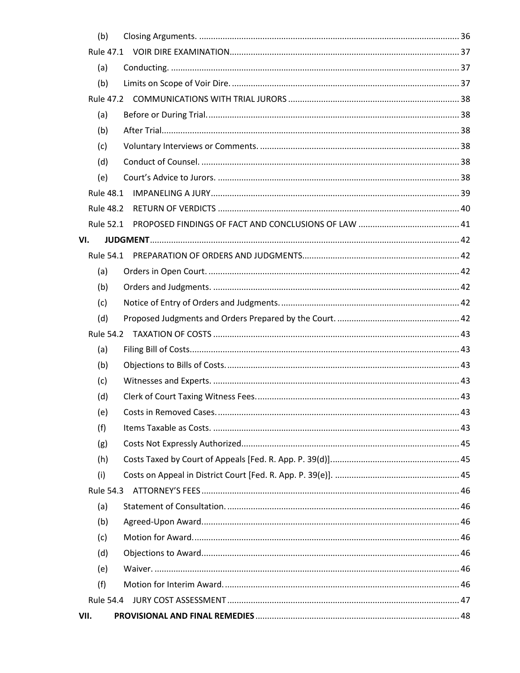| (b)              |  |
|------------------|--|
|                  |  |
| (a)              |  |
| (b)              |  |
|                  |  |
| (a)              |  |
| (b)              |  |
| (c)              |  |
| (d)              |  |
| (e)              |  |
| <b>Rule 48.1</b> |  |
| <b>Rule 48.2</b> |  |
| <b>Rule 52.1</b> |  |
| VI.              |  |
|                  |  |
| (a)              |  |
| (b)              |  |
| (c)              |  |
| (d)              |  |
|                  |  |
| (a)              |  |
| (b)              |  |
| (c)              |  |
| (d)              |  |
| (e)              |  |
| (f)              |  |
| (g)              |  |
| (h)              |  |
| (i)              |  |
| Rule 54.3        |  |
| (a)              |  |
| (b)              |  |
| (c)              |  |
| (d)              |  |
| (e)              |  |
| (f)              |  |
|                  |  |
| VII.             |  |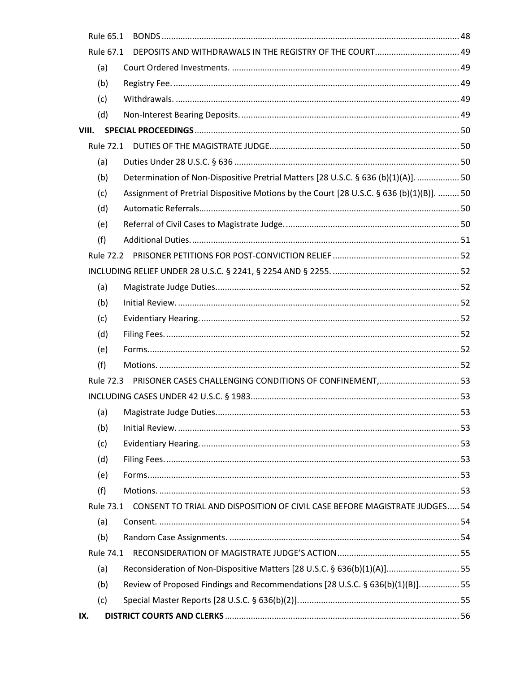| Rule 65.1 |                                                                                          |  |
|-----------|------------------------------------------------------------------------------------------|--|
| Rule 67.1 |                                                                                          |  |
| (a)       |                                                                                          |  |
| (b)       |                                                                                          |  |
| (c)       |                                                                                          |  |
| (d)       |                                                                                          |  |
| VIII.     |                                                                                          |  |
|           |                                                                                          |  |
| (a)       |                                                                                          |  |
| (b)       | Determination of Non-Dispositive Pretrial Matters [28 U.S.C. § 636 (b)(1)(A)].  50       |  |
| (c)       | Assignment of Pretrial Dispositive Motions by the Court [28 U.S.C. § 636 (b)(1)(B)].  50 |  |
| (d)       |                                                                                          |  |
| (e)       |                                                                                          |  |
| (f)       |                                                                                          |  |
|           |                                                                                          |  |
|           |                                                                                          |  |
| (a)       |                                                                                          |  |
| (b)       |                                                                                          |  |
| (c)       |                                                                                          |  |
| (d)       |                                                                                          |  |
| (e)       |                                                                                          |  |
| (f)       |                                                                                          |  |
|           | Rule 72.3 PRISONER CASES CHALLENGING CONDITIONS OF CONFINEMENT,  53                      |  |
|           |                                                                                          |  |
| (a)       |                                                                                          |  |
| (b)       |                                                                                          |  |
| (c)       |                                                                                          |  |
| (d)       |                                                                                          |  |
| (e)       |                                                                                          |  |
| (f)       |                                                                                          |  |
| Rule 73.1 | CONSENT TO TRIAL AND DISPOSITION OF CIVIL CASE BEFORE MAGISTRATE JUDGES 54               |  |
| (a)       |                                                                                          |  |
| (b)       |                                                                                          |  |
|           |                                                                                          |  |
| (a)       | Reconsideration of Non-Dispositive Matters [28 U.S.C. § 636(b)(1)(A)] 55                 |  |
| (b)       | Review of Proposed Findings and Recommendations [28 U.S.C. § 636(b)(1)(B)] 55            |  |
| (c)       |                                                                                          |  |
| IX.       |                                                                                          |  |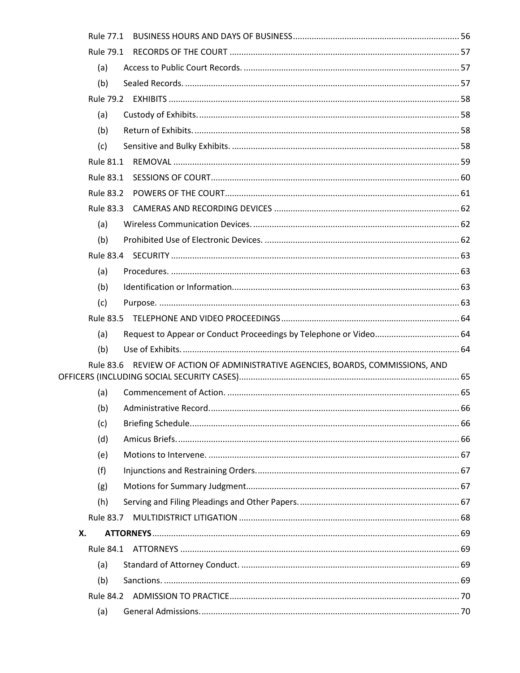| Rule 77.1        |                                                                                 |  |
|------------------|---------------------------------------------------------------------------------|--|
| Rule 79.1        |                                                                                 |  |
| (a)              |                                                                                 |  |
| (b)              |                                                                                 |  |
|                  |                                                                                 |  |
| (a)              |                                                                                 |  |
| (b)              |                                                                                 |  |
| (c)              |                                                                                 |  |
| <b>Rule 81.1</b> |                                                                                 |  |
| Rule 83.1        |                                                                                 |  |
| <b>Rule 83.2</b> |                                                                                 |  |
| Rule 83.3        |                                                                                 |  |
| (a)              |                                                                                 |  |
| (b)              |                                                                                 |  |
|                  |                                                                                 |  |
| (a)              |                                                                                 |  |
| (b)              |                                                                                 |  |
| (c)              |                                                                                 |  |
|                  |                                                                                 |  |
|                  |                                                                                 |  |
| (a)              |                                                                                 |  |
| (b)              |                                                                                 |  |
|                  | Rule 83.6 REVIEW OF ACTION OF ADMINISTRATIVE AGENCIES, BOARDS, COMMISSIONS, AND |  |
|                  |                                                                                 |  |
| (a)              |                                                                                 |  |
| (b)              |                                                                                 |  |
| (c)              |                                                                                 |  |
| (d)              |                                                                                 |  |
| (e)<br>(f)       |                                                                                 |  |
|                  |                                                                                 |  |
| (g)<br>(h)       |                                                                                 |  |
|                  |                                                                                 |  |
| Х.               |                                                                                 |  |
| Rule 84.1        |                                                                                 |  |
| (a)              |                                                                                 |  |
| (b)              |                                                                                 |  |
|                  |                                                                                 |  |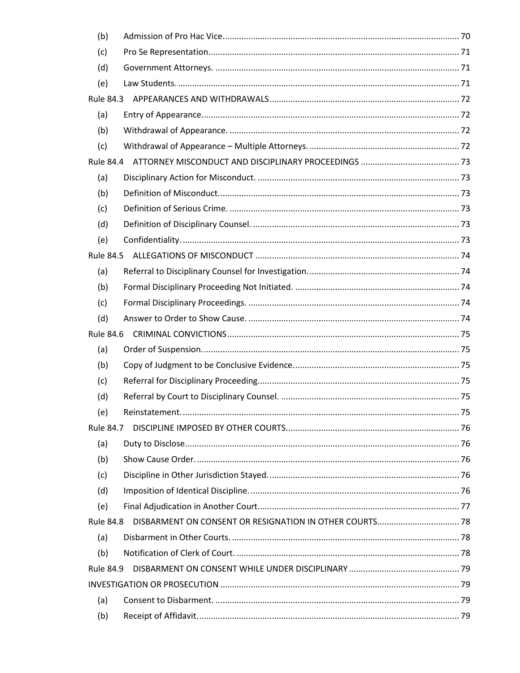| (b)              |                                                         |  |
|------------------|---------------------------------------------------------|--|
| (c)              |                                                         |  |
| (d)              |                                                         |  |
| (e)              |                                                         |  |
| Rule 84.3        |                                                         |  |
| (a)              |                                                         |  |
| (b)              |                                                         |  |
| (c)              |                                                         |  |
|                  |                                                         |  |
| (a)              |                                                         |  |
| (b)              |                                                         |  |
| (c)              |                                                         |  |
| (d)              |                                                         |  |
| (e)              |                                                         |  |
|                  |                                                         |  |
| (a)              |                                                         |  |
| (b)              |                                                         |  |
| (c)              |                                                         |  |
| (d)              |                                                         |  |
| Rule 84.6        |                                                         |  |
| (a)              |                                                         |  |
| (b)              |                                                         |  |
| (c)              |                                                         |  |
| (d)              |                                                         |  |
| (e)              |                                                         |  |
| <b>Rule 84.7</b> |                                                         |  |
| (a)              |                                                         |  |
| (b)              |                                                         |  |
| (c)              |                                                         |  |
| (d)              |                                                         |  |
| (e)              |                                                         |  |
| <b>Rule 84.8</b> | DISBARMENT ON CONSENT OR RESIGNATION IN OTHER COURTS 78 |  |
| (a)              |                                                         |  |
| (b)              |                                                         |  |
| <b>Rule 84.9</b> |                                                         |  |
|                  |                                                         |  |
| (a)              |                                                         |  |
| (b)              |                                                         |  |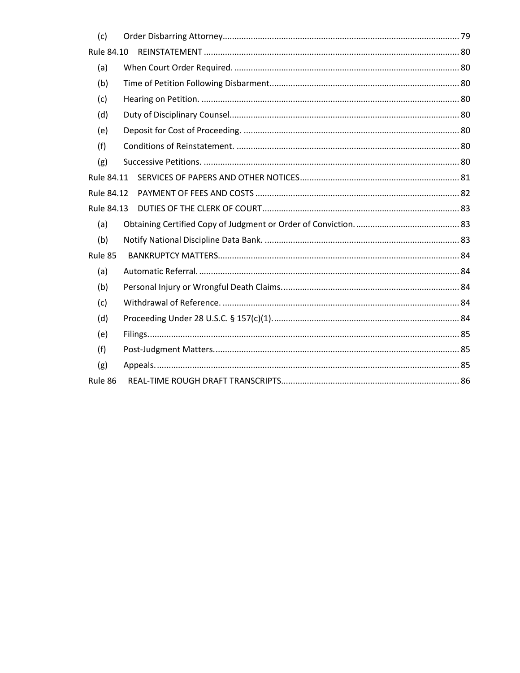| (c)        |  |
|------------|--|
| Rule 84.10 |  |
| (a)        |  |
| (b)        |  |
| (c)        |  |
| (d)        |  |
| (e)        |  |
| (f)        |  |
| (g)        |  |
| Rule 84.11 |  |
| Rule 84.12 |  |
| Rule 84.13 |  |
| (a)        |  |
| (b)        |  |
| Rule 85    |  |
| (a)        |  |
| (b)        |  |
| (c)        |  |
| (d)        |  |
| (e)        |  |
| (f)        |  |
| (g)        |  |
| Rule 86    |  |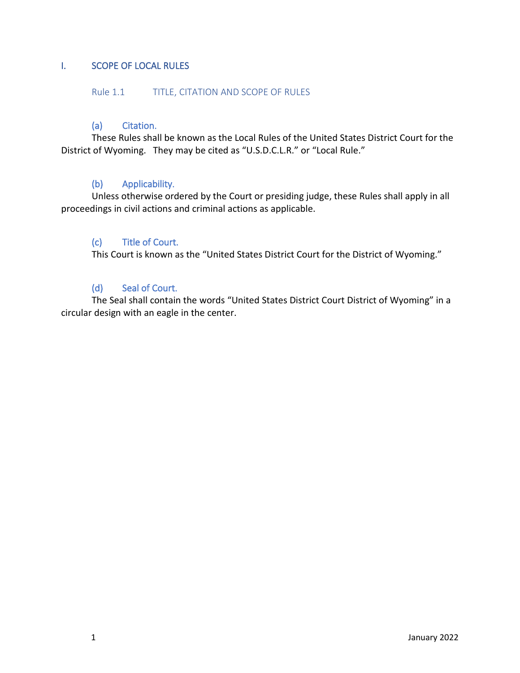# <span id="page-9-0"></span>I. SCOPE OF LOCAL RULES

#### <span id="page-9-1"></span>Rule 1.1 TITLE, CITATION AND SCOPE OF RULES

#### <span id="page-9-2"></span>(a) Citation.

These Rules shall be known as the Local Rules of the United States District Court for the District of Wyoming. They may be cited as "U.S.D.C.L.R." or "Local Rule."

#### <span id="page-9-3"></span>(b) Applicability.

Unless otherwise ordered by the Court or presiding judge, these Rules shall apply in all proceedings in civil actions and criminal actions as applicable.

#### <span id="page-9-4"></span>(c) Title of Court.

This Court is known as the "United States District Court for the District of Wyoming."

# <span id="page-9-5"></span>(d) Seal of Court.

The Seal shall contain the words "United States District Court District of Wyoming" in a circular design with an eagle in the center.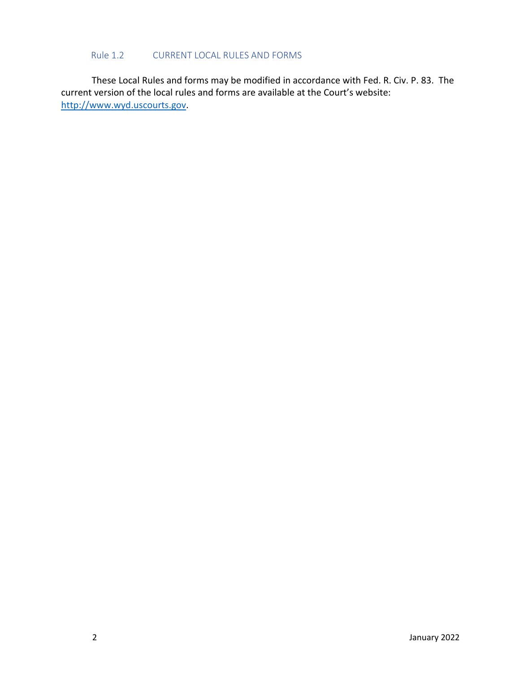#### Rule 1.2 CURRENT LOCAL RULES AND FORMS

<span id="page-10-0"></span>These Local Rules and forms may be modified in accordance with Fed. R. Civ. P. 83. The current version of the local rules and forms are available at the Court's website: [http://www.wyd.uscourts.gov.](http://www.wyd.uscourts.gov/)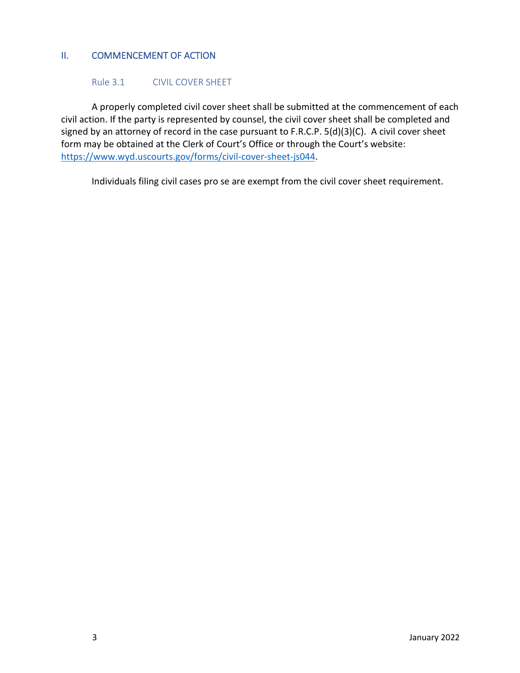# <span id="page-11-0"></span>II. COMMENCEMENT OF ACTION

#### <span id="page-11-1"></span>Rule 3.1 CIVIL COVER SHEET

A properly completed civil cover sheet shall be submitted at the commencement of each civil action. If the party is represented by counsel, the civil cover sheet shall be completed and signed by an attorney of record in the case pursuant to F.R.C.P. 5(d)(3)(C). A civil cover sheet form may be obtained at the Clerk of Court's Office or through the Court's website: [https://www.wyd.uscourts.gov/forms/civil-cover-sheet-js044.](https://www.wyd.uscourts.gov/forms/civil-cover-sheet-js044)

Individuals filing civil cases pro se are exempt from the civil cover sheet requirement.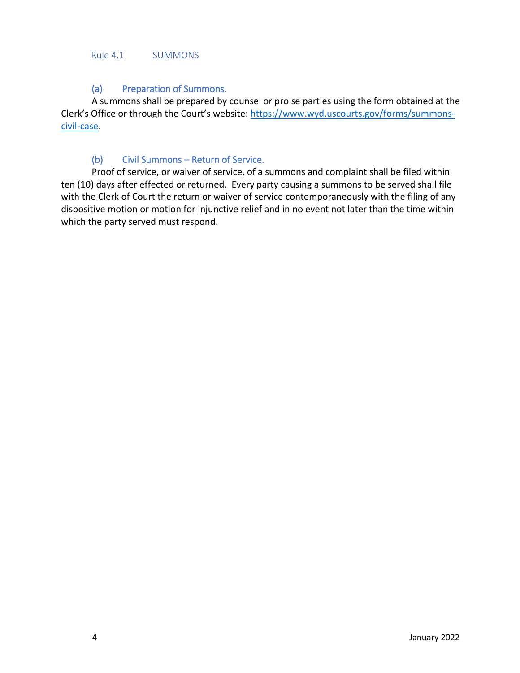#### <span id="page-12-0"></span>Rule 4.1 SUMMONS

#### <span id="page-12-1"></span>(a) Preparation of Summons.

A summons shall be prepared by counsel or pro se parties using the form obtained at the Clerk's Office or through the Court's website: [https://www.wyd.uscourts.gov/forms/summons](https://www.wyd.uscourts.gov/forms/summons-civil-case)[civil-case.](https://www.wyd.uscourts.gov/forms/summons-civil-case)

# <span id="page-12-2"></span>(b) Civil Summons – Return of Service.

Proof of service, or waiver of service, of a summons and complaint shall be filed within ten (10) days after effected or returned. Every party causing a summons to be served shall file with the Clerk of Court the return or waiver of service contemporaneously with the filing of any dispositive motion or motion for injunctive relief and in no event not later than the time within which the party served must respond.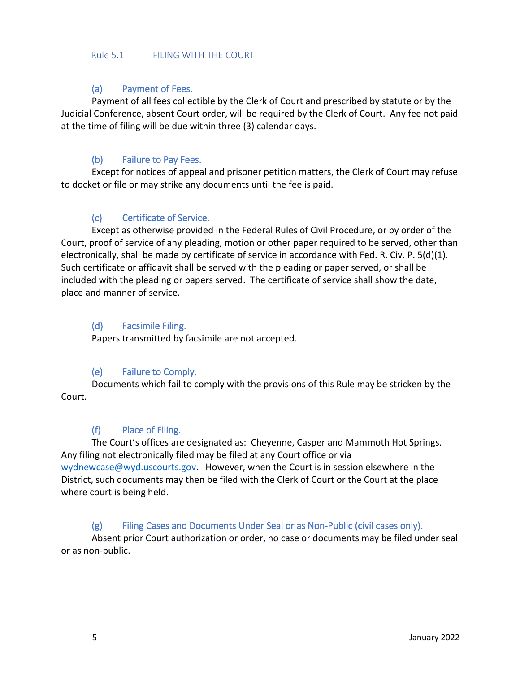#### <span id="page-13-0"></span>Rule 5.1 FILING WITH THE COURT

# <span id="page-13-1"></span>(a) Payment of Fees.

Payment of all fees collectible by the Clerk of Court and prescribed by statute or by the Judicial Conference, absent Court order, will be required by the Clerk of Court. Any fee not paid at the time of filing will be due within three (3) calendar days.

# <span id="page-13-2"></span>(b) Failure to Pay Fees.

Except for notices of appeal and prisoner petition matters, the Clerk of Court may refuse to docket or file or may strike any documents until the fee is paid.

# <span id="page-13-3"></span>(c) Certificate of Service.

Except as otherwise provided in the Federal Rules of Civil Procedure, or by order of the Court, proof of service of any pleading, motion or other paper required to be served, other than electronically, shall be made by certificate of service in accordance with Fed. R. Civ. P. 5(d)(1). Such certificate or affidavit shall be served with the pleading or paper served, or shall be included with the pleading or papers served. The certificate of service shall show the date, place and manner of service.

# <span id="page-13-4"></span>(d) Facsimile Filing.

Papers transmitted by facsimile are not accepted.

# <span id="page-13-5"></span>(e) Failure to Comply.

Documents which fail to comply with the provisions of this Rule may be stricken by the Court.

# <span id="page-13-6"></span>(f) Place of Filing.

The Court's offices are designated as: Cheyenne, Casper and Mammoth Hot Springs. Any filing not electronically filed may be filed at any Court office or via [wydnewcase@wyd.uscourts.gov.](mailto:wydnewcase@wyd.uscourts.gov) However, when the Court is in session elsewhere in the District, such documents may then be filed with the Clerk of Court or the Court at the place where court is being held.

# <span id="page-13-7"></span>(g) Filing Cases and Documents Under Seal or as Non-Public (civil cases only).

Absent prior Court authorization or order, no case or documents may be filed under seal or as non-public.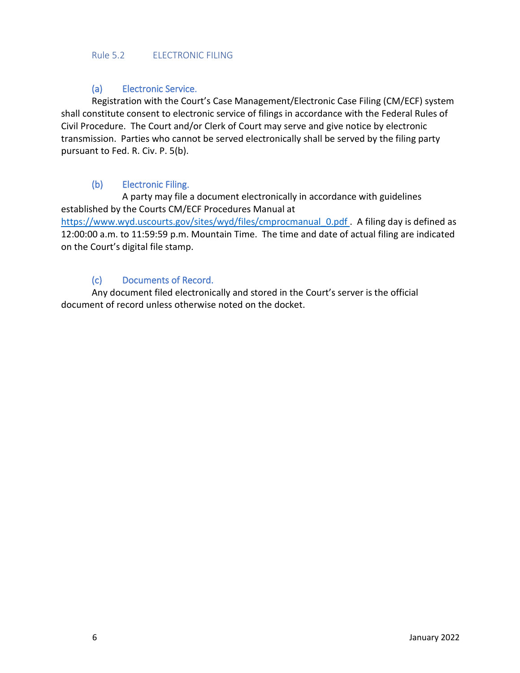#### <span id="page-14-0"></span>Rule 5.2 ELECTRONIC FILING

# <span id="page-14-1"></span>(a) Electronic Service.

Registration with the Court's Case Management/Electronic Case Filing (CM/ECF) system shall constitute consent to electronic service of filings in accordance with the Federal Rules of Civil Procedure. The Court and/or Clerk of Court may serve and give notice by electronic transmission. Parties who cannot be served electronically shall be served by the filing party pursuant to Fed. R. Civ. P. 5(b).

# <span id="page-14-2"></span>(b) Electronic Filing.

A party may file a document electronically in accordance with guidelines established by the Courts CM/ECF Procedures Manual at [https://www.wyd.uscourts.gov/sites/wyd/files/cmprocmanual\\_0.pdf](https://www.wyd.uscourts.gov/sites/wyd/files/cmprocmanual_0.pdf) . A filing day is defined as 12:00:00 a.m. to 11:59:59 p.m. Mountain Time. The time and date of actual filing are indicated on the Court's digital file stamp.

# <span id="page-14-3"></span>(c) Documents of Record.

Any document filed electronically and stored in the Court's server is the official document of record unless otherwise noted on the docket.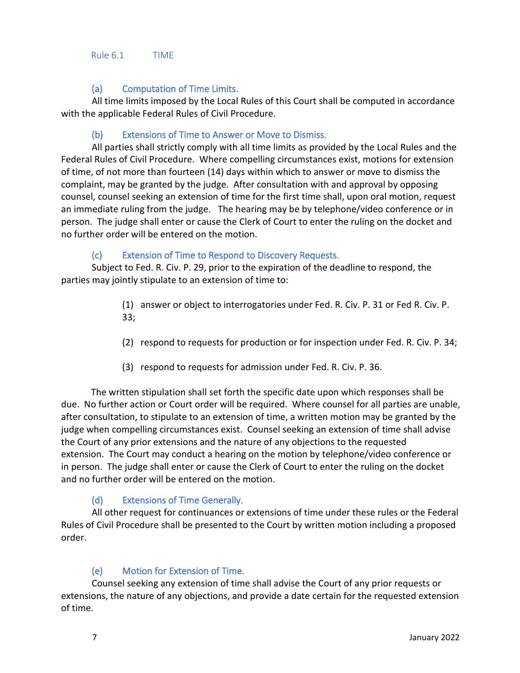<span id="page-15-0"></span>Rule 6.1 TIME

# <span id="page-15-1"></span>(a) Computation of Time Limits.

All time limits imposed by the Local Rules of this Court shall be computed in accordance with the applicable Federal Rules of Civil Procedure.

# <span id="page-15-2"></span>(b) Extensions of Time to Answer or Move to Dismiss.

All parties shall strictly comply with all time limits as provided by the Local Rules and the Federal Rules of Civil Procedure. Where compelling circumstances exist, motions for extension of time, of not more than fourteen (14) days within which to answer or move to dismiss the complaint, may be granted by the judge. After consultation with and approval by opposing counsel, counsel seeking an extension of time for the first time shall, upon oral motion, request an immediate ruling from the judge. The hearing may be by telephone/video conference or in person. The judge shall enter or cause the Clerk of Court to enter the ruling on the docket and no further order will be entered on the motion.

# <span id="page-15-3"></span>(c) Extension of Time to Respond to Discovery Requests.

Subject to Fed. R. Civ. P. 29, prior to the expiration of the deadline to respond, the parties may jointly stipulate to an extension of time to:

- (1) answer or object to interrogatories under Fed. R. Civ. P. 31 or Fed R. Civ. P. 33;
- (2) respond to requests for production or for inspection under Fed. R. Civ. P. 34;
- (3) respond to requests for admission under Fed. R. Civ. P. 36.

The written stipulation shall set forth the specific date upon which responses shall be due. No further action or Court order will be required. Where counsel for all parties are unable, after consultation, to stipulate to an extension of time, a written motion may be granted by the judge when compelling circumstances exist. Counsel seeking an extension of time shall advise the Court of any prior extensions and the nature of any objections to the requested extension. The Court may conduct a hearing on the motion by telephone/video conference or in person. The judge shall enter or cause the Clerk of Court to enter the ruling on the docket and no further order will be entered on the motion.

# <span id="page-15-4"></span>(d) Extensions of Time Generally.

All other request for continuances or extensions of time under these rules or the Federal Rules of Civil Procedure shall be presented to the Court by written motion including a proposed order.

# <span id="page-15-5"></span>(e) Motion for Extension of Time.

Counsel seeking any extension of time shall advise the Court of any prior requests or extensions, the nature of any objections, and provide a date certain for the requested extension of time.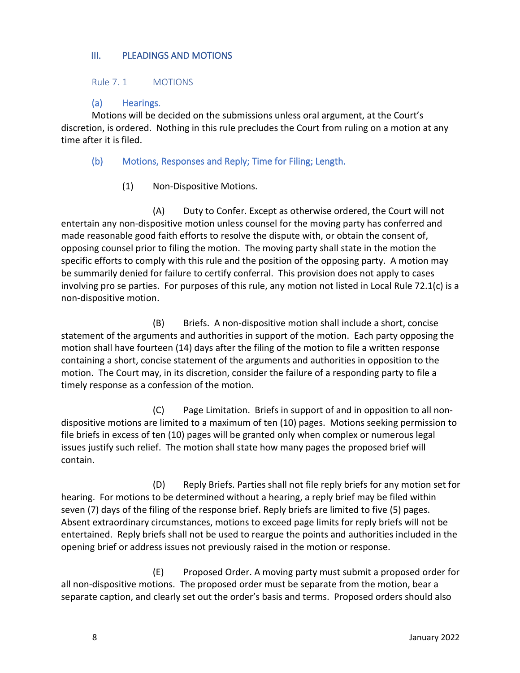#### <span id="page-16-0"></span>III. PLEADINGS AND MOTIONS

<span id="page-16-1"></span>Rule 7. 1 MOTIONS

<span id="page-16-2"></span>(a) Hearings.

Motions will be decided on the submissions unless oral argument, at the Court's discretion, is ordered. Nothing in this rule precludes the Court from ruling on a motion at any time after it is filed.

<span id="page-16-3"></span>(b) Motions, Responses and Reply; Time for Filing; Length.

(1) Non-Dispositive Motions.

(A) Duty to Confer. Except as otherwise ordered, the Court will not entertain any non-dispositive motion unless counsel for the moving party has conferred and made reasonable good faith efforts to resolve the dispute with, or obtain the consent of, opposing counsel prior to filing the motion. The moving party shall state in the motion the specific efforts to comply with this rule and the position of the opposing party. A motion may be summarily denied for failure to certify conferral. This provision does not apply to cases involving pro se parties. For purposes of this rule, any motion not listed in Local Rule 72.1(c) is a non-dispositive motion.

(B) Briefs. A non-dispositive motion shall include a short, concise statement of the arguments and authorities in support of the motion. Each party opposing the motion shall have fourteen (14) days after the filing of the motion to file a written response containing a short, concise statement of the arguments and authorities in opposition to the motion. The Court may, in its discretion, consider the failure of a responding party to file a timely response as a confession of the motion.

(C) Page Limitation. Briefs in support of and in opposition to all nondispositive motions are limited to a maximum of ten (10) pages. Motions seeking permission to file briefs in excess of ten (10) pages will be granted only when complex or numerous legal issues justify such relief. The motion shall state how many pages the proposed brief will contain.

(D) Reply Briefs. Parties shall not file reply briefs for any motion set for hearing. For motions to be determined without a hearing, a reply brief may be filed within seven (7) days of the filing of the response brief. Reply briefs are limited to five (5) pages. Absent extraordinary circumstances, motions to exceed page limits for reply briefs will not be entertained. Reply briefs shall not be used to reargue the points and authorities included in the opening brief or address issues not previously raised in the motion or response.

(E) Proposed Order. A moving party must submit a proposed order for all non-dispositive motions. The proposed order must be separate from the motion, bear a separate caption, and clearly set out the order's basis and terms. Proposed orders should also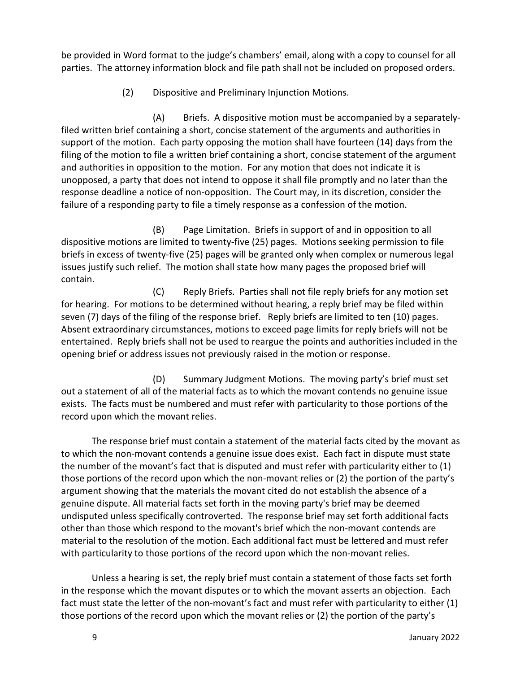be provided in Word format to the judge's chambers' email, along with a copy to counsel for all parties. The attorney information block and file path shall not be included on proposed orders.

(2) Dispositive and Preliminary Injunction Motions.

(A) Briefs. A dispositive motion must be accompanied by a separatelyfiled written brief containing a short, concise statement of the arguments and authorities in support of the motion. Each party opposing the motion shall have fourteen (14) days from the filing of the motion to file a written brief containing a short, concise statement of the argument and authorities in opposition to the motion. For any motion that does not indicate it is unopposed, a party that does not intend to oppose it shall file promptly and no later than the response deadline a notice of non-opposition. The Court may, in its discretion, consider the failure of a responding party to file a timely response as a confession of the motion.

(B) Page Limitation. Briefs in support of and in opposition to all dispositive motions are limited to twenty-five (25) pages. Motions seeking permission to file briefs in excess of twenty-five (25) pages will be granted only when complex or numerous legal issues justify such relief. The motion shall state how many pages the proposed brief will contain.

(C) Reply Briefs. Parties shall not file reply briefs for any motion set for hearing. For motions to be determined without hearing, a reply brief may be filed within seven (7) days of the filing of the response brief. Reply briefs are limited to ten (10) pages. Absent extraordinary circumstances, motions to exceed page limits for reply briefs will not be entertained. Reply briefs shall not be used to reargue the points and authorities included in the opening brief or address issues not previously raised in the motion or response.

(D) Summary Judgment Motions. The moving party's brief must set out a statement of all of the material facts as to which the movant contends no genuine issue exists. The facts must be numbered and must refer with particularity to those portions of the record upon which the movant relies.

The response brief must contain a statement of the material facts cited by the movant as to which the non-movant contends a genuine issue does exist. Each fact in dispute must state the number of the movant's fact that is disputed and must refer with particularity either to (1) those portions of the record upon which the non-movant relies or (2) the portion of the party's argument showing that the materials the movant cited do not establish the absence of a genuine dispute. All material facts set forth in the moving party's brief may be deemed undisputed unless specifically controverted. The response brief may set forth additional facts other than those which respond to the movant's brief which the non-movant contends are material to the resolution of the motion. Each additional fact must be lettered and must refer with particularity to those portions of the record upon which the non-movant relies.

Unless a hearing is set, the reply brief must contain a statement of those facts set forth in the response which the movant disputes or to which the movant asserts an objection. Each fact must state the letter of the non-movant's fact and must refer with particularity to either (1) those portions of the record upon which the movant relies or (2) the portion of the party's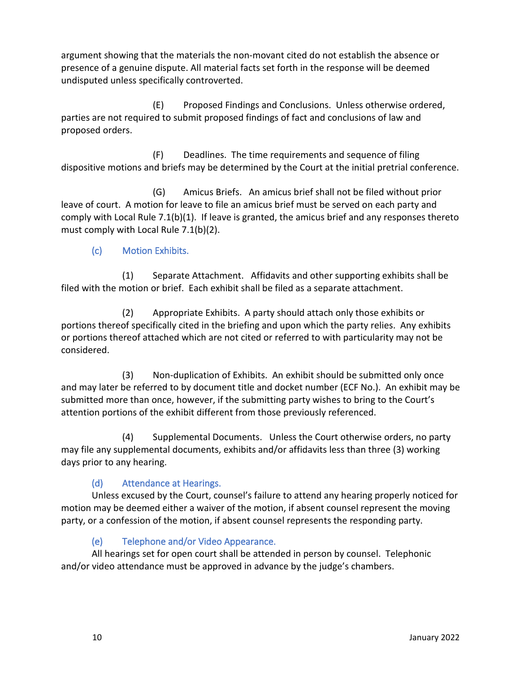argument showing that the materials the non-movant cited do not establish the absence or presence of a genuine dispute. All material facts set forth in the response will be deemed undisputed unless specifically controverted.

(E) Proposed Findings and Conclusions. Unless otherwise ordered, parties are not required to submit proposed findings of fact and conclusions of law and proposed orders.

(F) Deadlines. The time requirements and sequence of filing dispositive motions and briefs may be determined by the Court at the initial pretrial conference.

(G) Amicus Briefs. An amicus brief shall not be filed without prior leave of court. A motion for leave to file an amicus brief must be served on each party and comply with Local Rule 7.1(b)(1). If leave is granted, the amicus brief and any responses thereto must comply with Local Rule 7.1(b)(2).

# <span id="page-18-0"></span>(c) Motion Exhibits.

(1) Separate Attachment. Affidavits and other supporting exhibits shall be filed with the motion or brief. Each exhibit shall be filed as a separate attachment.

(2) Appropriate Exhibits. A party should attach only those exhibits or portions thereof specifically cited in the briefing and upon which the party relies. Any exhibits or portions thereof attached which are not cited or referred to with particularity may not be considered.

(3) Non-duplication of Exhibits. An exhibit should be submitted only once and may later be referred to by document title and docket number (ECF No.). An exhibit may be submitted more than once, however, if the submitting party wishes to bring to the Court's attention portions of the exhibit different from those previously referenced.

(4) Supplemental Documents. Unless the Court otherwise orders, no party may file any supplemental documents, exhibits and/or affidavits less than three (3) working days prior to any hearing.

# <span id="page-18-1"></span>(d) Attendance at Hearings.

Unless excused by the Court, counsel's failure to attend any hearing properly noticed for motion may be deemed either a waiver of the motion, if absent counsel represent the moving party, or a confession of the motion, if absent counsel represents the responding party.

# <span id="page-18-2"></span>(e) Telephone and/or Video Appearance.

All hearings set for open court shall be attended in person by counsel. Telephonic and/or video attendance must be approved in advance by the judge's chambers.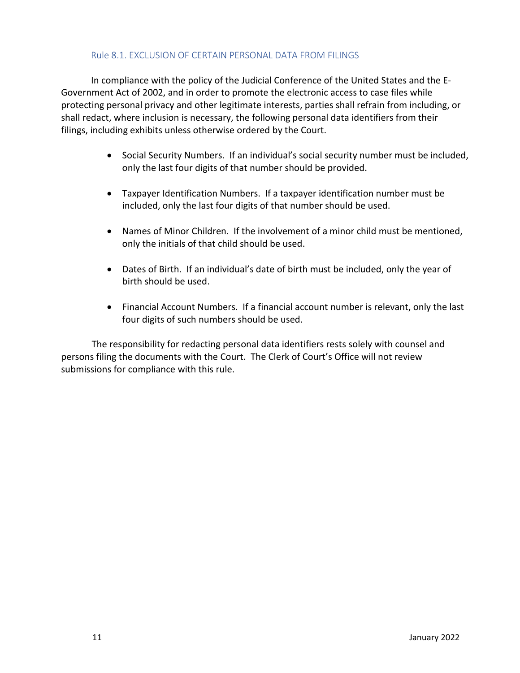#### Rule 8.1. EXCLUSION OF CERTAIN PERSONAL DATA FROM FILINGS

<span id="page-19-0"></span>In compliance with the policy of the Judicial Conference of the United States and the E-Government Act of 2002, and in order to promote the electronic access to case files while protecting personal privacy and other legitimate interests, parties shall refrain from including, or shall redact, where inclusion is necessary, the following personal data identifiers from their filings, including exhibits unless otherwise ordered by the Court.

- Social Security Numbers. If an individual's social security number must be included, only the last four digits of that number should be provided.
- Taxpayer Identification Numbers. If a taxpayer identification number must be included, only the last four digits of that number should be used.
- Names of Minor Children. If the involvement of a minor child must be mentioned, only the initials of that child should be used.
- Dates of Birth. If an individual's date of birth must be included, only the year of birth should be used.
- Financial Account Numbers. If a financial account number is relevant, only the last four digits of such numbers should be used.

The responsibility for redacting personal data identifiers rests solely with counsel and persons filing the documents with the Court. The Clerk of Court's Office will not review submissions for compliance with this rule.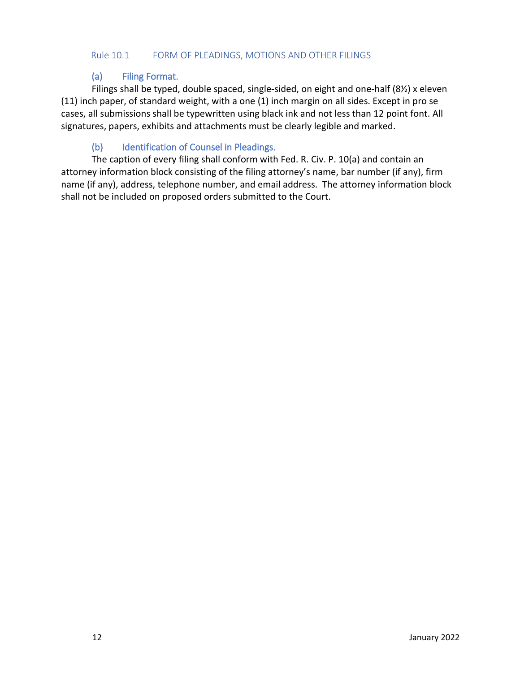#### <span id="page-20-0"></span>Rule 10.1 FORM OF PLEADINGS, MOTIONS AND OTHER FILINGS

# <span id="page-20-1"></span>(a) Filing Format.

Filings shall be typed, double spaced, single-sided, on eight and one-half (8½) x eleven (11) inch paper, of standard weight, with a one (1) inch margin on all sides. Except in pro se cases, all submissions shall be typewritten using black ink and not less than 12 point font. All signatures, papers, exhibits and attachments must be clearly legible and marked.

# <span id="page-20-2"></span>(b) Identification of Counsel in Pleadings.

The caption of every filing shall conform with Fed. R. Civ. P. 10(a) and contain an attorney information block consisting of the filing attorney's name, bar number (if any), firm name (if any), address, telephone number, and email address. The attorney information block shall not be included on proposed orders submitted to the Court.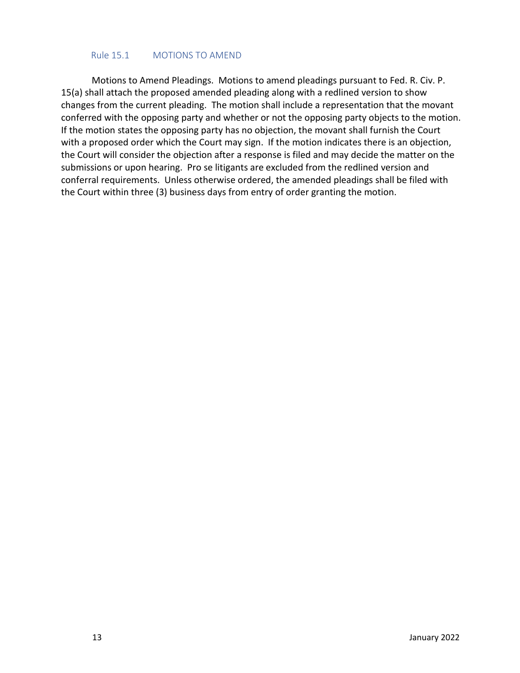#### Rule 15.1 MOTIONS TO AMEND

<span id="page-21-0"></span>Motions to Amend Pleadings. Motions to amend pleadings pursuant to Fed. R. Civ. P. 15(a) shall attach the proposed amended pleading along with a redlined version to show changes from the current pleading. The motion shall include a representation that the movant conferred with the opposing party and whether or not the opposing party objects to the motion. If the motion states the opposing party has no objection, the movant shall furnish the Court with a proposed order which the Court may sign. If the motion indicates there is an objection, the Court will consider the objection after a response is filed and may decide the matter on the submissions or upon hearing. Pro se litigants are excluded from the redlined version and conferral requirements. Unless otherwise ordered, the amended pleadings shall be filed with the Court within three (3) business days from entry of order granting the motion.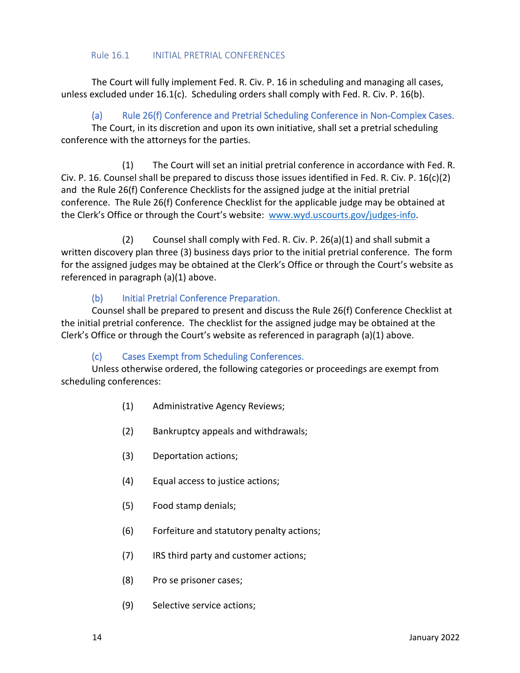#### Rule 16.1 INITIAL PRETRIAL CONFERENCES

<span id="page-22-0"></span>The Court will fully implement Fed. R. Civ. P. 16 in scheduling and managing all cases, unless excluded under 16.1(c). Scheduling orders shall comply with Fed. R. Civ. P. 16(b).

<span id="page-22-1"></span>(a) Rule 26(f) Conference and Pretrial Scheduling Conference in Non-Complex Cases.

The Court, in its discretion and upon its own initiative, shall set a pretrial scheduling conference with the attorneys for the parties.

(1) The Court will set an initial pretrial conference in accordance with Fed. R. Civ. P. 16. Counsel shall be prepared to discuss those issues identified in Fed. R. Civ. P. 16(c)(2) and the Rule 26(f) Conference Checklists for the assigned judge at the initial pretrial conference. The Rule 26(f) Conference Checklist for the applicable judge may be obtained at the Clerk's Office or through the Court's website: [www.wyd.uscourts.gov/judges-info.](http://www.wyd.uscourts.gov/judges-info)

(2) Counsel shall comply with Fed. R. Civ. P. 26(a)(1) and shall submit a written discovery plan three (3) business days prior to the initial pretrial conference. The form for the assigned judges may be obtained at the Clerk's Office or through the Court's website as referenced in paragraph (a)(1) above.

# <span id="page-22-2"></span>(b) Initial Pretrial Conference Preparation.

Counsel shall be prepared to present and discuss the Rule 26(f) Conference Checklist at the initial pretrial conference. The checklist for the assigned judge may be obtained at the Clerk's Office or through the Court's website as referenced in paragraph (a)(1) above.

# <span id="page-22-3"></span>(c) Cases Exempt from Scheduling Conferences.

Unless otherwise ordered, the following categories or proceedings are exempt from scheduling conferences:

- (1) Administrative Agency Reviews;
- (2) Bankruptcy appeals and withdrawals;
- (3) Deportation actions;
- (4) Equal access to justice actions;
- (5) Food stamp denials;
- (6) Forfeiture and statutory penalty actions;
- (7) IRS third party and customer actions;
- (8) Pro se prisoner cases;
- (9) Selective service actions;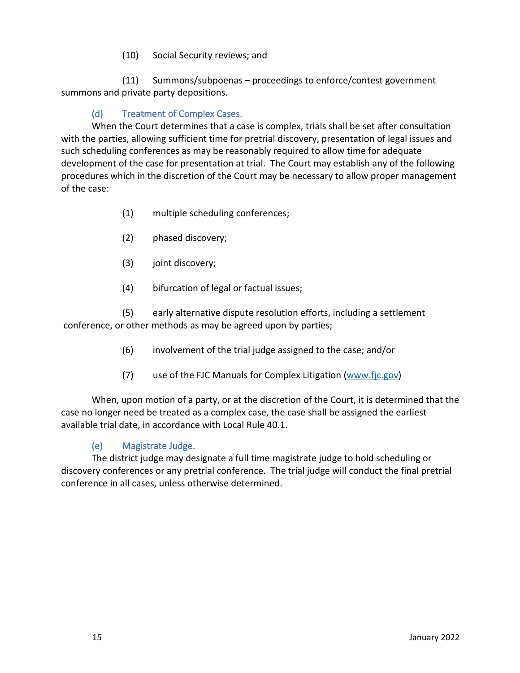(10) Social Security reviews; and

(11) Summons/subpoenas – proceedings to enforce/contest government summons and private party depositions.

# <span id="page-23-0"></span>(d) Treatment of Complex Cases.

When the Court determines that a case is complex, trials shall be set after consultation with the parties, allowing sufficient time for pretrial discovery, presentation of legal issues and such scheduling conferences as may be reasonably required to allow time for adequate development of the case for presentation at trial. The Court may establish any of the following procedures which in the discretion of the Court may be necessary to allow proper management of the case:

- (1) multiple scheduling conferences;
- (2) phased discovery;
- (3) joint discovery;
- (4) bifurcation of legal or factual issues;

(5) early alternative dispute resolution efforts, including a settlement conference, or other methods as may be agreed upon by parties;

- (6) involvement of the trial judge assigned to the case; and/or
- (7) use of the FJC Manuals for Complex Litigation [\(www.fjc.gov\)](http://www.fjc.gov/)

When, upon motion of a party, or at the discretion of the Court, it is determined that the case no longer need be treated as a complex case, the case shall be assigned the earliest available trial date, in accordance with Local Rule 40.1.

# <span id="page-23-1"></span>(e) Magistrate Judge.

The district judge may designate a full time magistrate judge to hold scheduling or discovery conferences or any pretrial conference. The trial judge will conduct the final pretrial conference in all cases, unless otherwise determined.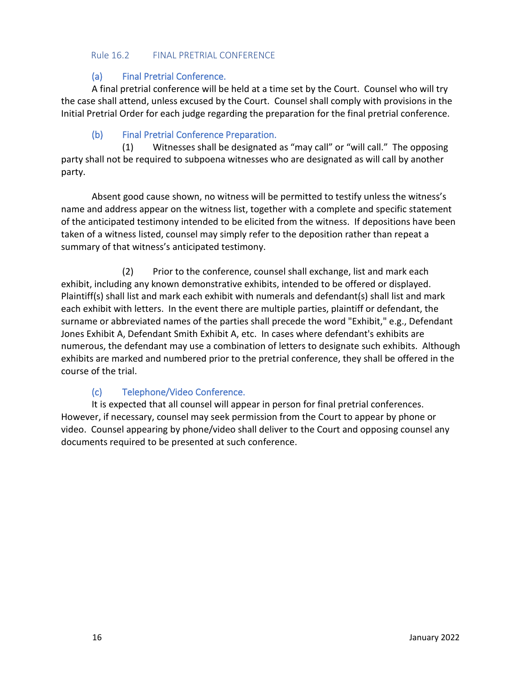#### <span id="page-24-1"></span><span id="page-24-0"></span>Rule 16.2 FINAL PRETRIAL CONFERENCE

# (a) Final Pretrial Conference.

A final pretrial conference will be held at a time set by the Court. Counsel who will try the case shall attend, unless excused by the Court. Counsel shall comply with provisions in the Initial Pretrial Order for each judge regarding the preparation for the final pretrial conference.

# <span id="page-24-2"></span>(b) Final Pretrial Conference Preparation.

(1) Witnesses shall be designated as "may call" or "will call." The opposing party shall not be required to subpoena witnesses who are designated as will call by another party.

Absent good cause shown, no witness will be permitted to testify unless the witness's name and address appear on the witness list, together with a complete and specific statement of the anticipated testimony intended to be elicited from the witness. If depositions have been taken of a witness listed, counsel may simply refer to the deposition rather than repeat a summary of that witness's anticipated testimony.

(2) Prior to the conference, counsel shall exchange, list and mark each exhibit, including any known demonstrative exhibits, intended to be offered or displayed. Plaintiff(s) shall list and mark each exhibit with numerals and defendant(s) shall list and mark each exhibit with letters. In the event there are multiple parties, plaintiff or defendant, the surname or abbreviated names of the parties shall precede the word "Exhibit," e.g., Defendant Jones Exhibit A, Defendant Smith Exhibit A, etc. In cases where defendant's exhibits are numerous, the defendant may use a combination of letters to designate such exhibits. Although exhibits are marked and numbered prior to the pretrial conference, they shall be offered in the course of the trial.

# <span id="page-24-3"></span>(c) Telephone/Video Conference.

It is expected that all counsel will appear in person for final pretrial conferences. However, if necessary, counsel may seek permission from the Court to appear by phone or video. Counsel appearing by phone/video shall deliver to the Court and opposing counsel any documents required to be presented at such conference.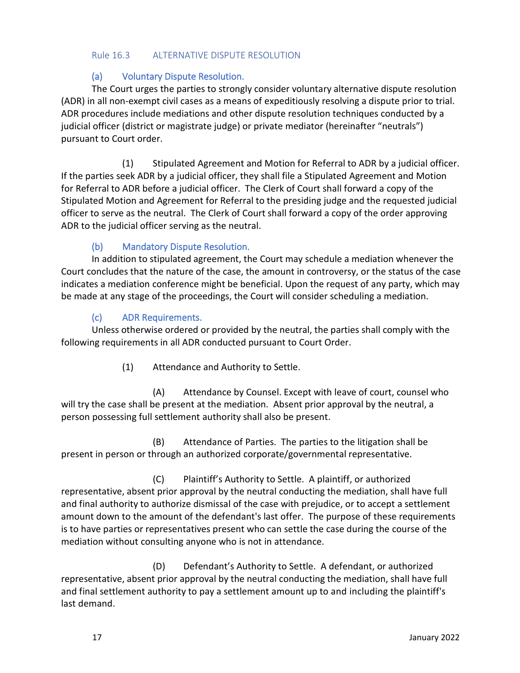#### <span id="page-25-0"></span>Rule 16.3 ALTERNATIVE DISPUTE RESOLUTION

# <span id="page-25-1"></span>(a) Voluntary Dispute Resolution.

The Court urges the parties to strongly consider voluntary alternative dispute resolution (ADR) in all non-exempt civil cases as a means of expeditiously resolving a dispute prior to trial. ADR procedures include mediations and other dispute resolution techniques conducted by a judicial officer (district or magistrate judge) or private mediator (hereinafter "neutrals") pursuant to Court order.

(1) Stipulated Agreement and Motion for Referral to ADR by a judicial officer. If the parties seek ADR by a judicial officer, they shall file a Stipulated Agreement and Motion for Referral to ADR before a judicial officer. The Clerk of Court shall forward a copy of the Stipulated Motion and Agreement for Referral to the presiding judge and the requested judicial officer to serve as the neutral. The Clerk of Court shall forward a copy of the order approving ADR to the judicial officer serving as the neutral.

# <span id="page-25-2"></span>(b) Mandatory Dispute Resolution.

In addition to stipulated agreement, the Court may schedule a mediation whenever the Court concludes that the nature of the case, the amount in controversy, or the status of the case indicates a mediation conference might be beneficial. Upon the request of any party, which may be made at any stage of the proceedings, the Court will consider scheduling a mediation.

# <span id="page-25-3"></span>(c) ADR Requirements.

Unless otherwise ordered or provided by the neutral, the parties shall comply with the following requirements in all ADR conducted pursuant to Court Order.

(1) Attendance and Authority to Settle.

(A) Attendance by Counsel. Except with leave of court, counsel who will try the case shall be present at the mediation. Absent prior approval by the neutral, a person possessing full settlement authority shall also be present.

(B) Attendance of Parties. The parties to the litigation shall be present in person or through an authorized corporate/governmental representative.

(C) Plaintiff's Authority to Settle. A plaintiff, or authorized representative, absent prior approval by the neutral conducting the mediation, shall have full and final authority to authorize dismissal of the case with prejudice, or to accept a settlement amount down to the amount of the defendant's last offer. The purpose of these requirements is to have parties or representatives present who can settle the case during the course of the mediation without consulting anyone who is not in attendance.

(D) Defendant's Authority to Settle. A defendant, or authorized representative, absent prior approval by the neutral conducting the mediation, shall have full and final settlement authority to pay a settlement amount up to and including the plaintiff's last demand.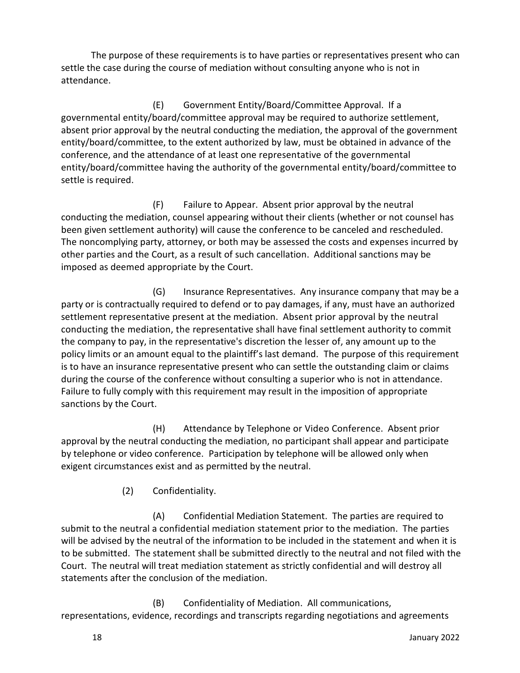The purpose of these requirements is to have parties or representatives present who can settle the case during the course of mediation without consulting anyone who is not in attendance.

(E) Government Entity/Board/Committee Approval. If a governmental entity/board/committee approval may be required to authorize settlement, absent prior approval by the neutral conducting the mediation, the approval of the government entity/board/committee, to the extent authorized by law, must be obtained in advance of the conference, and the attendance of at least one representative of the governmental entity/board/committee having the authority of the governmental entity/board/committee to settle is required.

(F) Failure to Appear. Absent prior approval by the neutral conducting the mediation, counsel appearing without their clients (whether or not counsel has been given settlement authority) will cause the conference to be canceled and rescheduled. The noncomplying party, attorney, or both may be assessed the costs and expenses incurred by other parties and the Court, as a result of such cancellation. Additional sanctions may be imposed as deemed appropriate by the Court.

(G) Insurance Representatives. Any insurance company that may be a party or is contractually required to defend or to pay damages, if any, must have an authorized settlement representative present at the mediation. Absent prior approval by the neutral conducting the mediation, the representative shall have final settlement authority to commit the company to pay, in the representative's discretion the lesser of, any amount up to the policy limits or an amount equal to the plaintiff's last demand. The purpose of this requirement is to have an insurance representative present who can settle the outstanding claim or claims during the course of the conference without consulting a superior who is not in attendance. Failure to fully comply with this requirement may result in the imposition of appropriate sanctions by the Court.

(H) Attendance by Telephone or Video Conference. Absent prior approval by the neutral conducting the mediation, no participant shall appear and participate by telephone or video conference. Participation by telephone will be allowed only when exigent circumstances exist and as permitted by the neutral.

(2) Confidentiality.

(A) Confidential Mediation Statement. The parties are required to submit to the neutral a confidential mediation statement prior to the mediation. The parties will be advised by the neutral of the information to be included in the statement and when it is to be submitted. The statement shall be submitted directly to the neutral and not filed with the Court. The neutral will treat mediation statement as strictly confidential and will destroy all statements after the conclusion of the mediation.

(B) Confidentiality of Mediation. All communications, representations, evidence, recordings and transcripts regarding negotiations and agreements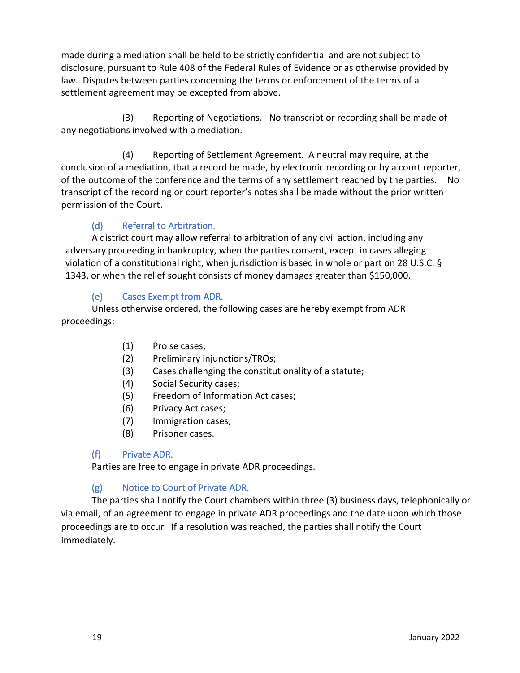made during a mediation shall be held to be strictly confidential and are not subject to disclosure, pursuant to Rule 408 of the Federal Rules of Evidence or as otherwise provided by law. Disputes between parties concerning the terms or enforcement of the terms of a settlement agreement may be excepted from above.

(3) Reporting of Negotiations. No transcript or recording shall be made of any negotiations involved with a mediation.

(4) Reporting of Settlement Agreement. A neutral may require, at the conclusion of a mediation, that a record be made, by electronic recording or by a court reporter, of the outcome of the conference and the terms of any settlement reached by the parties. No transcript of the recording or court reporter's notes shall be made without the prior written permission of the Court.

# <span id="page-27-0"></span>(d) Referral to Arbitration.

A district court may allow referral to arbitration of any civil action, including any adversary proceeding in bankruptcy, when the parties consent, except in cases alleging violation of a constitutional right, when jurisdiction is based in whole or part on 28 U.S.C. § 1343, or when the relief sought consists of money damages greater than \$150,000.

# <span id="page-27-1"></span>(e) Cases Exempt from ADR.

Unless otherwise ordered, the following cases are hereby exempt from ADR proceedings:

- (1) Pro se cases;
- (2) Preliminary injunctions/TROs;
- (3) Cases challenging the constitutionality of a statute;
- (4) Social Security cases;
- (5) Freedom of Information Act cases;
- (6) Privacy Act cases;
- (7) Immigration cases;
- (8) Prisoner cases.

# <span id="page-27-2"></span>(f) Private ADR.

Parties are free to engage in private ADR proceedings.

# <span id="page-27-3"></span>(g) Notice to Court of Private ADR.

The parties shall notify the Court chambers within three (3) business days, telephonically or via email, of an agreement to engage in private ADR proceedings and the date upon which those proceedings are to occur. If a resolution was reached, the parties shall notify the Court immediately.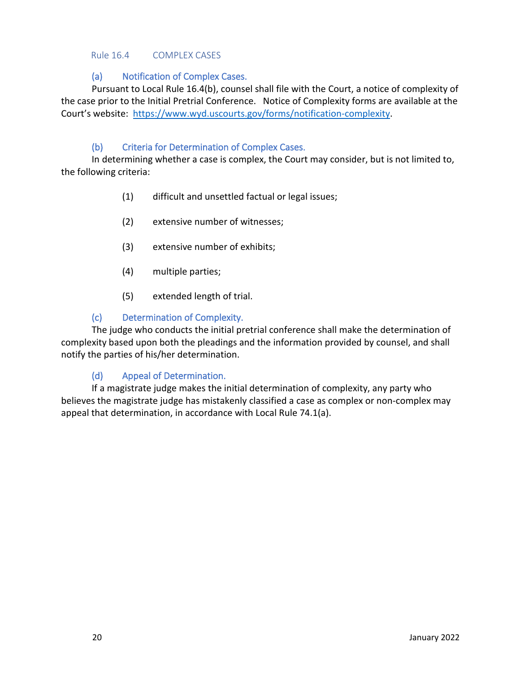#### <span id="page-28-0"></span>Rule 16.4 COMPLEX CASES

# <span id="page-28-1"></span>(a) Notification of Complex Cases.

Pursuant to Local Rule 16.4(b), counsel shall file with the Court, a notice of complexity of the case prior to the Initial Pretrial Conference. Notice of Complexity forms are available at the Court's website: [https://www.wyd.uscourts.gov/forms/notification-complexity.](https://www.wyd.uscourts.gov/forms/notification-complexity)

# <span id="page-28-2"></span>(b) Criteria for Determination of Complex Cases.

In determining whether a case is complex, the Court may consider, but is not limited to, the following criteria:

- (1) difficult and unsettled factual or legal issues;
- (2) extensive number of witnesses;
- (3) extensive number of exhibits;
- (4) multiple parties;
- (5) extended length of trial.

# <span id="page-28-3"></span>(c) Determination of Complexity.

The judge who conducts the initial pretrial conference shall make the determination of complexity based upon both the pleadings and the information provided by counsel, and shall notify the parties of his/her determination.

#### <span id="page-28-4"></span>(d) Appeal of Determination.

If a magistrate judge makes the initial determination of complexity, any party who believes the magistrate judge has mistakenly classified a case as complex or non-complex may appeal that determination, in accordance with Local Rule 74.1(a).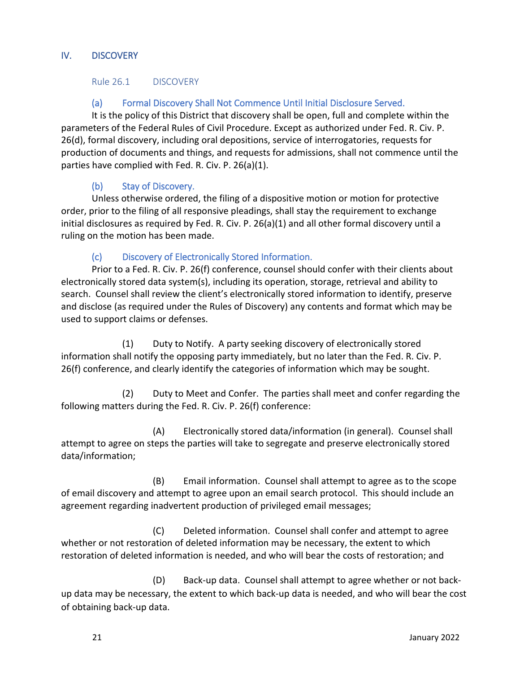#### <span id="page-29-0"></span>IV. DISCOVERY

<span id="page-29-1"></span>Rule 26.1 DISCOVERY

# <span id="page-29-2"></span>(a) Formal Discovery Shall Not Commence Until Initial Disclosure Served.

It is the policy of this District that discovery shall be open, full and complete within the parameters of the Federal Rules of Civil Procedure. Except as authorized under Fed. R. Civ. P. 26(d), formal discovery, including oral depositions, service of interrogatories, requests for production of documents and things, and requests for admissions, shall not commence until the parties have complied with Fed. R. Civ. P. 26(a)(1).

# <span id="page-29-3"></span>(b) Stay of Discovery.

Unless otherwise ordered, the filing of a dispositive motion or motion for protective order, prior to the filing of all responsive pleadings, shall stay the requirement to exchange initial disclosures as required by Fed. R. Civ. P. 26(a)(1) and all other formal discovery until a ruling on the motion has been made.

# <span id="page-29-4"></span>(c) Discovery of Electronically Stored Information.

Prior to a Fed. R. Civ. P. 26(f) conference, counsel should confer with their clients about electronically stored data system(s), including its operation, storage, retrieval and ability to search. Counsel shall review the client's electronically stored information to identify, preserve and disclose (as required under the Rules of Discovery) any contents and format which may be used to support claims or defenses.

(1) Duty to Notify. A party seeking discovery of electronically stored information shall notify the opposing party immediately, but no later than the Fed. R. Civ. P. 26(f) conference, and clearly identify the categories of information which may be sought.

(2) Duty to Meet and Confer. The parties shall meet and confer regarding the following matters during the Fed. R. Civ. P. 26(f) conference:

(A) Electronically stored data/information (in general). Counsel shall attempt to agree on steps the parties will take to segregate and preserve electronically stored data/information;

(B) Email information. Counsel shall attempt to agree as to the scope of email discovery and attempt to agree upon an email search protocol. This should include an agreement regarding inadvertent production of privileged email messages;

(C) Deleted information. Counsel shall confer and attempt to agree whether or not restoration of deleted information may be necessary, the extent to which restoration of deleted information is needed, and who will bear the costs of restoration; and

(D) Back-up data. Counsel shall attempt to agree whether or not backup data may be necessary, the extent to which back-up data is needed, and who will bear the cost of obtaining back-up data.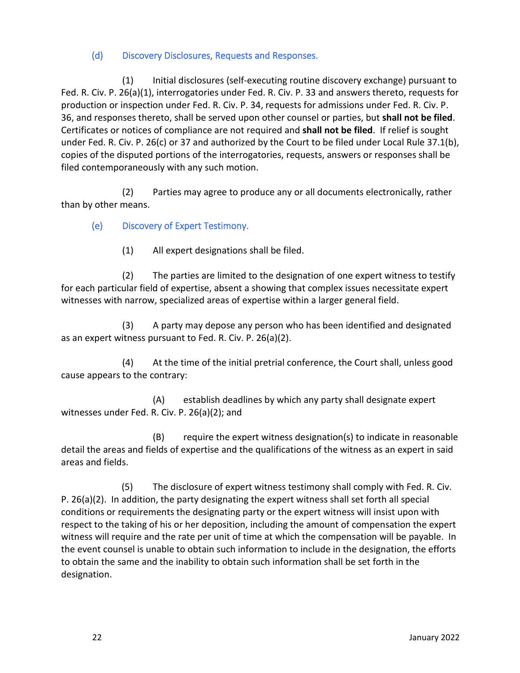# <span id="page-30-0"></span>(d) Discovery Disclosures, Requests and Responses.

(1) Initial disclosures (self-executing routine discovery exchange) pursuant to Fed. R. Civ. P. 26(a)(1), interrogatories under Fed. R. Civ. P. 33 and answers thereto, requests for production or inspection under Fed. R. Civ. P. 34, requests for admissions under Fed. R. Civ. P. 36, and responses thereto, shall be served upon other counsel or parties, but **shall not be filed**. Certificates or notices of compliance are not required and **shall not be filed**. If relief is sought under Fed. R. Civ. P. 26(c) or 37 and authorized by the Court to be filed under Local Rule 37.1(b), copies of the disputed portions of the interrogatories, requests, answers or responses shall be filed contemporaneously with any such motion.

(2) Parties may agree to produce any or all documents electronically, rather than by other means.

# <span id="page-30-1"></span>(e) Discovery of Expert Testimony.

(1) All expert designations shall be filed.

(2) The parties are limited to the designation of one expert witness to testify for each particular field of expertise, absent a showing that complex issues necessitate expert witnesses with narrow, specialized areas of expertise within a larger general field.

(3) A party may depose any person who has been identified and designated as an expert witness pursuant to Fed. R. Civ. P. 26(a)(2).

(4) At the time of the initial pretrial conference, the Court shall, unless good cause appears to the contrary:

(A) establish deadlines by which any party shall designate expert witnesses under Fed. R. Civ. P. 26(a)(2); and

(B) require the expert witness designation(s) to indicate in reasonable detail the areas and fields of expertise and the qualifications of the witness as an expert in said areas and fields.

(5) The disclosure of expert witness testimony shall comply with Fed. R. Civ. P. 26(a)(2). In addition, the party designating the expert witness shall set forth all special conditions or requirements the designating party or the expert witness will insist upon with respect to the taking of his or her deposition, including the amount of compensation the expert witness will require and the rate per unit of time at which the compensation will be payable. In the event counsel is unable to obtain such information to include in the designation, the efforts to obtain the same and the inability to obtain such information shall be set forth in the designation.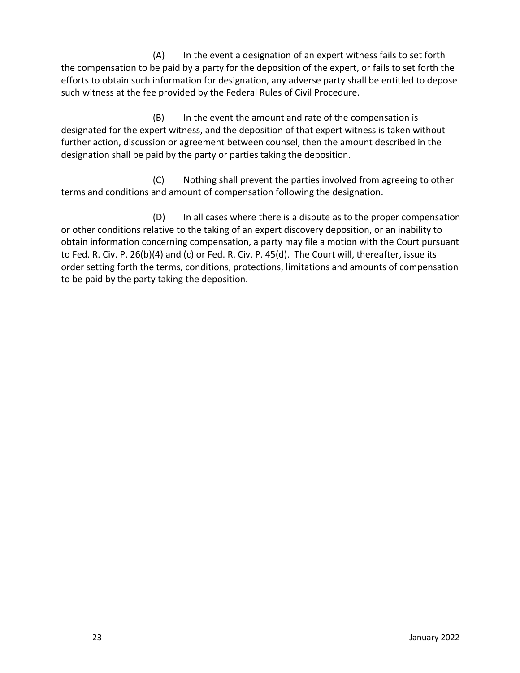(A) In the event a designation of an expert witness fails to set forth the compensation to be paid by a party for the deposition of the expert, or fails to set forth the efforts to obtain such information for designation, any adverse party shall be entitled to depose such witness at the fee provided by the Federal Rules of Civil Procedure.

(B) In the event the amount and rate of the compensation is designated for the expert witness, and the deposition of that expert witness is taken without further action, discussion or agreement between counsel, then the amount described in the designation shall be paid by the party or parties taking the deposition.

(C) Nothing shall prevent the parties involved from agreeing to other terms and conditions and amount of compensation following the designation.

(D) In all cases where there is a dispute as to the proper compensation or other conditions relative to the taking of an expert discovery deposition, or an inability to obtain information concerning compensation, a party may file a motion with the Court pursuant to Fed. R. Civ. P. 26(b)(4) and (c) or Fed. R. Civ. P. 45(d). The Court will, thereafter, issue its order setting forth the terms, conditions, protections, limitations and amounts of compensation to be paid by the party taking the deposition.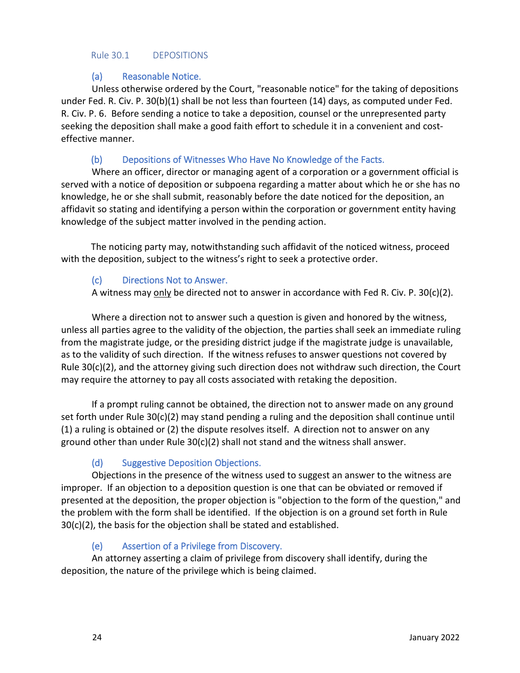#### <span id="page-32-0"></span>Rule 30.1 DEPOSITIONS

# <span id="page-32-1"></span>(a) Reasonable Notice.

Unless otherwise ordered by the Court, "reasonable notice" for the taking of depositions under Fed. R. Civ. P. 30(b)(1) shall be not less than fourteen (14) days, as computed under Fed. R. Civ. P. 6. Before sending a notice to take a deposition, counsel or the unrepresented party seeking the deposition shall make a good faith effort to schedule it in a convenient and costeffective manner.

# (b) Depositions of Witnesses Who Have No Knowledge of the Facts.

<span id="page-32-2"></span>Where an officer, director or managing agent of a corporation or a government official is served with a notice of deposition or subpoena regarding a matter about which he or she has no knowledge, he or she shall submit, reasonably before the date noticed for the deposition, an affidavit so stating and identifying a person within the corporation or government entity having knowledge of the subject matter involved in the pending action.

The noticing party may, notwithstanding such affidavit of the noticed witness, proceed with the deposition, subject to the witness's right to seek a protective order.

# <span id="page-32-3"></span>(c) Directions Not to Answer.

A witness may only be directed not to answer in accordance with Fed R. Civ. P. 30(c)(2).

Where a direction not to answer such a question is given and honored by the witness, unless all parties agree to the validity of the objection, the parties shall seek an immediate ruling from the magistrate judge, or the presiding district judge if the magistrate judge is unavailable, as to the validity of such direction. If the witness refuses to answer questions not covered by Rule 30(c)(2), and the attorney giving such direction does not withdraw such direction, the Court may require the attorney to pay all costs associated with retaking the deposition.

If a prompt ruling cannot be obtained, the direction not to answer made on any ground set forth under Rule 30(c)(2) may stand pending a ruling and the deposition shall continue until (1) a ruling is obtained or (2) the dispute resolves itself. A direction not to answer on any ground other than under Rule  $30(c)(2)$  shall not stand and the witness shall answer.

# <span id="page-32-4"></span>(d) Suggestive Deposition Objections.

Objections in the presence of the witness used to suggest an answer to the witness are improper. If an objection to a deposition question is one that can be obviated or removed if presented at the deposition, the proper objection is "objection to the form of the question," and the problem with the form shall be identified. If the objection is on a ground set forth in Rule 30(c)(2), the basis for the objection shall be stated and established.

# <span id="page-32-5"></span>(e) Assertion of a Privilege from Discovery.

An attorney asserting a claim of privilege from discovery shall identify, during the deposition, the nature of the privilege which is being claimed.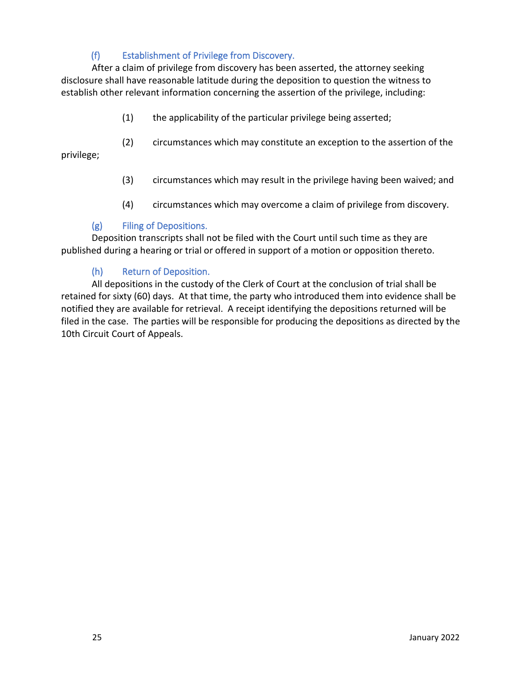# (f) Establishment of Privilege from Discovery.

<span id="page-33-0"></span>After a claim of privilege from discovery has been asserted, the attorney seeking disclosure shall have reasonable latitude during the deposition to question the witness to establish other relevant information concerning the assertion of the privilege, including:

- (1) the applicability of the particular privilege being asserted;
- (2) circumstances which may constitute an exception to the assertion of the

privilege;

- (3) circumstances which may result in the privilege having been waived; and
- (4) circumstances which may overcome a claim of privilege from discovery.

# <span id="page-33-1"></span>(g) Filing of Depositions.

Deposition transcripts shall not be filed with the Court until such time as they are published during a hearing or trial or offered in support of a motion or opposition thereto.

# <span id="page-33-2"></span>(h) Return of Deposition.

All depositions in the custody of the Clerk of Court at the conclusion of trial shall be retained for sixty (60) days. At that time, the party who introduced them into evidence shall be notified they are available for retrieval. A receipt identifying the depositions returned will be filed in the case. The parties will be responsible for producing the depositions as directed by the 10th Circuit Court of Appeals.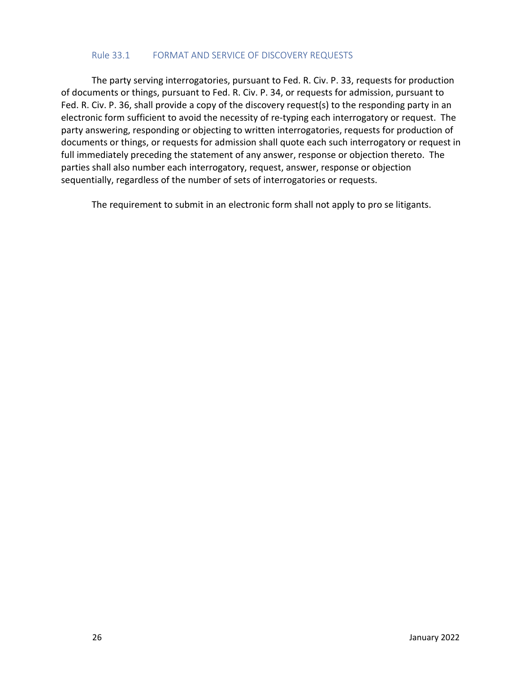#### <span id="page-34-0"></span>Rule 33.1 FORMAT AND SERVICE OF DISCOVERY REQUESTS

The party serving interrogatories, pursuant to Fed. R. Civ. P. 33, requests for production of documents or things, pursuant to Fed. R. Civ. P. 34, or requests for admission, pursuant to Fed. R. Civ. P. 36, shall provide a copy of the discovery request(s) to the responding party in an electronic form sufficient to avoid the necessity of re-typing each interrogatory or request. The party answering, responding or objecting to written interrogatories, requests for production of documents or things, or requests for admission shall quote each such interrogatory or request in full immediately preceding the statement of any answer, response or objection thereto. The parties shall also number each interrogatory, request, answer, response or objection sequentially, regardless of the number of sets of interrogatories or requests.

The requirement to submit in an electronic form shall not apply to pro se litigants.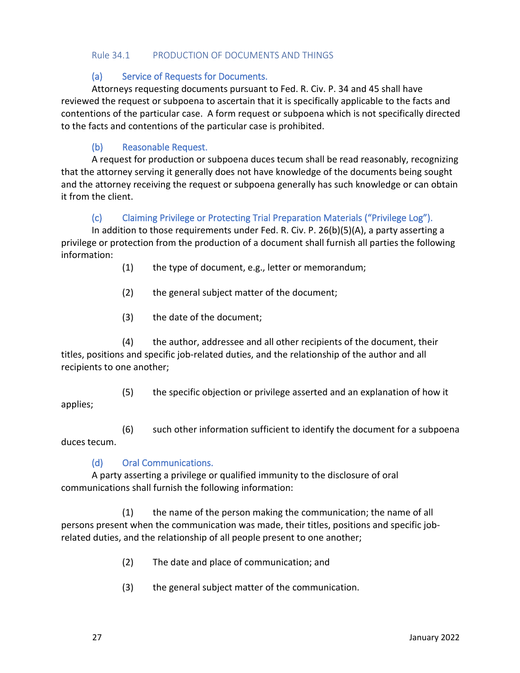#### <span id="page-35-0"></span>Rule 34.1 PRODUCTION OF DOCUMENTS AND THINGS

#### <span id="page-35-1"></span>(a) Service of Requests for Documents.

Attorneys requesting documents pursuant to Fed. R. Civ. P. 34 and 45 shall have reviewed the request or subpoena to ascertain that it is specifically applicable to the facts and contentions of the particular case. A form request or subpoena which is not specifically directed to the facts and contentions of the particular case is prohibited.

# <span id="page-35-2"></span>(b) Reasonable Request.

A request for production or subpoena duces tecum shall be read reasonably, recognizing that the attorney serving it generally does not have knowledge of the documents being sought and the attorney receiving the request or subpoena generally has such knowledge or can obtain it from the client.

# <span id="page-35-3"></span>(c) Claiming Privilege or Protecting Trial Preparation Materials ("Privilege Log").

In addition to those requirements under Fed. R. Civ. P. 26(b)(5)(A), a party asserting a privilege or protection from the production of a document shall furnish all parties the following information:

- (1) the type of document, e.g., letter or memorandum;
- (2) the general subject matter of the document;
- (3) the date of the document;

(4) the author, addressee and all other recipients of the document, their titles, positions and specific job-related duties, and the relationship of the author and all recipients to one another;

(5) the specific objection or privilege asserted and an explanation of how it

applies;

(6) such other information sufficient to identify the document for a subpoena duces tecum.

# <span id="page-35-4"></span>(d) Oral Communications.

A party asserting a privilege or qualified immunity to the disclosure of oral communications shall furnish the following information:

(1) the name of the person making the communication; the name of all persons present when the communication was made, their titles, positions and specific jobrelated duties, and the relationship of all people present to one another;

- (2) The date and place of communication; and
- (3) the general subject matter of the communication.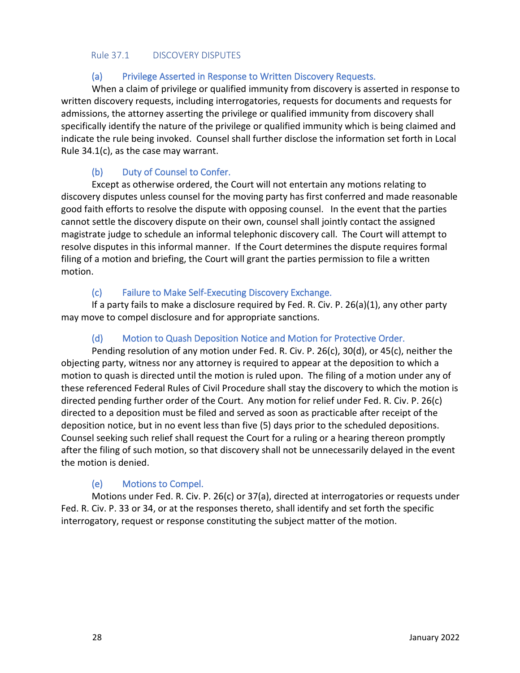#### Rule 37.1 DISCOVERY DISPUTES

## (a) Privilege Asserted in Response to Written Discovery Requests.

When a claim of privilege or qualified immunity from discovery is asserted in response to written discovery requests, including interrogatories, requests for documents and requests for admissions, the attorney asserting the privilege or qualified immunity from discovery shall specifically identify the nature of the privilege or qualified immunity which is being claimed and indicate the rule being invoked. Counsel shall further disclose the information set forth in Local Rule 34.1(c), as the case may warrant.

## (b) Duty of Counsel to Confer.

Except as otherwise ordered, the Court will not entertain any motions relating to discovery disputes unless counsel for the moving party has first conferred and made reasonable good faith efforts to resolve the dispute with opposing counsel. In the event that the parties cannot settle the discovery dispute on their own, counsel shall jointly contact the assigned magistrate judge to schedule an informal telephonic discovery call. The Court will attempt to resolve disputes in this informal manner. If the Court determines the dispute requires formal filing of a motion and briefing, the Court will grant the parties permission to file a written motion.

## (c) Failure to Make Self-Executing Discovery Exchange.

If a party fails to make a disclosure required by Fed. R. Civ. P. 26(a)(1), any other party may move to compel disclosure and for appropriate sanctions.

## (d) Motion to Quash Deposition Notice and Motion for Protective Order.

Pending resolution of any motion under Fed. R. Civ. P. 26(c), 30(d), or 45(c), neither the objecting party, witness nor any attorney is required to appear at the deposition to which a motion to quash is directed until the motion is ruled upon. The filing of a motion under any of these referenced Federal Rules of Civil Procedure shall stay the discovery to which the motion is directed pending further order of the Court. Any motion for relief under Fed. R. Civ. P. 26(c) directed to a deposition must be filed and served as soon as practicable after receipt of the deposition notice, but in no event less than five (5) days prior to the scheduled depositions. Counsel seeking such relief shall request the Court for a ruling or a hearing thereon promptly after the filing of such motion, so that discovery shall not be unnecessarily delayed in the event the motion is denied.

## (e) Motions to Compel.

Motions under Fed. R. Civ. P. 26(c) or 37(a), directed at interrogatories or requests under Fed. R. Civ. P. 33 or 34, or at the responses thereto, shall identify and set forth the specific interrogatory, request or response constituting the subject matter of the motion.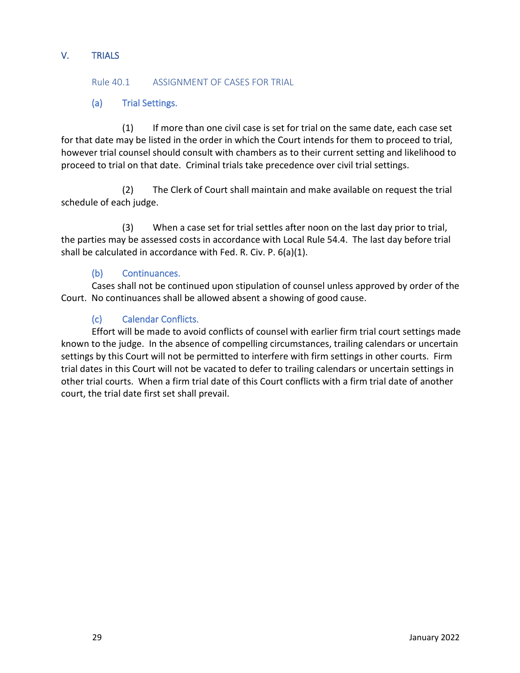## V. TRIALS

#### Rule 40.1 ASSIGNMENT OF CASES FOR TRIAL

## (a) Trial Settings.

(1) If more than one civil case is set for trial on the same date, each case set for that date may be listed in the order in which the Court intends for them to proceed to trial, however trial counsel should consult with chambers as to their current setting and likelihood to proceed to trial on that date. Criminal trials take precedence over civil trial settings.

(2) The Clerk of Court shall maintain and make available on request the trial schedule of each judge.

(3) When a case set for trial settles after noon on the last day prior to trial, the parties may be assessed costs in accordance with Local Rule 54.4. The last day before trial shall be calculated in accordance with Fed. R. Civ. P. 6(a)(1).

## (b) Continuances.

Cases shall not be continued upon stipulation of counsel unless approved by order of the Court. No continuances shall be allowed absent a showing of good cause.

## (c) Calendar Conflicts.

Effort will be made to avoid conflicts of counsel with earlier firm trial court settings made known to the judge. In the absence of compelling circumstances, trailing calendars or uncertain settings by this Court will not be permitted to interfere with firm settings in other courts. Firm trial dates in this Court will not be vacated to defer to trailing calendars or uncertain settings in other trial courts. When a firm trial date of this Court conflicts with a firm trial date of another court, the trial date first set shall prevail.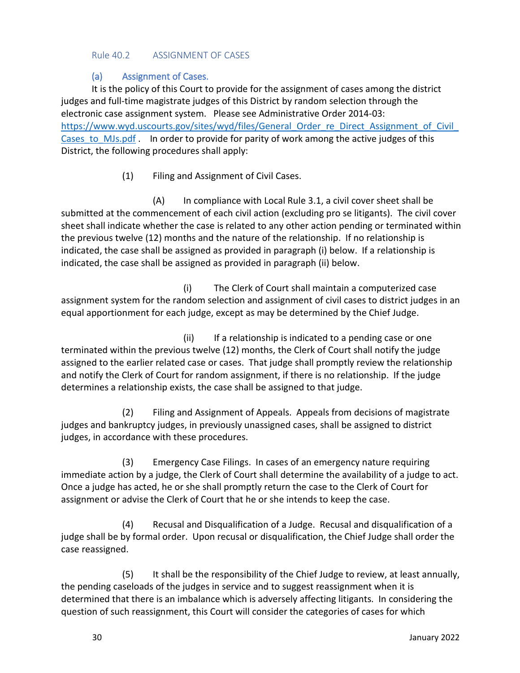#### Rule 40.2 ASSIGNMENT OF CASES

## (a) Assignment of Cases.

It is the policy of this Court to provide for the assignment of cases among the district judges and full-time magistrate judges of this District by random selection through the electronic case assignment system. Please see Administrative Order 2014-03: https://www.wyd.uscourts.gov/sites/wyd/files/General\_Order\_re\_Direct\_Assignment\_of\_Civil Cases to MJs.pdf . In order to provide for parity of work among the active judges of this District, the following procedures shall apply:

(1) Filing and Assignment of Civil Cases.

(A) In compliance with Local Rule 3.1, a civil cover sheet shall be submitted at the commencement of each civil action (excluding pro se litigants). The civil cover sheet shall indicate whether the case is related to any other action pending or terminated within the previous twelve (12) months and the nature of the relationship. If no relationship is indicated, the case shall be assigned as provided in paragraph (i) below. If a relationship is indicated, the case shall be assigned as provided in paragraph (ii) below.

(i) The Clerk of Court shall maintain a computerized case assignment system for the random selection and assignment of civil cases to district judges in an equal apportionment for each judge, except as may be determined by the Chief Judge.

(ii) If a relationship is indicated to a pending case or one terminated within the previous twelve (12) months, the Clerk of Court shall notify the judge assigned to the earlier related case or cases. That judge shall promptly review the relationship and notify the Clerk of Court for random assignment, if there is no relationship. If the judge determines a relationship exists, the case shall be assigned to that judge.

(2) Filing and Assignment of Appeals. Appeals from decisions of magistrate judges and bankruptcy judges, in previously unassigned cases, shall be assigned to district judges, in accordance with these procedures.

(3) Emergency Case Filings. In cases of an emergency nature requiring immediate action by a judge, the Clerk of Court shall determine the availability of a judge to act. Once a judge has acted, he or she shall promptly return the case to the Clerk of Court for assignment or advise the Clerk of Court that he or she intends to keep the case.

(4) Recusal and Disqualification of a Judge. Recusal and disqualification of a judge shall be by formal order. Upon recusal or disqualification, the Chief Judge shall order the case reassigned.

(5) It shall be the responsibility of the Chief Judge to review, at least annually, the pending caseloads of the judges in service and to suggest reassignment when it is determined that there is an imbalance which is adversely affecting litigants. In considering the question of such reassignment, this Court will consider the categories of cases for which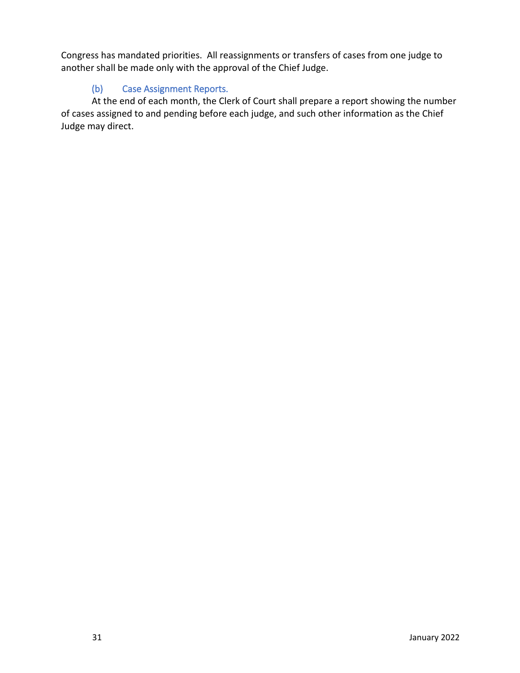Congress has mandated priorities. All reassignments or transfers of cases from one judge to another shall be made only with the approval of the Chief Judge.

# (b) Case Assignment Reports.

At the end of each month, the Clerk of Court shall prepare a report showing the number of cases assigned to and pending before each judge, and such other information as the Chief Judge may direct.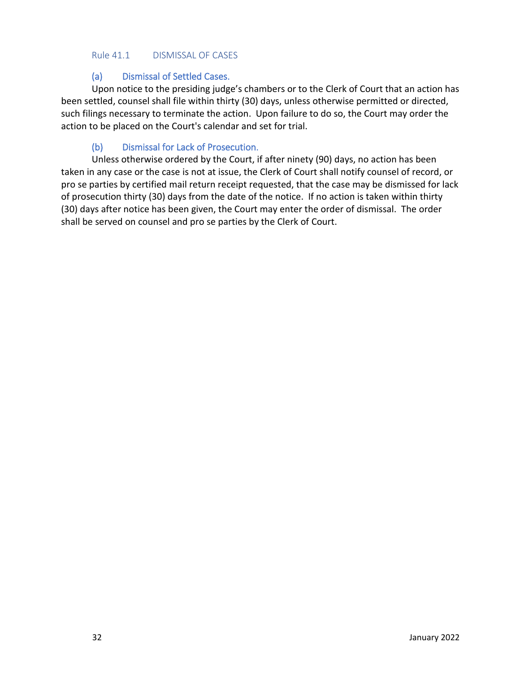#### Rule 41.1 DISMISSAL OF CASES

## (a) Dismissal of Settled Cases.

Upon notice to the presiding judge's chambers or to the Clerk of Court that an action has been settled, counsel shall file within thirty (30) days, unless otherwise permitted or directed, such filings necessary to terminate the action. Upon failure to do so, the Court may order the action to be placed on the Court's calendar and set for trial.

## (b) Dismissal for Lack of Prosecution.

Unless otherwise ordered by the Court, if after ninety (90) days, no action has been taken in any case or the case is not at issue, the Clerk of Court shall notify counsel of record, or pro se parties by certified mail return receipt requested, that the case may be dismissed for lack of prosecution thirty (30) days from the date of the notice. If no action is taken within thirty (30) days after notice has been given, the Court may enter the order of dismissal. The order shall be served on counsel and pro se parties by the Clerk of Court.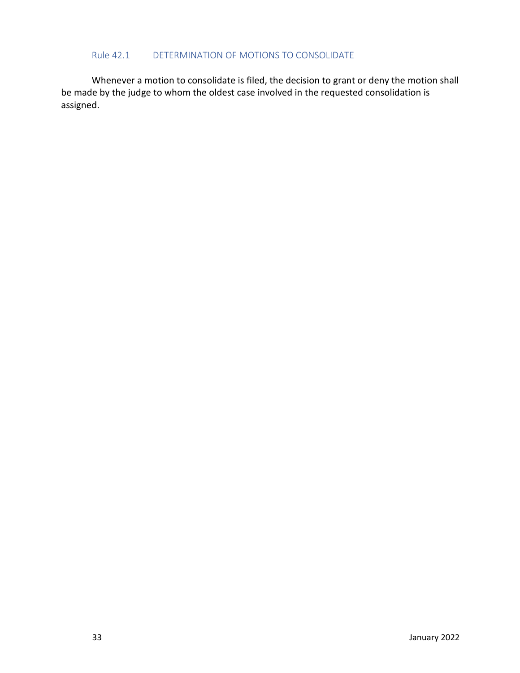#### Rule 42.1 DETERMINATION OF MOTIONS TO CONSOLIDATE

Whenever a motion to consolidate is filed, the decision to grant or deny the motion shall be made by the judge to whom the oldest case involved in the requested consolidation is assigned.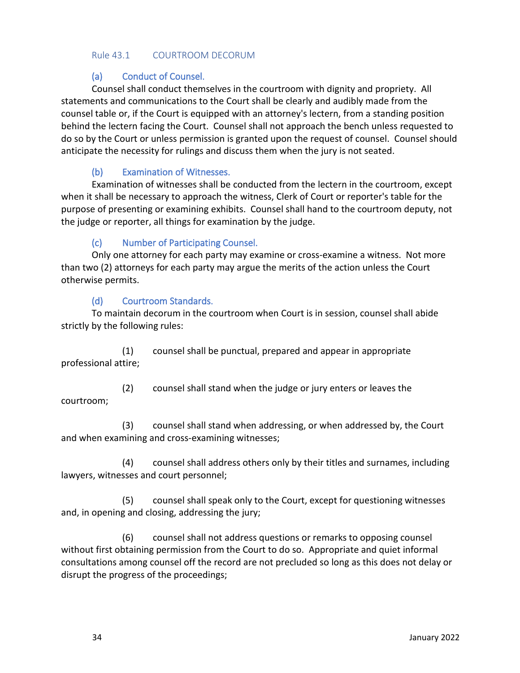#### Rule 43.1 COURTROOM DECORUM

## (a) Conduct of Counsel.

Counsel shall conduct themselves in the courtroom with dignity and propriety. All statements and communications to the Court shall be clearly and audibly made from the counsel table or, if the Court is equipped with an attorney's lectern, from a standing position behind the lectern facing the Court. Counsel shall not approach the bench unless requested to do so by the Court or unless permission is granted upon the request of counsel. Counsel should anticipate the necessity for rulings and discuss them when the jury is not seated.

## (b) Examination of Witnesses.

Examination of witnesses shall be conducted from the lectern in the courtroom, except when it shall be necessary to approach the witness, Clerk of Court or reporter's table for the purpose of presenting or examining exhibits. Counsel shall hand to the courtroom deputy, not the judge or reporter, all things for examination by the judge.

## (c) Number of Participating Counsel.

Only one attorney for each party may examine or cross-examine a witness. Not more than two (2) attorneys for each party may argue the merits of the action unless the Court otherwise permits.

## (d) Courtroom Standards.

To maintain decorum in the courtroom when Court is in session, counsel shall abide strictly by the following rules:

(1) counsel shall be punctual, prepared and appear in appropriate professional attire;

(2) counsel shall stand when the judge or jury enters or leaves the courtroom;

(3) counsel shall stand when addressing, or when addressed by, the Court and when examining and cross-examining witnesses;

(4) counsel shall address others only by their titles and surnames, including lawyers, witnesses and court personnel;

(5) counsel shall speak only to the Court, except for questioning witnesses and, in opening and closing, addressing the jury;

(6) counsel shall not address questions or remarks to opposing counsel without first obtaining permission from the Court to do so. Appropriate and quiet informal consultations among counsel off the record are not precluded so long as this does not delay or disrupt the progress of the proceedings;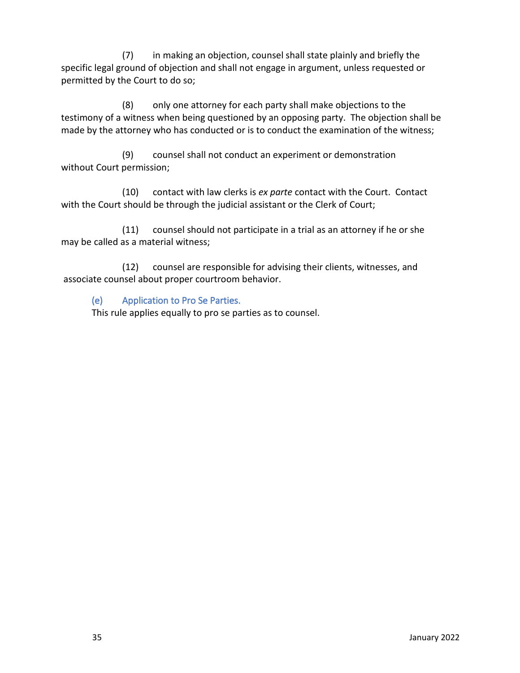(7) in making an objection, counsel shall state plainly and briefly the specific legal ground of objection and shall not engage in argument, unless requested or permitted by the Court to do so;

(8) only one attorney for each party shall make objections to the testimony of a witness when being questioned by an opposing party. The objection shall be made by the attorney who has conducted or is to conduct the examination of the witness;

(9) counsel shall not conduct an experiment or demonstration without Court permission;

(10) contact with law clerks is *ex parte* contact with the Court. Contact with the Court should be through the judicial assistant or the Clerk of Court;

(11) counsel should not participate in a trial as an attorney if he or she may be called as a material witness;

(12) counsel are responsible for advising their clients, witnesses, and associate counsel about proper courtroom behavior.

# (e) Application to Pro Se Parties.

This rule applies equally to pro se parties as to counsel.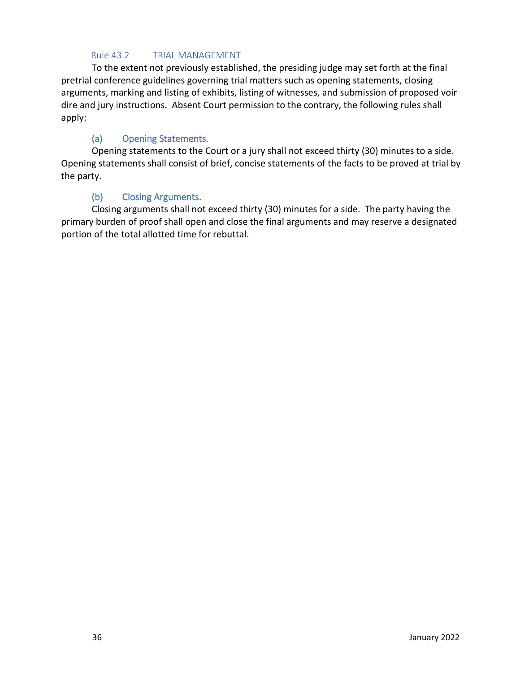## Rule 43.2 TRIAL MANAGEMENT

To the extent not previously established, the presiding judge may set forth at the final pretrial conference guidelines governing trial matters such as opening statements, closing arguments, marking and listing of exhibits, listing of witnesses, and submission of proposed voir dire and jury instructions. Absent Court permission to the contrary, the following rules shall apply:

## (a) Opening Statements.

Opening statements to the Court or a jury shall not exceed thirty (30) minutes to a side. Opening statements shall consist of brief, concise statements of the facts to be proved at trial by the party.

## (b) Closing Arguments.

Closing arguments shall not exceed thirty (30) minutes for a side. The party having the primary burden of proof shall open and close the final arguments and may reserve a designated portion of the total allotted time for rebuttal.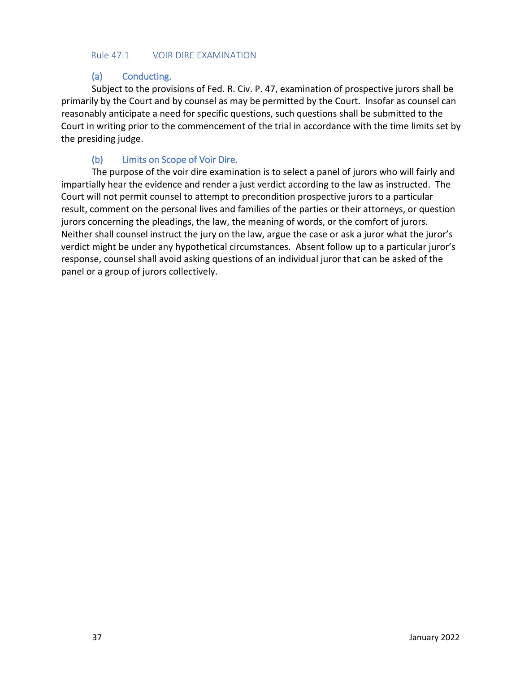#### Rule 47.1 VOIR DIRE EXAMINATION

## (a) Conducting.

Subject to the provisions of Fed. R. Civ. P. 47, examination of prospective jurors shall be primarily by the Court and by counsel as may be permitted by the Court. Insofar as counsel can reasonably anticipate a need for specific questions, such questions shall be submitted to the Court in writing prior to the commencement of the trial in accordance with the time limits set by the presiding judge.

## (b) Limits on Scope of Voir Dire.

The purpose of the voir dire examination is to select a panel of jurors who will fairly and impartially hear the evidence and render a just verdict according to the law as instructed. The Court will not permit counsel to attempt to precondition prospective jurors to a particular result, comment on the personal lives and families of the parties or their attorneys, or question jurors concerning the pleadings, the law, the meaning of words, or the comfort of jurors. Neither shall counsel instruct the jury on the law, argue the case or ask a juror what the juror's verdict might be under any hypothetical circumstances. Absent follow up to a particular juror's response, counsel shall avoid asking questions of an individual juror that can be asked of the panel or a group of jurors collectively.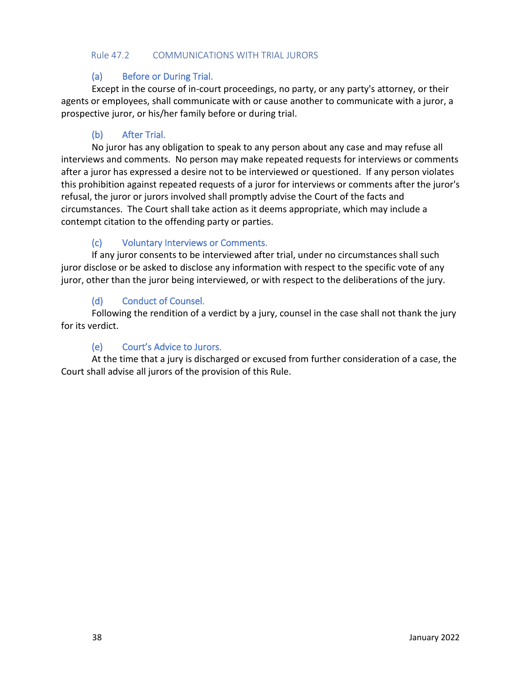#### Rule 47.2 COMMUNICATIONS WITH TRIAL JURORS

## (a) Before or During Trial.

Except in the course of in-court proceedings, no party, or any party's attorney, or their agents or employees, shall communicate with or cause another to communicate with a juror, a prospective juror, or his/her family before or during trial.

## (b) After Trial.

No juror has any obligation to speak to any person about any case and may refuse all interviews and comments. No person may make repeated requests for interviews or comments after a juror has expressed a desire not to be interviewed or questioned. If any person violates this prohibition against repeated requests of a juror for interviews or comments after the juror's refusal, the juror or jurors involved shall promptly advise the Court of the facts and circumstances. The Court shall take action as it deems appropriate, which may include a contempt citation to the offending party or parties.

## (c) Voluntary Interviews or Comments.

If any juror consents to be interviewed after trial, under no circumstances shall such juror disclose or be asked to disclose any information with respect to the specific vote of any juror, other than the juror being interviewed, or with respect to the deliberations of the jury.

## (d) Conduct of Counsel.

Following the rendition of a verdict by a jury, counsel in the case shall not thank the jury for its verdict.

## (e) Court's Advice to Jurors.

At the time that a jury is discharged or excused from further consideration of a case, the Court shall advise all jurors of the provision of this Rule.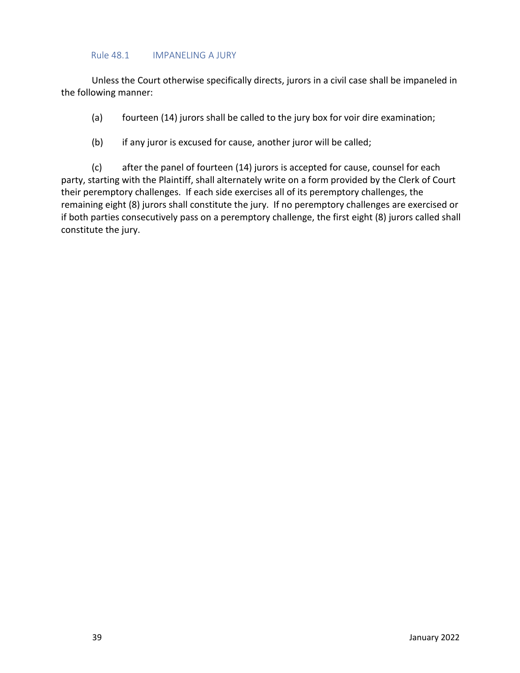#### Rule 48.1 IMPANELING A JURY

Unless the Court otherwise specifically directs, jurors in a civil case shall be impaneled in the following manner:

- (a) fourteen (14) jurors shall be called to the jury box for voir dire examination;
- (b) if any juror is excused for cause, another juror will be called;

(c) after the panel of fourteen (14) jurors is accepted for cause, counsel for each party, starting with the Plaintiff, shall alternately write on a form provided by the Clerk of Court their peremptory challenges. If each side exercises all of its peremptory challenges, the remaining eight (8) jurors shall constitute the jury. If no peremptory challenges are exercised or if both parties consecutively pass on a peremptory challenge, the first eight (8) jurors called shall constitute the jury.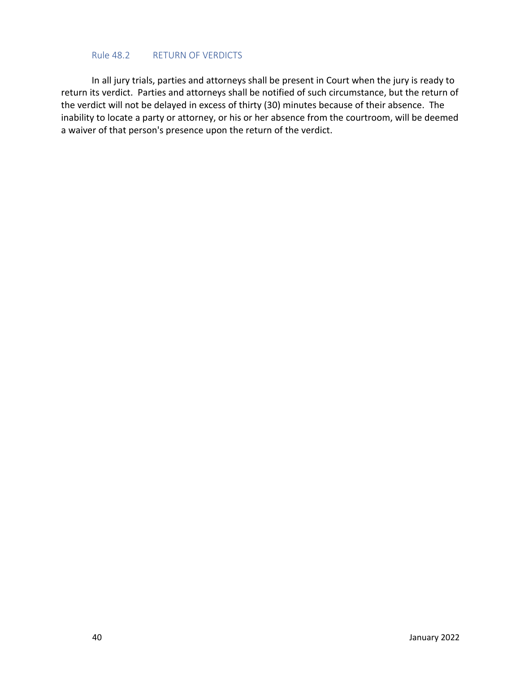#### Rule 48.2 RETURN OF VERDICTS

In all jury trials, parties and attorneys shall be present in Court when the jury is ready to return its verdict. Parties and attorneys shall be notified of such circumstance, but the return of the verdict will not be delayed in excess of thirty (30) minutes because of their absence. The inability to locate a party or attorney, or his or her absence from the courtroom, will be deemed a waiver of that person's presence upon the return of the verdict.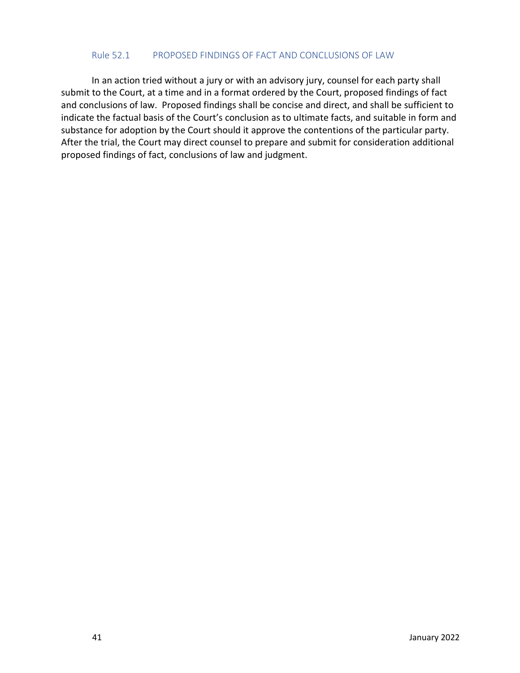#### Rule 52.1 PROPOSED FINDINGS OF FACT AND CONCLUSIONS OF LAW

In an action tried without a jury or with an advisory jury, counsel for each party shall submit to the Court, at a time and in a format ordered by the Court, proposed findings of fact and conclusions of law. Proposed findings shall be concise and direct, and shall be sufficient to indicate the factual basis of the Court's conclusion as to ultimate facts, and suitable in form and substance for adoption by the Court should it approve the contentions of the particular party. After the trial, the Court may direct counsel to prepare and submit for consideration additional proposed findings of fact, conclusions of law and judgment.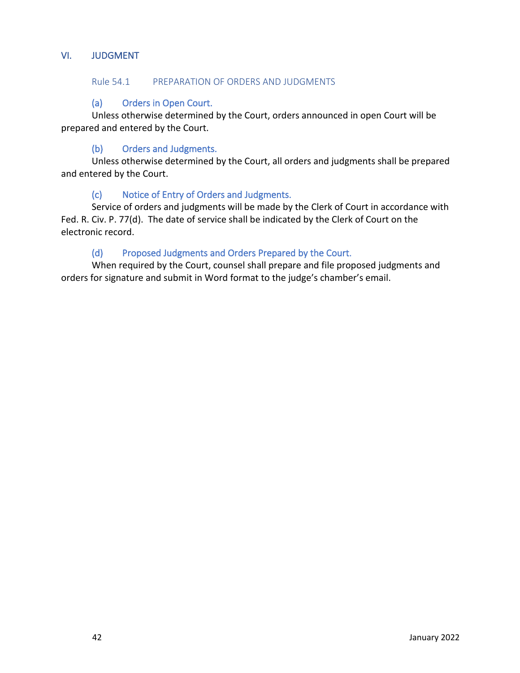## VI. JUDGMENT

### Rule 54.1 PREPARATION OF ORDERS AND JUDGMENTS

## (a) Orders in Open Court.

Unless otherwise determined by the Court, orders announced in open Court will be prepared and entered by the Court.

## (b) Orders and Judgments.

Unless otherwise determined by the Court, all orders and judgments shall be prepared and entered by the Court.

## (c) Notice of Entry of Orders and Judgments.

Service of orders and judgments will be made by the Clerk of Court in accordance with Fed. R. Civ. P. 77(d). The date of service shall be indicated by the Clerk of Court on the electronic record.

## (d) Proposed Judgments and Orders Prepared by the Court.

When required by the Court, counsel shall prepare and file proposed judgments and orders for signature and submit in Word format to the judge's chamber's email.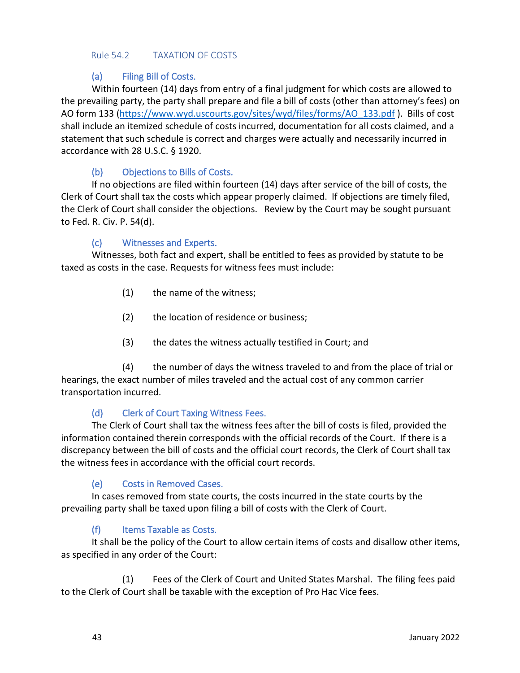#### Rule 54.2 TAXATION OF COSTS

## (a) Filing Bill of Costs.

Within fourteen (14) days from entry of a final judgment for which costs are allowed to the prevailing party, the party shall prepare and file a bill of costs (other than attorney's fees) on AO form 133 [\(https://www.wyd.uscourts.gov/sites/wyd/files/forms/AO\\_133.pdf](https://www.wyd.uscourts.gov/sites/wyd/files/forms/AO_133.pdf) ). Bills of cost shall include an itemized schedule of costs incurred, documentation for all costs claimed, and a statement that such schedule is correct and charges were actually and necessarily incurred in accordance with 28 U.S.C. § 1920.

## (b) Objections to Bills of Costs.

If no objections are filed within fourteen (14) days after service of the bill of costs, the Clerk of Court shall tax the costs which appear properly claimed. If objections are timely filed, the Clerk of Court shall consider the objections. Review by the Court may be sought pursuant to Fed. R. Civ. P. 54(d).

## (c) Witnesses and Experts.

Witnesses, both fact and expert, shall be entitled to fees as provided by statute to be taxed as costs in the case. Requests for witness fees must include:

- (1) the name of the witness;
- (2) the location of residence or business;
- (3) the dates the witness actually testified in Court; and

(4) the number of days the witness traveled to and from the place of trial or hearings, the exact number of miles traveled and the actual cost of any common carrier transportation incurred.

## (d) Clerk of Court Taxing Witness Fees.

The Clerk of Court shall tax the witness fees after the bill of costs is filed, provided the information contained therein corresponds with the official records of the Court. If there is a discrepancy between the bill of costs and the official court records, the Clerk of Court shall tax the witness fees in accordance with the official court records.

## (e) Costs in Removed Cases.

In cases removed from state courts, the costs incurred in the state courts by the prevailing party shall be taxed upon filing a bill of costs with the Clerk of Court.

## (f) Items Taxable as Costs.

It shall be the policy of the Court to allow certain items of costs and disallow other items, as specified in any order of the Court:

(1) Fees of the Clerk of Court and United States Marshal. The filing fees paid to the Clerk of Court shall be taxable with the exception of Pro Hac Vice fees.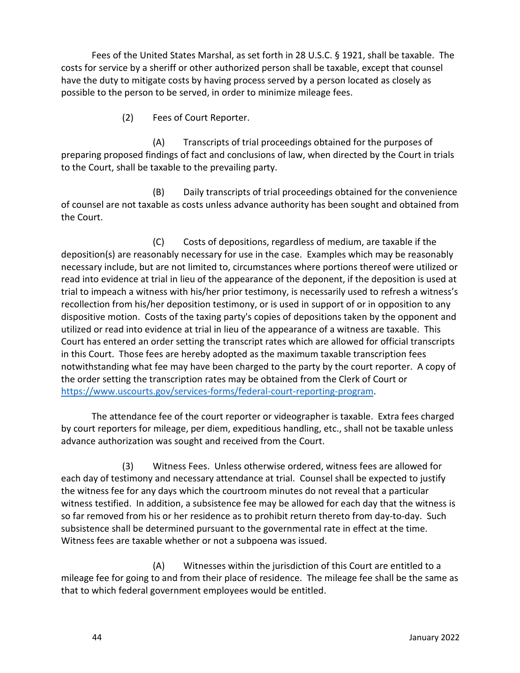Fees of the United States Marshal, as set forth in 28 U.S.C. § 1921, shall be taxable. The costs for service by a sheriff or other authorized person shall be taxable, except that counsel have the duty to mitigate costs by having process served by a person located as closely as possible to the person to be served, in order to minimize mileage fees.

(2) Fees of Court Reporter.

(A) Transcripts of trial proceedings obtained for the purposes of preparing proposed findings of fact and conclusions of law, when directed by the Court in trials to the Court, shall be taxable to the prevailing party.

(B) Daily transcripts of trial proceedings obtained for the convenience of counsel are not taxable as costs unless advance authority has been sought and obtained from the Court.

(C) Costs of depositions, regardless of medium, are taxable if the deposition(s) are reasonably necessary for use in the case. Examples which may be reasonably necessary include, but are not limited to, circumstances where portions thereof were utilized or read into evidence at trial in lieu of the appearance of the deponent, if the deposition is used at trial to impeach a witness with his/her prior testimony, is necessarily used to refresh a witness's recollection from his/her deposition testimony, or is used in support of or in opposition to any dispositive motion. Costs of the taxing party's copies of depositions taken by the opponent and utilized or read into evidence at trial in lieu of the appearance of a witness are taxable. This Court has entered an order setting the transcript rates which are allowed for official transcripts in this Court. Those fees are hereby adopted as the maximum taxable transcription fees notwithstanding what fee may have been charged to the party by the court reporter. A copy of the order setting the transcription rates may be obtained from the Clerk of Court or [https://www.uscourts.gov/services-forms/federal-court-reporting-program.](https://www.uscourts.gov/services-forms/federal-court-reporting-program)

The attendance fee of the court reporter or videographer is taxable. Extra fees charged by court reporters for mileage, per diem, expeditious handling, etc., shall not be taxable unless advance authorization was sought and received from the Court.

(3) Witness Fees. Unless otherwise ordered, witness fees are allowed for each day of testimony and necessary attendance at trial. Counsel shall be expected to justify the witness fee for any days which the courtroom minutes do not reveal that a particular witness testified. In addition, a subsistence fee may be allowed for each day that the witness is so far removed from his or her residence as to prohibit return thereto from day-to-day. Such subsistence shall be determined pursuant to the governmental rate in effect at the time. Witness fees are taxable whether or not a subpoena was issued.

(A) Witnesses within the jurisdiction of this Court are entitled to a mileage fee for going to and from their place of residence. The mileage fee shall be the same as that to which federal government employees would be entitled.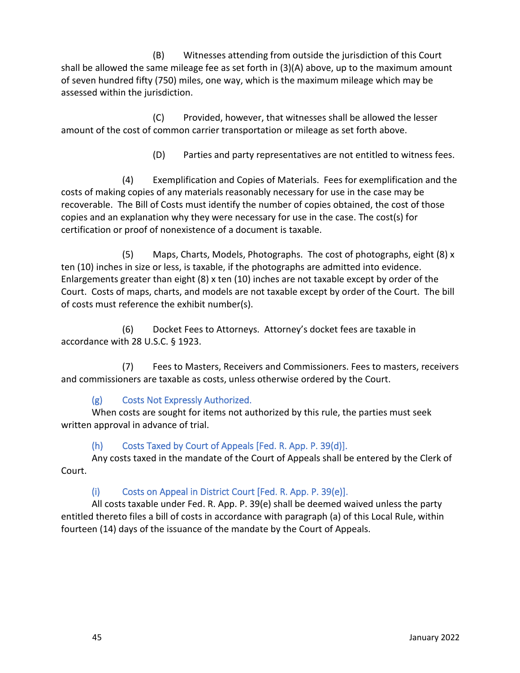(B) Witnesses attending from outside the jurisdiction of this Court shall be allowed the same mileage fee as set forth in (3)(A) above, up to the maximum amount of seven hundred fifty (750) miles, one way, which is the maximum mileage which may be assessed within the jurisdiction.

(C) Provided, however, that witnesses shall be allowed the lesser amount of the cost of common carrier transportation or mileage as set forth above.

(D) Parties and party representatives are not entitled to witness fees.

(4) Exemplification and Copies of Materials. Fees for exemplification and the costs of making copies of any materials reasonably necessary for use in the case may be recoverable. The Bill of Costs must identify the number of copies obtained, the cost of those copies and an explanation why they were necessary for use in the case. The cost(s) for certification or proof of nonexistence of a document is taxable.

(5) Maps, Charts, Models, Photographs. The cost of photographs, eight (8) x ten (10) inches in size or less, is taxable, if the photographs are admitted into evidence. Enlargements greater than eight (8) x ten (10) inches are not taxable except by order of the Court. Costs of maps, charts, and models are not taxable except by order of the Court. The bill of costs must reference the exhibit number(s).

(6) Docket Fees to Attorneys. Attorney's docket fees are taxable in accordance with 28 U.S.C. § 1923.

(7) Fees to Masters, Receivers and Commissioners. Fees to masters, receivers and commissioners are taxable as costs, unless otherwise ordered by the Court.

# (g) Costs Not Expressly Authorized.

When costs are sought for items not authorized by this rule, the parties must seek written approval in advance of trial.

# (h) Costs Taxed by Court of Appeals [Fed. R. App. P. 39(d)].

Any costs taxed in the mandate of the Court of Appeals shall be entered by the Clerk of Court.

# (i) Costs on Appeal in District Court [Fed. R. App. P. 39(e)].

All costs taxable under Fed. R. App. P. 39(e) shall be deemed waived unless the party entitled thereto files a bill of costs in accordance with paragraph (a) of this Local Rule, within fourteen (14) days of the issuance of the mandate by the Court of Appeals.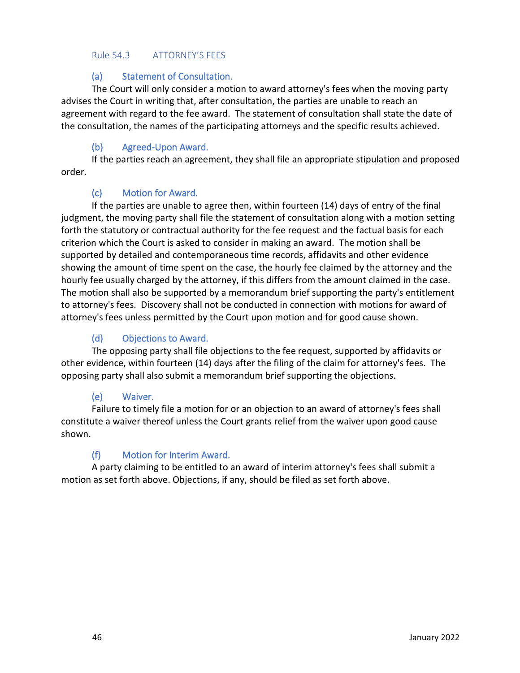#### Rule 54.3 ATTORNEY'S FEES

## (a) Statement of Consultation.

The Court will only consider a motion to award attorney's fees when the moving party advises the Court in writing that, after consultation, the parties are unable to reach an agreement with regard to the fee award. The statement of consultation shall state the date of the consultation, the names of the participating attorneys and the specific results achieved.

## (b) Agreed-Upon Award.

If the parties reach an agreement, they shall file an appropriate stipulation and proposed order.

## (c) Motion for Award.

If the parties are unable to agree then, within fourteen (14) days of entry of the final judgment, the moving party shall file the statement of consultation along with a motion setting forth the statutory or contractual authority for the fee request and the factual basis for each criterion which the Court is asked to consider in making an award. The motion shall be supported by detailed and contemporaneous time records, affidavits and other evidence showing the amount of time spent on the case, the hourly fee claimed by the attorney and the hourly fee usually charged by the attorney, if this differs from the amount claimed in the case. The motion shall also be supported by a memorandum brief supporting the party's entitlement to attorney's fees. Discovery shall not be conducted in connection with motions for award of attorney's fees unless permitted by the Court upon motion and for good cause shown.

## (d) Objections to Award.

The opposing party shall file objections to the fee request, supported by affidavits or other evidence, within fourteen (14) days after the filing of the claim for attorney's fees. The opposing party shall also submit a memorandum brief supporting the objections.

## (e) Waiver.

Failure to timely file a motion for or an objection to an award of attorney's fees shall constitute a waiver thereof unless the Court grants relief from the waiver upon good cause shown.

## (f) Motion for Interim Award.

A party claiming to be entitled to an award of interim attorney's fees shall submit a motion as set forth above. Objections, if any, should be filed as set forth above.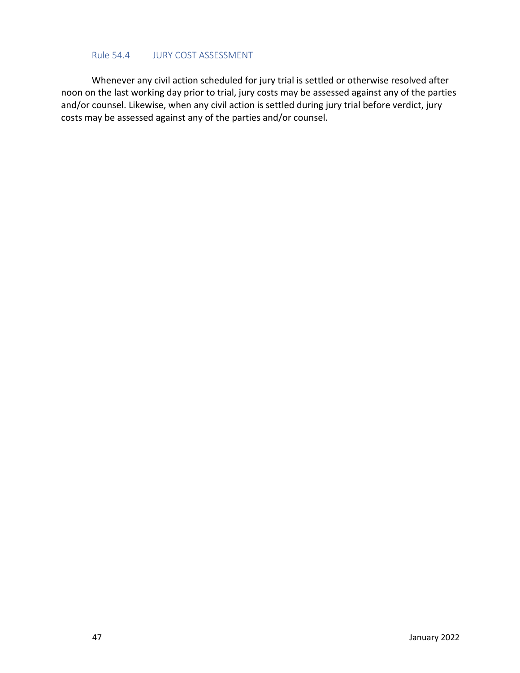#### Rule 54.4 JURY COST ASSESSMENT

Whenever any civil action scheduled for jury trial is settled or otherwise resolved after noon on the last working day prior to trial, jury costs may be assessed against any of the parties and/or counsel. Likewise, when any civil action is settled during jury trial before verdict, jury costs may be assessed against any of the parties and/or counsel.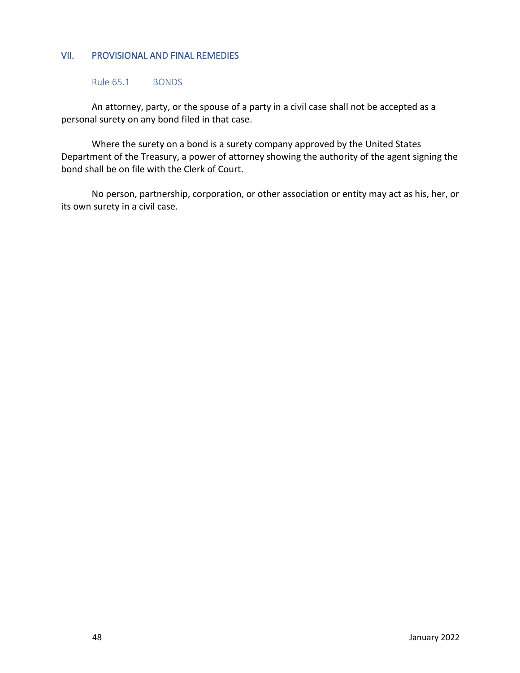#### VII. PROVISIONAL AND FINAL REMEDIES

Rule 65.1 BONDS

An attorney, party, or the spouse of a party in a civil case shall not be accepted as a personal surety on any bond filed in that case.

Where the surety on a bond is a surety company approved by the United States Department of the Treasury, a power of attorney showing the authority of the agent signing the bond shall be on file with the Clerk of Court.

No person, partnership, corporation, or other association or entity may act as his, her, or its own surety in a civil case.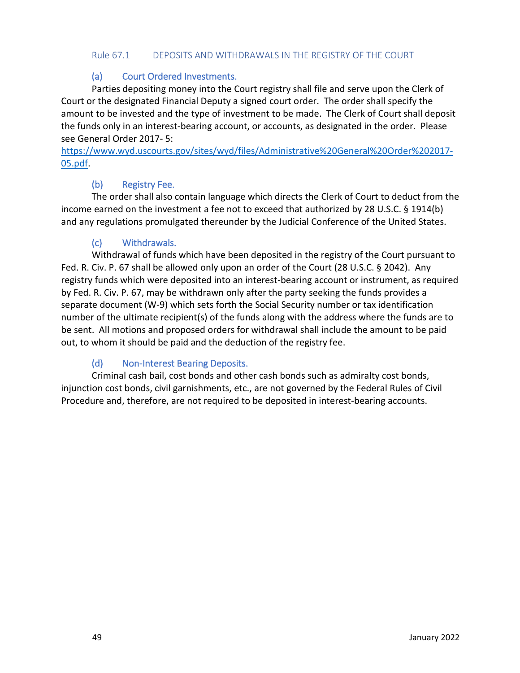#### Rule 67.1 DEPOSITS AND WITHDRAWALS IN THE REGISTRY OF THE COURT

## (a) Court Ordered Investments.

Parties depositing money into the Court registry shall file and serve upon the Clerk of Court or the designated Financial Deputy a signed court order. The order shall specify the amount to be invested and the type of investment to be made. The Clerk of Court shall deposit the funds only in an interest-bearing account, or accounts, as designated in the order. Please see General Order 2017- 5:

[https://www.wyd.uscourts.gov/sites/wyd/files/Administrative%20General%20Order%202017-](https://www.wyd.uscourts.gov/sites/wyd/files/Administrative%20General%20Order%202017-05.pdf) [05.pdf.](https://www.wyd.uscourts.gov/sites/wyd/files/Administrative%20General%20Order%202017-05.pdf)

## (b) Registry Fee.

The order shall also contain language which directs the Clerk of Court to deduct from the income earned on the investment a fee not to exceed that authorized by 28 U.S.C. § 1914(b) and any regulations promulgated thereunder by the Judicial Conference of the United States.

## (c) Withdrawals.

Withdrawal of funds which have been deposited in the registry of the Court pursuant to Fed. R. Civ. P. 67 shall be allowed only upon an order of the Court (28 U.S.C. § 2042). Any registry funds which were deposited into an interest-bearing account or instrument, as required by Fed. R. Civ. P. 67, may be withdrawn only after the party seeking the funds provides a separate document (W-9) which sets forth the Social Security number or tax identification number of the ultimate recipient(s) of the funds along with the address where the funds are to be sent. All motions and proposed orders for withdrawal shall include the amount to be paid out, to whom it should be paid and the deduction of the registry fee.

## (d) Non-Interest Bearing Deposits.

Criminal cash bail, cost bonds and other cash bonds such as admiralty cost bonds, injunction cost bonds, civil garnishments, etc., are not governed by the Federal Rules of Civil Procedure and, therefore, are not required to be deposited in interest-bearing accounts.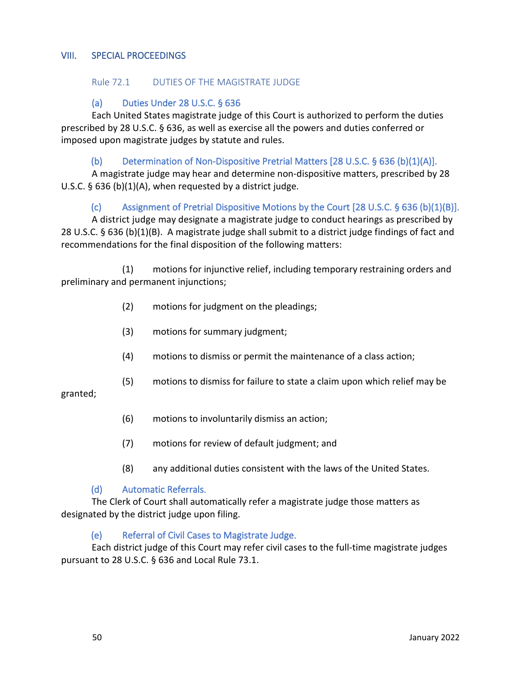#### VIII. SPECIAL PROCEEDINGS

#### Rule 72.1 DUTIES OF THE MAGISTRATE JUDGE

#### (a) Duties Under 28 U.S.C. § 636

Each United States magistrate judge of this Court is authorized to perform the duties prescribed by 28 U.S.C. § 636, as well as exercise all the powers and duties conferred or imposed upon magistrate judges by statute and rules.

#### (b) Determination of Non-Dispositive Pretrial Matters [28 U.S.C. § 636 (b)(1)(A)].

A magistrate judge may hear and determine non-dispositive matters, prescribed by 28 U.S.C.  $\S$  636 (b)(1)(A), when requested by a district judge.

## (c) Assignment of Pretrial Dispositive Motions by the Court [28 U.S.C. § 636 (b)(1)(B)].

A district judge may designate a magistrate judge to conduct hearings as prescribed by 28 U.S.C. § 636 (b)(1)(B). A magistrate judge shall submit to a district judge findings of fact and recommendations for the final disposition of the following matters:

(1) motions for injunctive relief, including temporary restraining orders and preliminary and permanent injunctions;

- (2) motions for judgment on the pleadings;
- (3) motions for summary judgment;
- (4) motions to dismiss or permit the maintenance of a class action;
- (5) motions to dismiss for failure to state a claim upon which relief may be

granted;

- (6) motions to involuntarily dismiss an action;
- (7) motions for review of default judgment; and
- (8) any additional duties consistent with the laws of the United States.

#### (d) Automatic Referrals.

The Clerk of Court shall automatically refer a magistrate judge those matters as designated by the district judge upon filing.

#### (e) Referral of Civil Cases to Magistrate Judge.

Each district judge of this Court may refer civil cases to the full-time magistrate judges pursuant to 28 U.S.C. § 636 and Local Rule 73.1.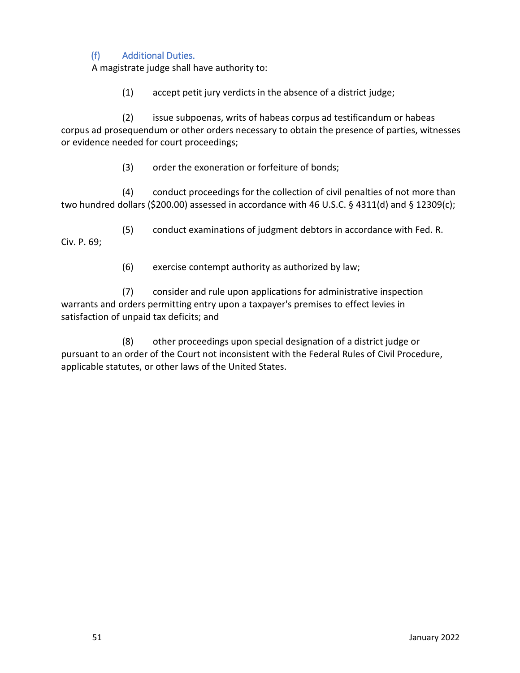## (f) Additional Duties.

A magistrate judge shall have authority to:

(1) accept petit jury verdicts in the absence of a district judge;

(2) issue subpoenas, writs of habeas corpus ad testificandum or habeas corpus ad prosequendum or other orders necessary to obtain the presence of parties, witnesses or evidence needed for court proceedings;

(3) order the exoneration or forfeiture of bonds;

(4) conduct proceedings for the collection of civil penalties of not more than two hundred dollars (\$200.00) assessed in accordance with 46 U.S.C. § 4311(d) and § 12309(c);

(5) conduct examinations of judgment debtors in accordance with Fed. R. Civ. P. 69;

(6) exercise contempt authority as authorized by law;

(7) consider and rule upon applications for administrative inspection warrants and orders permitting entry upon a taxpayer's premises to effect levies in satisfaction of unpaid tax deficits; and

(8) other proceedings upon special designation of a district judge or pursuant to an order of the Court not inconsistent with the Federal Rules of Civil Procedure, applicable statutes, or other laws of the United States.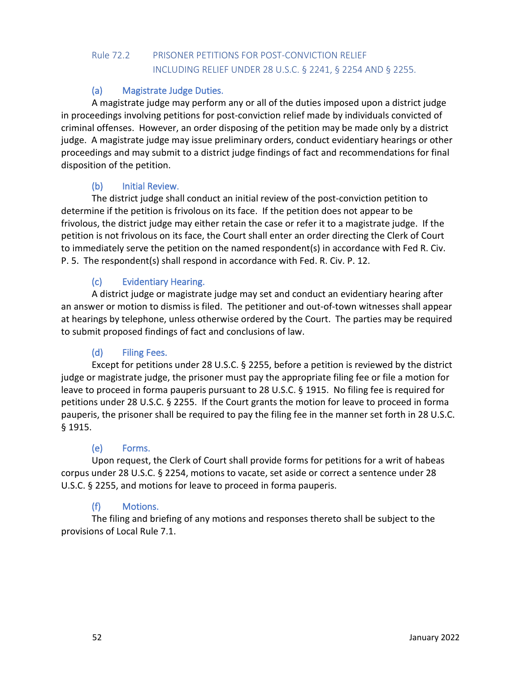# Rule 72.2 PRISONER PETITIONS FOR POST-CONVICTION RELIEF INCLUDING RELIEF UNDER 28 U.S.C. § 2241, § 2254 AND § 2255.

## (a) Magistrate Judge Duties.

A magistrate judge may perform any or all of the duties imposed upon a district judge in proceedings involving petitions for post-conviction relief made by individuals convicted of criminal offenses. However, an order disposing of the petition may be made only by a district judge. A magistrate judge may issue preliminary orders, conduct evidentiary hearings or other proceedings and may submit to a district judge findings of fact and recommendations for final disposition of the petition.

## (b) Initial Review.

The district judge shall conduct an initial review of the post-conviction petition to determine if the petition is frivolous on its face. If the petition does not appear to be frivolous, the district judge may either retain the case or refer it to a magistrate judge. If the petition is not frivolous on its face, the Court shall enter an order directing the Clerk of Court to immediately serve the petition on the named respondent(s) in accordance with Fed R. Civ. P. 5. The respondent(s) shall respond in accordance with Fed. R. Civ. P. 12.

## (c) Evidentiary Hearing.

A district judge or magistrate judge may set and conduct an evidentiary hearing after an answer or motion to dismiss is filed. The petitioner and out-of-town witnesses shall appear at hearings by telephone, unless otherwise ordered by the Court. The parties may be required to submit proposed findings of fact and conclusions of law.

## (d) Filing Fees.

Except for petitions under 28 U.S.C. § 2255, before a petition is reviewed by the district judge or magistrate judge, the prisoner must pay the appropriate filing fee or file a motion for leave to proceed in forma pauperis pursuant to 28 U.S.C. § 1915. No filing fee is required for petitions under 28 U.S.C. § 2255. If the Court grants the motion for leave to proceed in forma pauperis, the prisoner shall be required to pay the filing fee in the manner set forth in 28 U.S.C. § 1915.

## (e) Forms.

Upon request, the Clerk of Court shall provide forms for petitions for a writ of habeas corpus under 28 U.S.C. § 2254, motions to vacate, set aside or correct a sentence under 28 U.S.C. § 2255, and motions for leave to proceed in forma pauperis.

## (f) Motions.

The filing and briefing of any motions and responses thereto shall be subject to the provisions of Local Rule 7.1.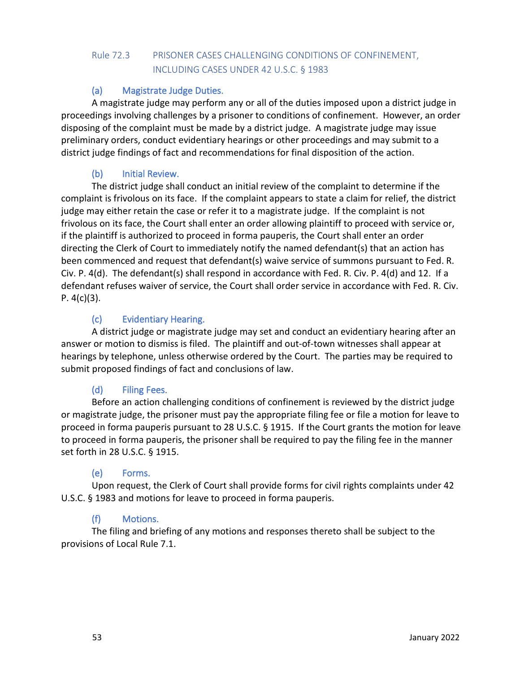# Rule 72.3 PRISONER CASES CHALLENGING CONDITIONS OF CONFINEMENT, INCLUDING CASES UNDER 42 U.S.C. § 1983

# (a) Magistrate Judge Duties.

A magistrate judge may perform any or all of the duties imposed upon a district judge in proceedings involving challenges by a prisoner to conditions of confinement. However, an order disposing of the complaint must be made by a district judge. A magistrate judge may issue preliminary orders, conduct evidentiary hearings or other proceedings and may submit to a district judge findings of fact and recommendations for final disposition of the action.

# (b) Initial Review.

The district judge shall conduct an initial review of the complaint to determine if the complaint is frivolous on its face. If the complaint appears to state a claim for relief, the district judge may either retain the case or refer it to a magistrate judge. If the complaint is not frivolous on its face, the Court shall enter an order allowing plaintiff to proceed with service or, if the plaintiff is authorized to proceed in forma pauperis, the Court shall enter an order directing the Clerk of Court to immediately notify the named defendant(s) that an action has been commenced and request that defendant(s) waive service of summons pursuant to Fed. R. Civ. P. 4(d). The defendant(s) shall respond in accordance with Fed. R. Civ. P. 4(d) and 12. If a defendant refuses waiver of service, the Court shall order service in accordance with Fed. R. Civ. P.  $4(c)(3)$ .

# (c) Evidentiary Hearing.

A district judge or magistrate judge may set and conduct an evidentiary hearing after an answer or motion to dismiss is filed. The plaintiff and out-of-town witnesses shall appear at hearings by telephone, unless otherwise ordered by the Court. The parties may be required to submit proposed findings of fact and conclusions of law.

# (d) Filing Fees.

Before an action challenging conditions of confinement is reviewed by the district judge or magistrate judge, the prisoner must pay the appropriate filing fee or file a motion for leave to proceed in forma pauperis pursuant to 28 U.S.C. § 1915. If the Court grants the motion for leave to proceed in forma pauperis, the prisoner shall be required to pay the filing fee in the manner set forth in 28 U.S.C. § 1915.

# (e) Forms.

Upon request, the Clerk of Court shall provide forms for civil rights complaints under 42 U.S.C. § 1983 and motions for leave to proceed in forma pauperis.

# (f) Motions.

The filing and briefing of any motions and responses thereto shall be subject to the provisions of Local Rule 7.1.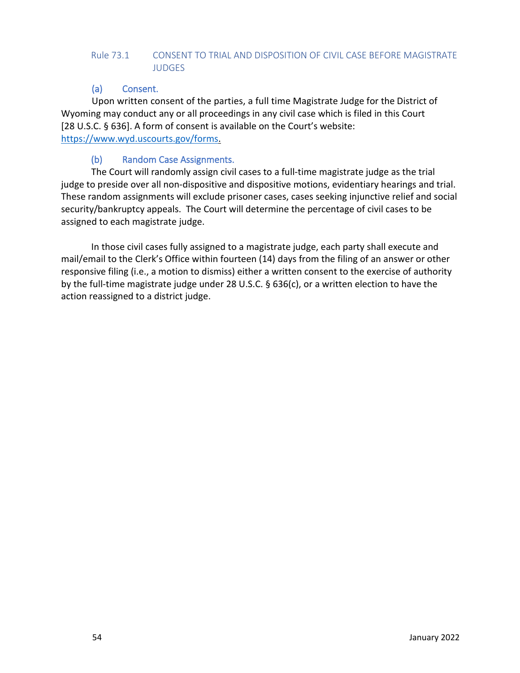## Rule 73.1 CONSENT TO TRIAL AND DISPOSITION OF CIVIL CASE BEFORE MAGISTRATE JUDGES

## (a) Consent.

Upon written consent of the parties, a full time Magistrate Judge for the District of Wyoming may conduct any or all proceedings in any civil case which is filed in this Court [28 U.S.C. § 636]. A form of consent is available on the Court's website: [https://www.wyd.uscourts.gov/forms.](https://www.wyd.uscourts.gov/forms)

## (b) Random Case Assignments.

The Court will randomly assign civil cases to a full-time magistrate judge as the trial judge to preside over all non-dispositive and dispositive motions, evidentiary hearings and trial. These random assignments will exclude prisoner cases, cases seeking injunctive relief and social security/bankruptcy appeals. The Court will determine the percentage of civil cases to be assigned to each magistrate judge.

In those civil cases fully assigned to a magistrate judge, each party shall execute and mail/email to the Clerk's Office within fourteen (14) days from the filing of an answer or other responsive filing (i.e., a motion to dismiss) either a written consent to the exercise of authority by the full-time magistrate judge under 28 U.S.C. § 636(c), or a written election to have the action reassigned to a district judge.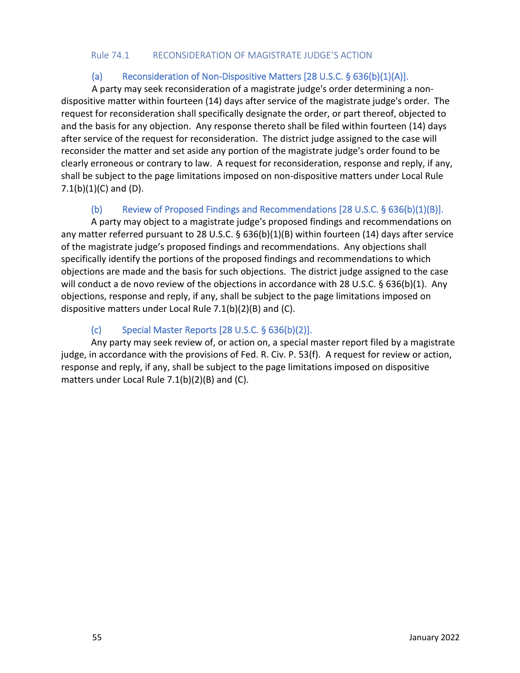#### Rule 74.1 RECONSIDERATION OF MAGISTRATE JUDGE'S ACTION

## (a) Reconsideration of Non-Dispositive Matters [28 U.S.C. § 636(b)(1)(A)].

A party may seek reconsideration of a magistrate judge's order determining a nondispositive matter within fourteen (14) days after service of the magistrate judge's order. The request for reconsideration shall specifically designate the order, or part thereof, objected to and the basis for any objection. Any response thereto shall be filed within fourteen (14) days after service of the request for reconsideration. The district judge assigned to the case will reconsider the matter and set aside any portion of the magistrate judge's order found to be clearly erroneous or contrary to law. A request for reconsideration, response and reply, if any, shall be subject to the page limitations imposed on non-dispositive matters under Local Rule 7.1(b) $(1)(C)$  and  $(D)$ .

## (b) Review of Proposed Findings and Recommendations [28 U.S.C. § 636(b)(1)(B)].

A party may object to a magistrate judge's proposed findings and recommendations on any matter referred pursuant to 28 U.S.C. § 636(b)(1)(B) within fourteen (14) days after service of the magistrate judge's proposed findings and recommendations. Any objections shall specifically identify the portions of the proposed findings and recommendations to which objections are made and the basis for such objections. The district judge assigned to the case will conduct a de novo review of the objections in accordance with 28 U.S.C. § 636(b)(1). Any objections, response and reply, if any, shall be subject to the page limitations imposed on dispositive matters under Local Rule 7.1(b)(2)(B) and (C).

## (c) Special Master Reports [28 U.S.C. § 636(b)(2)].

Any party may seek review of, or action on, a special master report filed by a magistrate judge, in accordance with the provisions of Fed. R. Civ. P. 53(f). A request for review or action, response and reply, if any, shall be subject to the page limitations imposed on dispositive matters under Local Rule 7.1(b)(2)(B) and (C).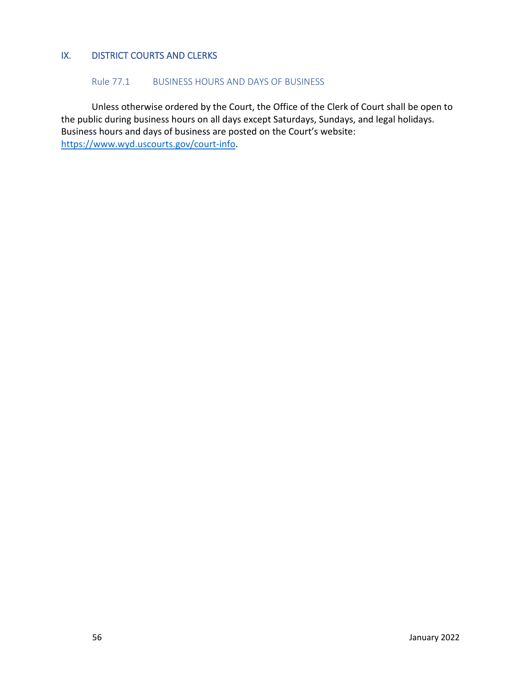## IX. DISTRICT COURTS AND CLERKS

#### Rule 77.1 BUSINESS HOURS AND DAYS OF BUSINESS

Unless otherwise ordered by the Court, the Office of the Clerk of Court shall be open to the public during business hours on all days except Saturdays, Sundays, and legal holidays. Business hours and days of business are posted on the Court's website: [https://www.wyd.uscourts.gov/court-info.](https://www.wyd.uscourts.gov/court-info)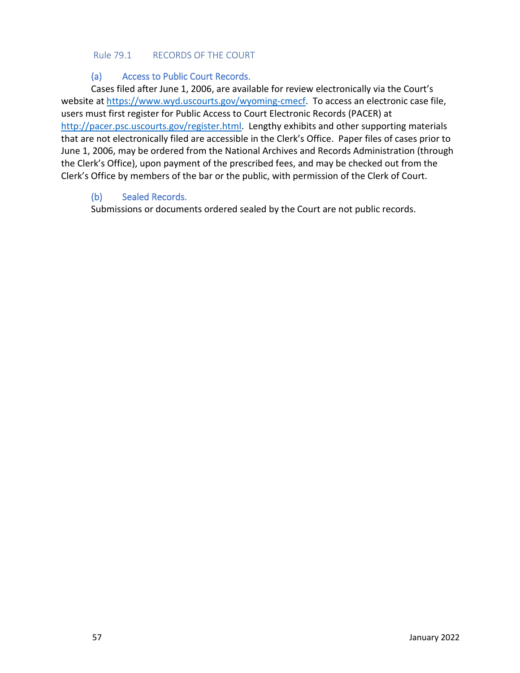#### Rule 79.1 RECORDS OF THE COURT

### (a) Access to Public Court Records.

Cases filed after June 1, 2006, are available for review electronically via the Court's website at [https://www.wyd.uscourts.gov/wyoming-cmecf.](https://www.wyd.uscourts.gov/wyoming-cmecf) To access an electronic case file, users must first register for Public Access to Court Electronic Records (PACER) at [http://pacer.psc.uscourts.gov/register.html.](http://pacer.psc.uscourts.gov/register.html) Lengthy exhibits and other supporting materials that are not electronically filed are accessible in the Clerk's Office. Paper files of cases prior to June 1, 2006, may be ordered from the National Archives and Records Administration (through the Clerk's Office), upon payment of the prescribed fees, and may be checked out from the Clerk's Office by members of the bar or the public, with permission of the Clerk of Court.

## (b) Sealed Records.

Submissions or documents ordered sealed by the Court are not public records.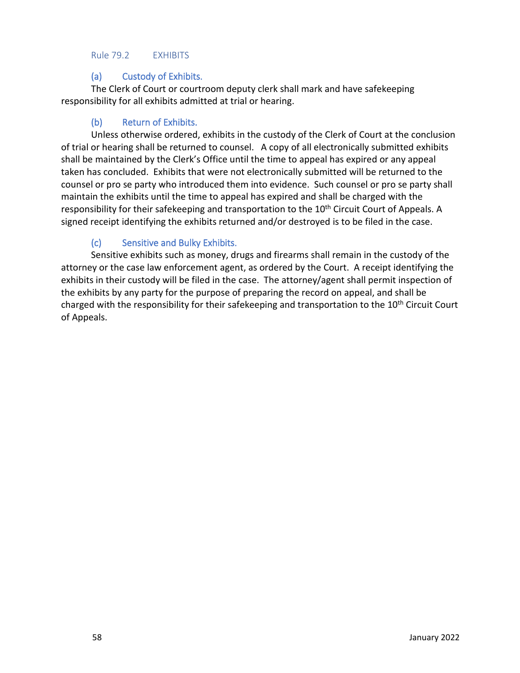#### Rule 79.2 EXHIBITS

## (a) Custody of Exhibits.

The Clerk of Court or courtroom deputy clerk shall mark and have safekeeping responsibility for all exhibits admitted at trial or hearing.

## (b) Return of Exhibits.

Unless otherwise ordered, exhibits in the custody of the Clerk of Court at the conclusion of trial or hearing shall be returned to counsel. A copy of all electronically submitted exhibits shall be maintained by the Clerk's Office until the time to appeal has expired or any appeal taken has concluded. Exhibits that were not electronically submitted will be returned to the counsel or pro se party who introduced them into evidence. Such counsel or pro se party shall maintain the exhibits until the time to appeal has expired and shall be charged with the responsibility for their safekeeping and transportation to the 10<sup>th</sup> Circuit Court of Appeals. A signed receipt identifying the exhibits returned and/or destroyed is to be filed in the case.

## (c) Sensitive and Bulky Exhibits.

Sensitive exhibits such as money, drugs and firearms shall remain in the custody of the attorney or the case law enforcement agent, as ordered by the Court. A receipt identifying the exhibits in their custody will be filed in the case. The attorney/agent shall permit inspection of the exhibits by any party for the purpose of preparing the record on appeal, and shall be charged with the responsibility for their safekeeping and transportation to the 10<sup>th</sup> Circuit Court of Appeals.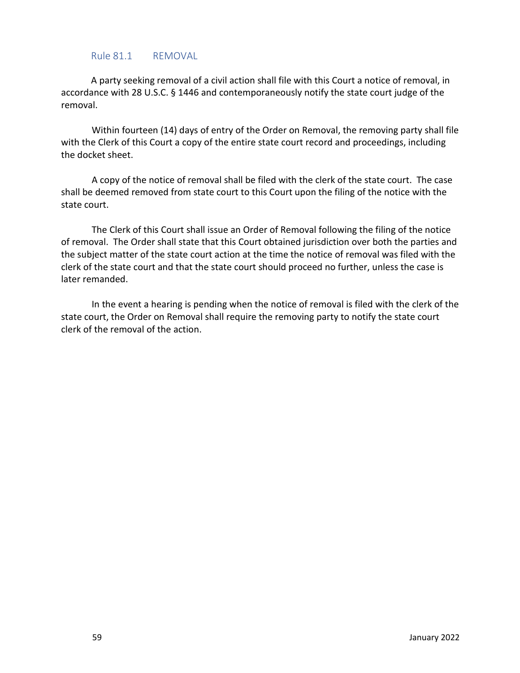#### Rule 81.1 REMOVAL

A party seeking removal of a civil action shall file with this Court a notice of removal, in accordance with 28 U.S.C. § 1446 and contemporaneously notify the state court judge of the removal.

Within fourteen (14) days of entry of the Order on Removal, the removing party shall file with the Clerk of this Court a copy of the entire state court record and proceedings, including the docket sheet.

A copy of the notice of removal shall be filed with the clerk of the state court. The case shall be deemed removed from state court to this Court upon the filing of the notice with the state court.

The Clerk of this Court shall issue an Order of Removal following the filing of the notice of removal. The Order shall state that this Court obtained jurisdiction over both the parties and the subject matter of the state court action at the time the notice of removal was filed with the clerk of the state court and that the state court should proceed no further, unless the case is later remanded.

In the event a hearing is pending when the notice of removal is filed with the clerk of the state court, the Order on Removal shall require the removing party to notify the state court clerk of the removal of the action.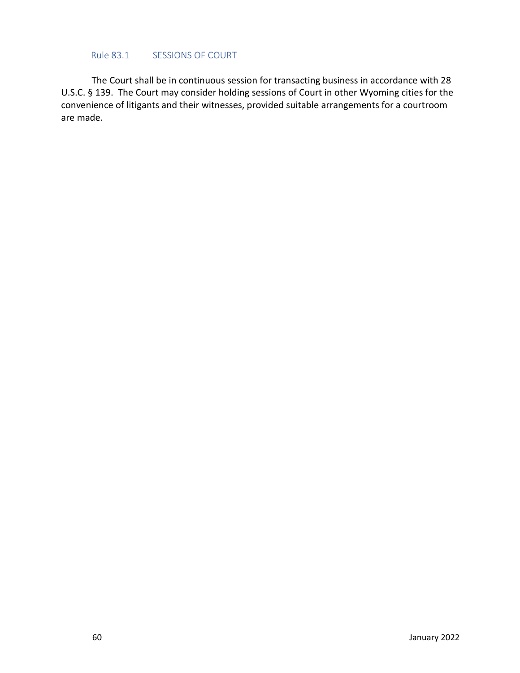#### Rule 83.1 SESSIONS OF COURT

The Court shall be in continuous session for transacting business in accordance with 28 U.S.C. § 139. The Court may consider holding sessions of Court in other Wyoming cities for the convenience of litigants and their witnesses, provided suitable arrangements for a courtroom are made.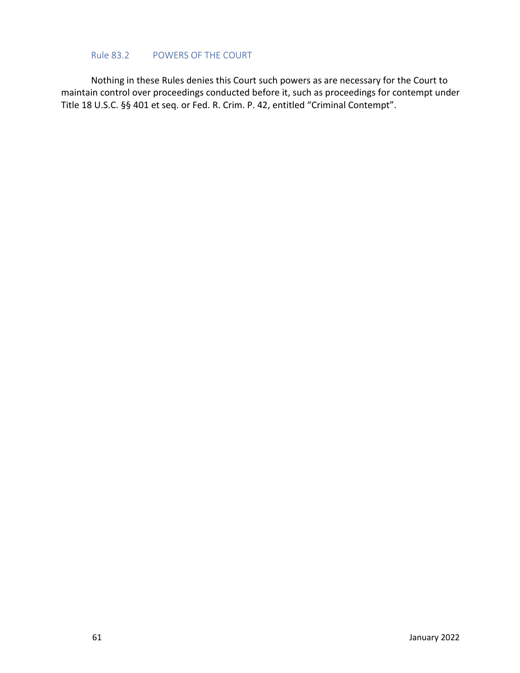#### Rule 83.2 POWERS OF THE COURT

Nothing in these Rules denies this Court such powers as are necessary for the Court to maintain control over proceedings conducted before it, such as proceedings for contempt under Title 18 U.S.C. §§ 401 et seq. or Fed. R. Crim. P. 42, entitled "Criminal Contempt".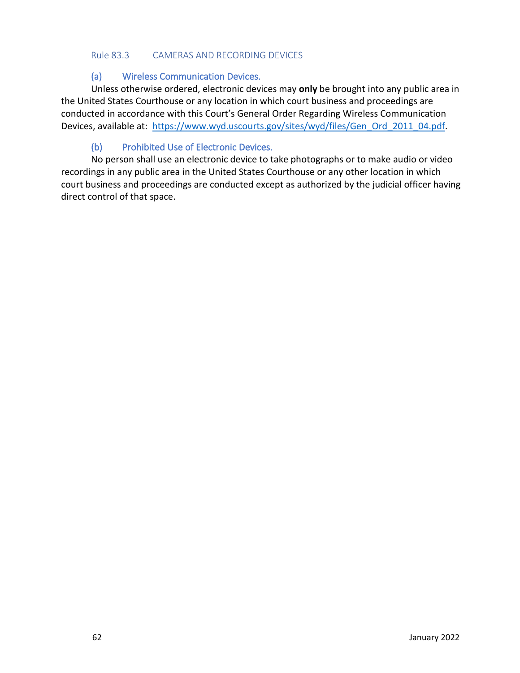#### Rule 83.3 CAMERAS AND RECORDING DEVICES

#### (a) Wireless Communication Devices.

Unless otherwise ordered, electronic devices may **only** be brought into any public area in the United States Courthouse or any location in which court business and proceedings are conducted in accordance with this Court's General Order Regarding Wireless Communication Devices, available at: [https://www.wyd.uscourts.gov/sites/wyd/files/Gen\\_Ord\\_2011\\_04.pdf.](https://www.wyd.uscourts.gov/sites/wyd/files/Gen_Ord_2011_04.pdf)

## (b) Prohibited Use of Electronic Devices.

No person shall use an electronic device to take photographs or to make audio or video recordings in any public area in the United States Courthouse or any other location in which court business and proceedings are conducted except as authorized by the judicial officer having direct control of that space.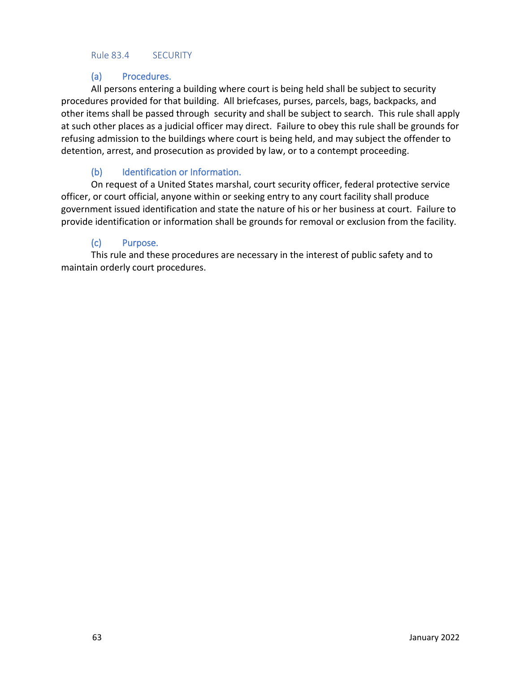#### Rule 83.4 SECURITY

## (a) Procedures.

All persons entering a building where court is being held shall be subject to security procedures provided for that building. All briefcases, purses, parcels, bags, backpacks, and other items shall be passed through security and shall be subject to search. This rule shall apply at such other places as a judicial officer may direct. Failure to obey this rule shall be grounds for refusing admission to the buildings where court is being held, and may subject the offender to detention, arrest, and prosecution as provided by law, or to a contempt proceeding.

## (b) Identification or Information.

On request of a United States marshal, court security officer, federal protective service officer, or court official, anyone within or seeking entry to any court facility shall produce government issued identification and state the nature of his or her business at court. Failure to provide identification or information shall be grounds for removal or exclusion from the facility.

## (c) Purpose.

This rule and these procedures are necessary in the interest of public safety and to maintain orderly court procedures.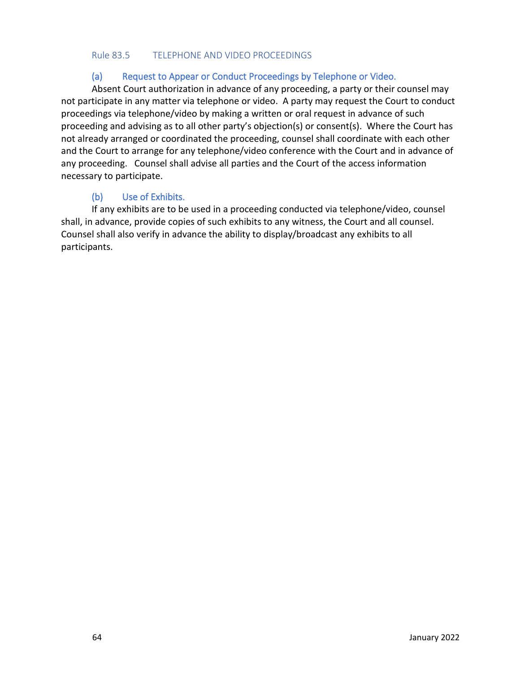#### Rule 83.5 TELEPHONE AND VIDEO PROCEEDINGS

#### (a) Request to Appear or Conduct Proceedings by Telephone or Video.

Absent Court authorization in advance of any proceeding, a party or their counsel may not participate in any matter via telephone or video. A party may request the Court to conduct proceedings via telephone/video by making a written or oral request in advance of such proceeding and advising as to all other party's objection(s) or consent(s). Where the Court has not already arranged or coordinated the proceeding, counsel shall coordinate with each other and the Court to arrange for any telephone/video conference with the Court and in advance of any proceeding. Counsel shall advise all parties and the Court of the access information necessary to participate.

## (b) Use of Exhibits.

If any exhibits are to be used in a proceeding conducted via telephone/video, counsel shall, in advance, provide copies of such exhibits to any witness, the Court and all counsel. Counsel shall also verify in advance the ability to display/broadcast any exhibits to all participants.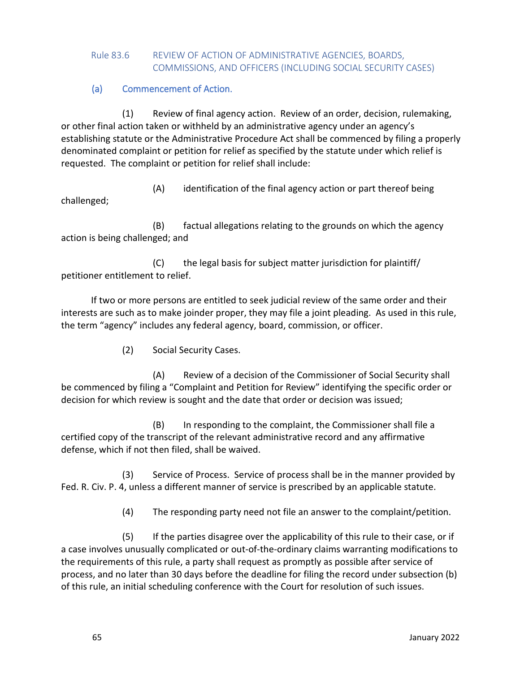### Rule 83.6 REVIEW OF ACTION OF ADMINISTRATIVE AGENCIES, BOARDS, COMMISSIONS, AND OFFICERS (INCLUDING SOCIAL SECURITY CASES)

(a) Commencement of Action.

(1) Review of final agency action. Review of an order, decision, rulemaking, or other final action taken or withheld by an administrative agency under an agency's establishing statute or the Administrative Procedure Act shall be commenced by filing a properly denominated complaint or petition for relief as specified by the statute under which relief is requested. The complaint or petition for relief shall include:

(A) identification of the final agency action or part thereof being challenged;

(B) factual allegations relating to the grounds on which the agency action is being challenged; and

(C) the legal basis for subject matter jurisdiction for plaintiff/ petitioner entitlement to relief.

If two or more persons are entitled to seek judicial review of the same order and their interests are such as to make joinder proper, they may file a joint pleading. As used in this rule, the term "agency" includes any federal agency, board, commission, or officer.

(2) Social Security Cases.

(A) Review of a decision of the Commissioner of Social Security shall be commenced by filing a "Complaint and Petition for Review" identifying the specific order or decision for which review is sought and the date that order or decision was issued;

(B) In responding to the complaint, the Commissioner shall file a certified copy of the transcript of the relevant administrative record and any affirmative defense, which if not then filed, shall be waived.

(3) Service of Process. Service of process shall be in the manner provided by Fed. R. Civ. P. 4, unless a different manner of service is prescribed by an applicable statute.

(4) The responding party need not file an answer to the complaint/petition.

(5) If the parties disagree over the applicability of this rule to their case, or if a case involves unusually complicated or out-of-the-ordinary claims warranting modifications to the requirements of this rule, a party shall request as promptly as possible after service of process, and no later than 30 days before the deadline for filing the record under subsection (b) of this rule, an initial scheduling conference with the Court for resolution of such issues.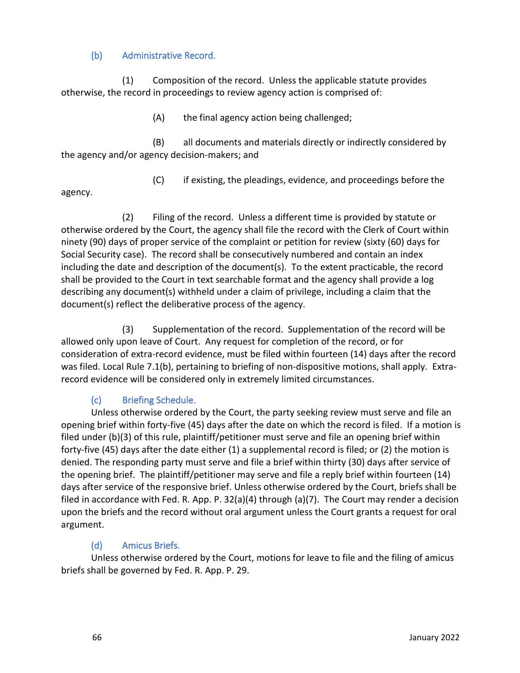## (b) Administrative Record.

(1) Composition of the record. Unless the applicable statute provides otherwise, the record in proceedings to review agency action is comprised of:

(A) the final agency action being challenged;

(B) all documents and materials directly or indirectly considered by the agency and/or agency decision-makers; and

(C) if existing, the pleadings, evidence, and proceedings before the

agency.

(2) Filing of the record. Unless a different time is provided by statute or otherwise ordered by the Court, the agency shall file the record with the Clerk of Court within ninety (90) days of proper service of the complaint or petition for review (sixty (60) days for Social Security case). The record shall be consecutively numbered and contain an index including the date and description of the document(s). To the extent practicable, the record shall be provided to the Court in text searchable format and the agency shall provide a log describing any document(s) withheld under a claim of privilege, including a claim that the document(s) reflect the deliberative process of the agency.

(3) Supplementation of the record. Supplementation of the record will be allowed only upon leave of Court. Any request for completion of the record, or for consideration of extra-record evidence, must be filed within fourteen (14) days after the record was filed. Local Rule 7.1(b), pertaining to briefing of non-dispositive motions, shall apply. Extrarecord evidence will be considered only in extremely limited circumstances.

## (c) Briefing Schedule.

Unless otherwise ordered by the Court, the party seeking review must serve and file an opening brief within forty-five (45) days after the date on which the record is filed. If a motion is filed under (b)(3) of this rule, plaintiff/petitioner must serve and file an opening brief within forty-five (45) days after the date either (1) a supplemental record is filed; or (2) the motion is denied. The responding party must serve and file a brief within thirty (30) days after service of the opening brief. The plaintiff/petitioner may serve and file a reply brief within fourteen (14) days after service of the responsive brief. Unless otherwise ordered by the Court, briefs shall be filed in accordance with Fed. R. App. P.  $32(a)(4)$  through (a)(7). The Court may render a decision upon the briefs and the record without oral argument unless the Court grants a request for oral argument.

## (d) Amicus Briefs.

Unless otherwise ordered by the Court, motions for leave to file and the filing of amicus briefs shall be governed by Fed. R. App. P. 29.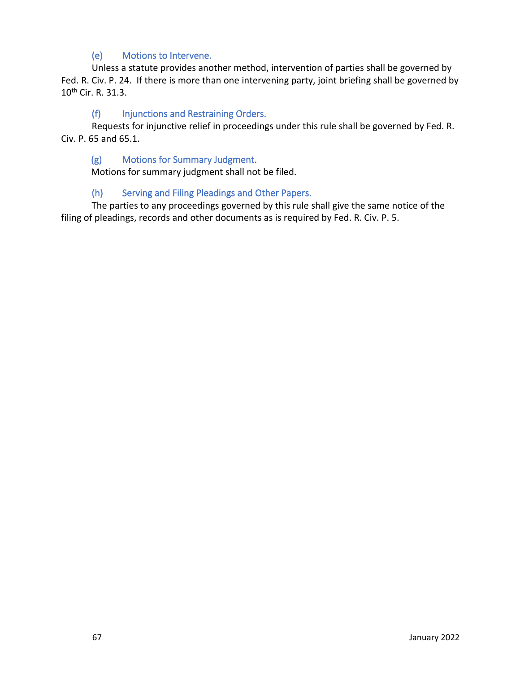### (e) Motions to Intervene.

Unless a statute provides another method, intervention of parties shall be governed by Fed. R. Civ. P. 24. If there is more than one intervening party, joint briefing shall be governed by 10th Cir. R. 31.3.

#### (f) Injunctions and Restraining Orders.

Requests for injunctive relief in proceedings under this rule shall be governed by Fed. R. Civ. P. 65 and 65.1.

#### (g) Motions for Summary Judgment.

Motions for summary judgment shall not be filed.

#### (h) Serving and Filing Pleadings and Other Papers.

The parties to any proceedings governed by this rule shall give the same notice of the filing of pleadings, records and other documents as is required by Fed. R. Civ. P. 5.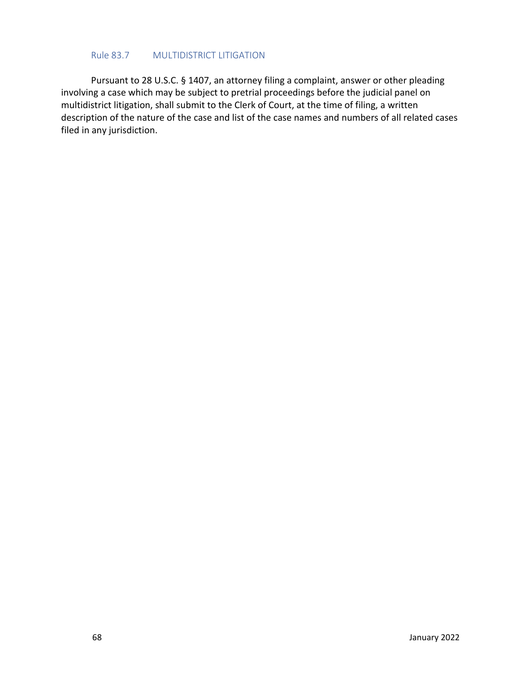#### Rule 83.7 MULTIDISTRICT LITIGATION

Pursuant to 28 U.S.C. § 1407, an attorney filing a complaint, answer or other pleading involving a case which may be subject to pretrial proceedings before the judicial panel on multidistrict litigation, shall submit to the Clerk of Court, at the time of filing, a written description of the nature of the case and list of the case names and numbers of all related cases filed in any jurisdiction.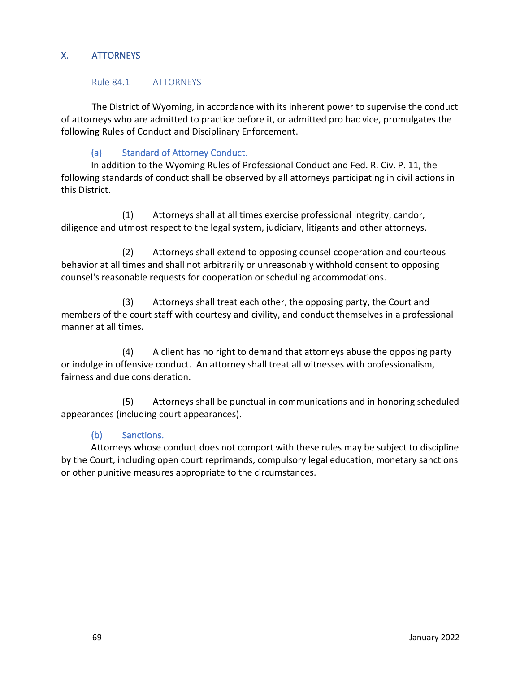## X. ATTORNEYS

#### Rule 84.1 ATTORNEYS

The District of Wyoming, in accordance with its inherent power to supervise the conduct of attorneys who are admitted to practice before it, or admitted pro hac vice, promulgates the following Rules of Conduct and Disciplinary Enforcement.

## (a) Standard of Attorney Conduct.

In addition to the Wyoming Rules of Professional Conduct and Fed. R. Civ. P. 11, the following standards of conduct shall be observed by all attorneys participating in civil actions in this District.

(1) Attorneys shall at all times exercise professional integrity, candor, diligence and utmost respect to the legal system, judiciary, litigants and other attorneys.

(2) Attorneys shall extend to opposing counsel cooperation and courteous behavior at all times and shall not arbitrarily or unreasonably withhold consent to opposing counsel's reasonable requests for cooperation or scheduling accommodations.

(3) Attorneys shall treat each other, the opposing party, the Court and members of the court staff with courtesy and civility, and conduct themselves in a professional manner at all times.

(4) A client has no right to demand that attorneys abuse the opposing party or indulge in offensive conduct. An attorney shall treat all witnesses with professionalism, fairness and due consideration.

(5) Attorneys shall be punctual in communications and in honoring scheduled appearances (including court appearances).

### (b) Sanctions.

Attorneys whose conduct does not comport with these rules may be subject to discipline by the Court, including open court reprimands, compulsory legal education, monetary sanctions or other punitive measures appropriate to the circumstances.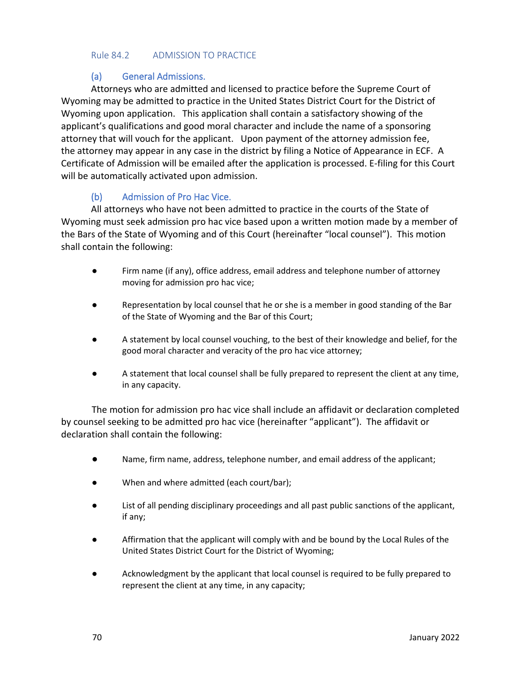#### Rule 84.2 ADMISSION TO PRACTICE

#### (a) General Admissions.

Attorneys who are admitted and licensed to practice before the Supreme Court of Wyoming may be admitted to practice in the United States District Court for the District of Wyoming upon application. This application shall contain a satisfactory showing of the applicant's qualifications and good moral character and include the name of a sponsoring attorney that will vouch for the applicant. Upon payment of the attorney admission fee, the attorney may appear in any case in the district by filing a Notice of Appearance in ECF. A Certificate of Admission will be emailed after the application is processed. E-filing for this Court will be automatically activated upon admission.

### (b) Admission of Pro Hac Vice.

All attorneys who have not been admitted to practice in the courts of the State of Wyoming must seek admission pro hac vice based upon a written motion made by a member of the Bars of the State of Wyoming and of this Court (hereinafter "local counsel"). This motion shall contain the following:

- Firm name (if any), office address, email address and telephone number of attorney moving for admission pro hac vice;
- Representation by local counsel that he or she is a member in good standing of the Bar of the State of Wyoming and the Bar of this Court;
- A statement by local counsel vouching, to the best of their knowledge and belief, for the good moral character and veracity of the pro hac vice attorney;
- A statement that local counsel shall be fully prepared to represent the client at any time, in any capacity.

The motion for admission pro hac vice shall include an affidavit or declaration completed by counsel seeking to be admitted pro hac vice (hereinafter "applicant"). The affidavit or declaration shall contain the following:

- Name, firm name, address, telephone number, and email address of the applicant;
- When and where admitted (each court/bar);
- List of all pending disciplinary proceedings and all past public sanctions of the applicant, if any;
- Affirmation that the applicant will comply with and be bound by the Local Rules of the United States District Court for the District of Wyoming;
- Acknowledgment by the applicant that local counsel is required to be fully prepared to represent the client at any time, in any capacity;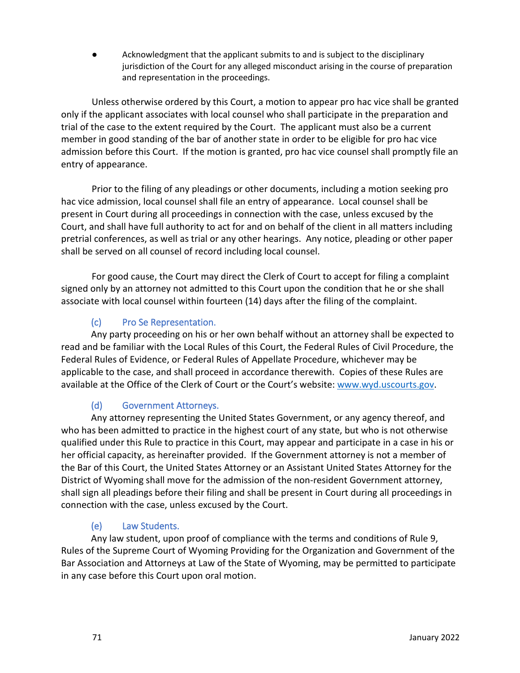Acknowledgment that the applicant submits to and is subject to the disciplinary jurisdiction of the Court for any alleged misconduct arising in the course of preparation and representation in the proceedings.

Unless otherwise ordered by this Court, a motion to appear pro hac vice shall be granted only if the applicant associates with local counsel who shall participate in the preparation and trial of the case to the extent required by the Court. The applicant must also be a current member in good standing of the bar of another state in order to be eligible for pro hac vice admission before this Court. If the motion is granted, pro hac vice counsel shall promptly file an entry of appearance.

Prior to the filing of any pleadings or other documents, including a motion seeking pro hac vice admission, local counsel shall file an entry of appearance. Local counsel shall be present in Court during all proceedings in connection with the case, unless excused by the Court, and shall have full authority to act for and on behalf of the client in all matters including pretrial conferences, as well as trial or any other hearings. Any notice, pleading or other paper shall be served on all counsel of record including local counsel.

For good cause, the Court may direct the Clerk of Court to accept for filing a complaint signed only by an attorney not admitted to this Court upon the condition that he or she shall associate with local counsel within fourteen (14) days after the filing of the complaint.

# (c) Pro Se Representation.

Any party proceeding on his or her own behalf without an attorney shall be expected to read and be familiar with the Local Rules of this Court, the Federal Rules of Civil Procedure, the Federal Rules of Evidence, or Federal Rules of Appellate Procedure, whichever may be applicable to the case, and shall proceed in accordance therewith. Copies of these Rules are available at the Office of the Clerk of Court or the Court's website: [www.wyd.uscourts.gov.](http://www.wyd.uscourts.gov/)

# (d) Government Attorneys.

Any attorney representing the United States Government, or any agency thereof, and who has been admitted to practice in the highest court of any state, but who is not otherwise qualified under this Rule to practice in this Court, may appear and participate in a case in his or her official capacity, as hereinafter provided. If the Government attorney is not a member of the Bar of this Court, the United States Attorney or an Assistant United States Attorney for the District of Wyoming shall move for the admission of the non-resident Government attorney, shall sign all pleadings before their filing and shall be present in Court during all proceedings in connection with the case, unless excused by the Court.

## (e) Law Students.

Any law student, upon proof of compliance with the terms and conditions of Rule 9, Rules of the Supreme Court of Wyoming Providing for the Organization and Government of the Bar Association and Attorneys at Law of the State of Wyoming, may be permitted to participate in any case before this Court upon oral motion.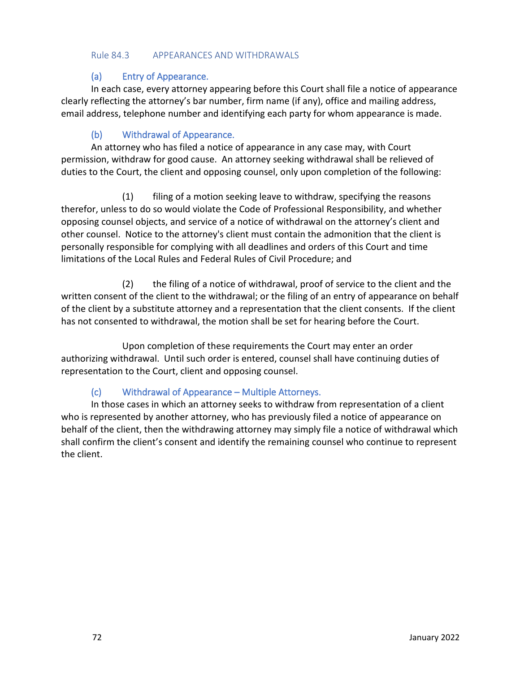#### Rule 84.3 APPEARANCES AND WITHDRAWALS

#### (a) Entry of Appearance.

In each case, every attorney appearing before this Court shall file a notice of appearance clearly reflecting the attorney's bar number, firm name (if any), office and mailing address, email address, telephone number and identifying each party for whom appearance is made.

### (b) Withdrawal of Appearance.

An attorney who has filed a notice of appearance in any case may, with Court permission, withdraw for good cause. An attorney seeking withdrawal shall be relieved of duties to the Court, the client and opposing counsel, only upon completion of the following:

(1) filing of a motion seeking leave to withdraw, specifying the reasons therefor, unless to do so would violate the Code of Professional Responsibility, and whether opposing counsel objects, and service of a notice of withdrawal on the attorney's client and other counsel. Notice to the attorney's client must contain the admonition that the client is personally responsible for complying with all deadlines and orders of this Court and time limitations of the Local Rules and Federal Rules of Civil Procedure; and

(2) the filing of a notice of withdrawal, proof of service to the client and the written consent of the client to the withdrawal; or the filing of an entry of appearance on behalf of the client by a substitute attorney and a representation that the client consents. If the client has not consented to withdrawal, the motion shall be set for hearing before the Court.

Upon completion of these requirements the Court may enter an order authorizing withdrawal. Until such order is entered, counsel shall have continuing duties of representation to the Court, client and opposing counsel.

### (c) Withdrawal of Appearance – Multiple Attorneys.

In those cases in which an attorney seeks to withdraw from representation of a client who is represented by another attorney, who has previously filed a notice of appearance on behalf of the client, then the withdrawing attorney may simply file a notice of withdrawal which shall confirm the client's consent and identify the remaining counsel who continue to represent the client.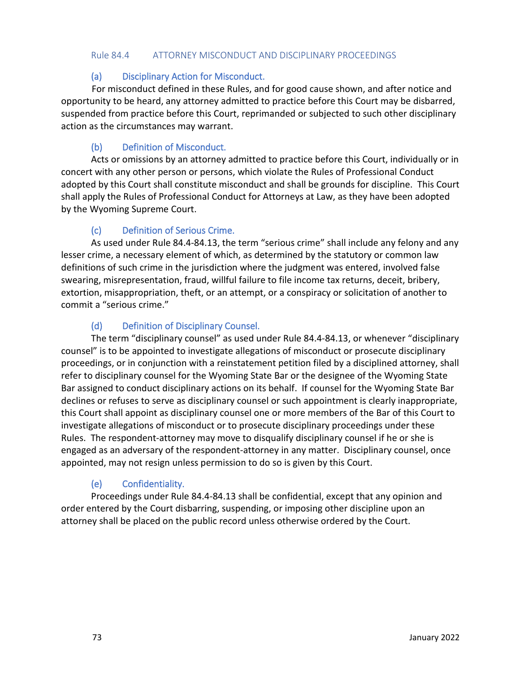#### Rule 84.4 ATTORNEY MISCONDUCT AND DISCIPLINARY PROCEEDINGS

#### (a) Disciplinary Action for Misconduct.

For misconduct defined in these Rules, and for good cause shown, and after notice and opportunity to be heard, any attorney admitted to practice before this Court may be disbarred, suspended from practice before this Court, reprimanded or subjected to such other disciplinary action as the circumstances may warrant.

## (b) Definition of Misconduct.

Acts or omissions by an attorney admitted to practice before this Court, individually or in concert with any other person or persons, which violate the Rules of Professional Conduct adopted by this Court shall constitute misconduct and shall be grounds for discipline. This Court shall apply the Rules of Professional Conduct for Attorneys at Law, as they have been adopted by the Wyoming Supreme Court.

## (c) Definition of Serious Crime.

As used under Rule 84.4-84.13, the term "serious crime" shall include any felony and any lesser crime, a necessary element of which, as determined by the statutory or common law definitions of such crime in the jurisdiction where the judgment was entered, involved false swearing, misrepresentation, fraud, willful failure to file income tax returns, deceit, bribery, extortion, misappropriation, theft, or an attempt, or a conspiracy or solicitation of another to commit a "serious crime."

## (d) Definition of Disciplinary Counsel.

The term "disciplinary counsel" as used under Rule 84.4-84.13, or whenever "disciplinary counsel" is to be appointed to investigate allegations of misconduct or prosecute disciplinary proceedings, or in conjunction with a reinstatement petition filed by a disciplined attorney, shall refer to disciplinary counsel for the Wyoming State Bar or the designee of the Wyoming State Bar assigned to conduct disciplinary actions on its behalf. If counsel for the Wyoming State Bar declines or refuses to serve as disciplinary counsel or such appointment is clearly inappropriate, this Court shall appoint as disciplinary counsel one or more members of the Bar of this Court to investigate allegations of misconduct or to prosecute disciplinary proceedings under these Rules. The respondent-attorney may move to disqualify disciplinary counsel if he or she is engaged as an adversary of the respondent-attorney in any matter. Disciplinary counsel, once appointed, may not resign unless permission to do so is given by this Court.

## (e) Confidentiality.

Proceedings under Rule 84.4-84.13 shall be confidential, except that any opinion and order entered by the Court disbarring, suspending, or imposing other discipline upon an attorney shall be placed on the public record unless otherwise ordered by the Court.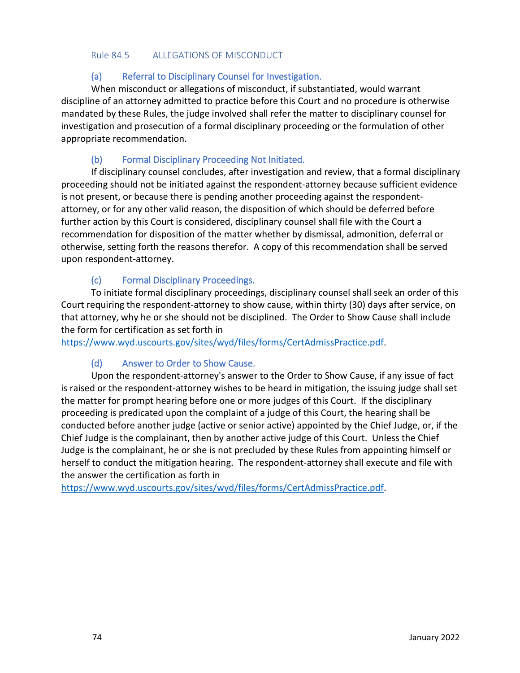#### Rule 84.5 ALLEGATIONS OF MISCONDUCT

### (a) Referral to Disciplinary Counsel for Investigation.

When misconduct or allegations of misconduct, if substantiated, would warrant discipline of an attorney admitted to practice before this Court and no procedure is otherwise mandated by these Rules, the judge involved shall refer the matter to disciplinary counsel for investigation and prosecution of a formal disciplinary proceeding or the formulation of other appropriate recommendation.

### (b) Formal Disciplinary Proceeding Not Initiated.

If disciplinary counsel concludes, after investigation and review, that a formal disciplinary proceeding should not be initiated against the respondent-attorney because sufficient evidence is not present, or because there is pending another proceeding against the respondentattorney, or for any other valid reason, the disposition of which should be deferred before further action by this Court is considered, disciplinary counsel shall file with the Court a recommendation for disposition of the matter whether by dismissal, admonition, deferral or otherwise, setting forth the reasons therefor. A copy of this recommendation shall be served upon respondent-attorney.

#### (c) Formal Disciplinary Proceedings.

To initiate formal disciplinary proceedings, disciplinary counsel shall seek an order of this Court requiring the respondent-attorney to show cause, within thirty (30) days after service, on that attorney, why he or she should not be disciplined. The Order to Show Cause shall include the form for certification as set forth in

[https://www.wyd.uscourts.gov/sites/wyd/files/forms/CertAdmissPractice.pdf.](https://www.wyd.uscourts.gov/sites/wyd/files/forms/CertAdmissPractice.pdf)

### (d) Answer to Order to Show Cause.

Upon the respondent-attorney's answer to the Order to Show Cause, if any issue of fact is raised or the respondent-attorney wishes to be heard in mitigation, the issuing judge shall set the matter for prompt hearing before one or more judges of this Court. If the disciplinary proceeding is predicated upon the complaint of a judge of this Court, the hearing shall be conducted before another judge (active or senior active) appointed by the Chief Judge, or, if the Chief Judge is the complainant, then by another active judge of this Court. Unless the Chief Judge is the complainant, he or she is not precluded by these Rules from appointing himself or herself to conduct the mitigation hearing. The respondent-attorney shall execute and file with the answer the certification as forth in

[https://www.wyd.uscourts.gov/sites/wyd/files/forms/CertAdmissPractice.pdf.](https://www.wyd.uscourts.gov/sites/wyd/files/forms/CertAdmissPractice.pdf)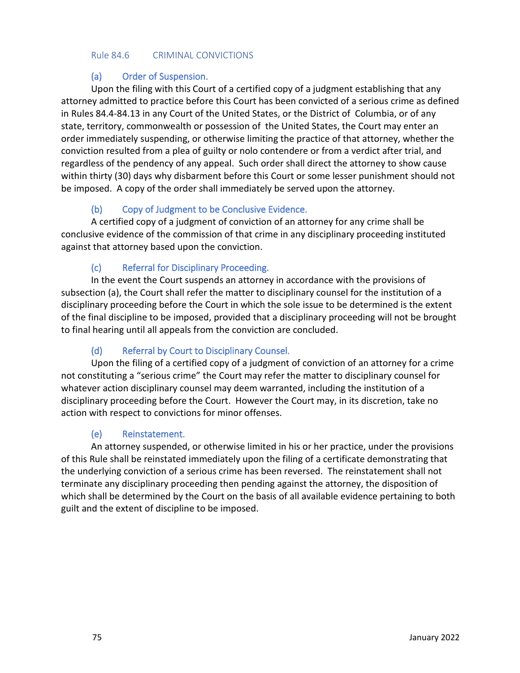#### Rule 84.6 CRIMINAL CONVICTIONS

#### (a) Order of Suspension.

Upon the filing with this Court of a certified copy of a judgment establishing that any attorney admitted to practice before this Court has been convicted of a serious crime as defined in Rules 84.4-84.13 in any Court of the United States, or the District of Columbia, or of any state, territory, commonwealth or possession of the United States, the Court may enter an order immediately suspending, or otherwise limiting the practice of that attorney, whether the conviction resulted from a plea of guilty or nolo contendere or from a verdict after trial, and regardless of the pendency of any appeal. Such order shall direct the attorney to show cause within thirty (30) days why disbarment before this Court or some lesser punishment should not be imposed. A copy of the order shall immediately be served upon the attorney.

## (b) Copy of Judgment to be Conclusive Evidence.

A certified copy of a judgment of conviction of an attorney for any crime shall be conclusive evidence of the commission of that crime in any disciplinary proceeding instituted against that attorney based upon the conviction.

### (c) Referral for Disciplinary Proceeding.

In the event the Court suspends an attorney in accordance with the provisions of subsection (a), the Court shall refer the matter to disciplinary counsel for the institution of a disciplinary proceeding before the Court in which the sole issue to be determined is the extent of the final discipline to be imposed, provided that a disciplinary proceeding will not be brought to final hearing until all appeals from the conviction are concluded.

## (d) Referral by Court to Disciplinary Counsel.

Upon the filing of a certified copy of a judgment of conviction of an attorney for a crime not constituting a "serious crime" the Court may refer the matter to disciplinary counsel for whatever action disciplinary counsel may deem warranted, including the institution of a disciplinary proceeding before the Court. However the Court may, in its discretion, take no action with respect to convictions for minor offenses.

### (e) Reinstatement.

An attorney suspended, or otherwise limited in his or her practice, under the provisions of this Rule shall be reinstated immediately upon the filing of a certificate demonstrating that the underlying conviction of a serious crime has been reversed. The reinstatement shall not terminate any disciplinary proceeding then pending against the attorney, the disposition of which shall be determined by the Court on the basis of all available evidence pertaining to both guilt and the extent of discipline to be imposed.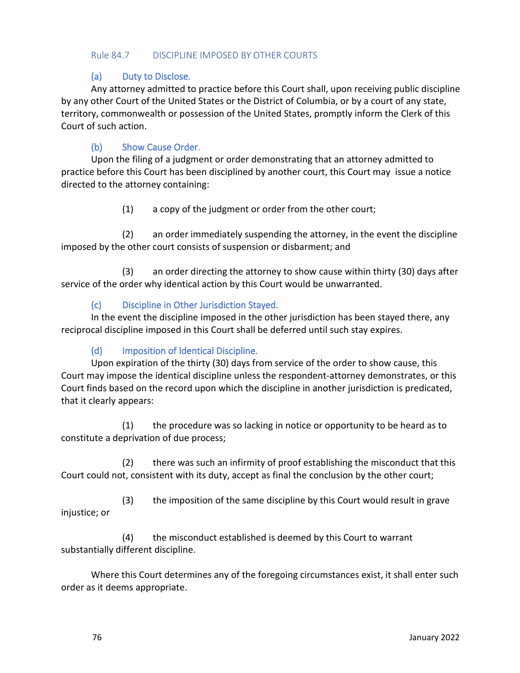#### Rule 84.7 DISCIPLINE IMPOSED BY OTHER COURTS

#### (a) Duty to Disclose.

Any attorney admitted to practice before this Court shall, upon receiving public discipline by any other Court of the United States or the District of Columbia, or by a court of any state, territory, commonwealth or possession of the United States, promptly inform the Clerk of this Court of such action.

### (b) Show Cause Order.

Upon the filing of a judgment or order demonstrating that an attorney admitted to practice before this Court has been disciplined by another court, this Court may issue a notice directed to the attorney containing:

(1) a copy of the judgment or order from the other court;

(2) an order immediately suspending the attorney, in the event the discipline imposed by the other court consists of suspension or disbarment; and

(3) an order directing the attorney to show cause within thirty (30) days after service of the order why identical action by this Court would be unwarranted.

#### (c) Discipline in Other Jurisdiction Stayed.

In the event the discipline imposed in the other jurisdiction has been stayed there, any reciprocal discipline imposed in this Court shall be deferred until such stay expires.

### (d) Imposition of Identical Discipline.

Upon expiration of the thirty (30) days from service of the order to show cause, this Court may impose the identical discipline unless the respondent-attorney demonstrates, or this Court finds based on the record upon which the discipline in another jurisdiction is predicated, that it clearly appears:

(1) the procedure was so lacking in notice or opportunity to be heard as to constitute a deprivation of due process;

(2) there was such an infirmity of proof establishing the misconduct that this Court could not, consistent with its duty, accept as final the conclusion by the other court;

(3) the imposition of the same discipline by this Court would result in grave injustice; or

(4) the misconduct established is deemed by this Court to warrant substantially different discipline.

Where this Court determines any of the foregoing circumstances exist, it shall enter such order as it deems appropriate.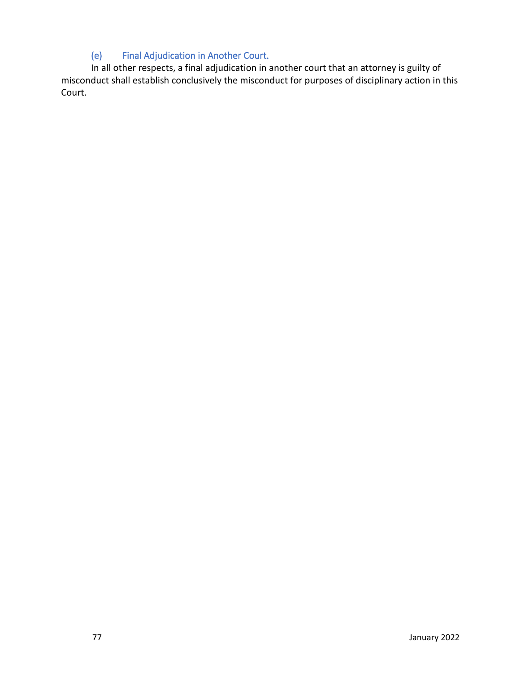## (e) Final Adjudication in Another Court.

In all other respects, a final adjudication in another court that an attorney is guilty of misconduct shall establish conclusively the misconduct for purposes of disciplinary action in this Court.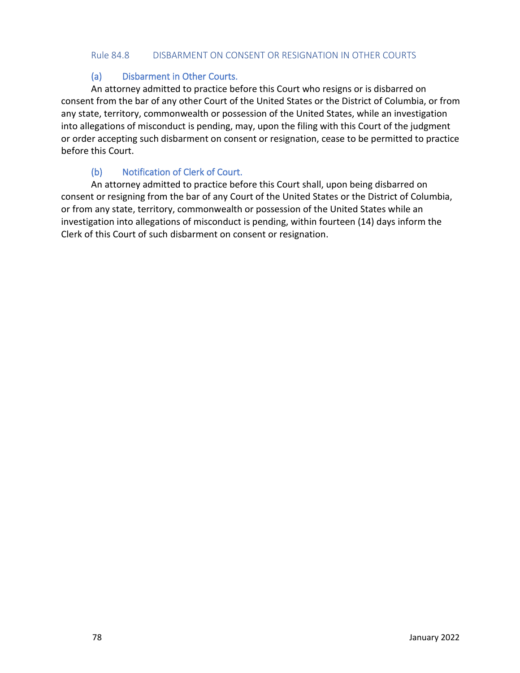#### Rule 84.8 DISBARMENT ON CONSENT OR RESIGNATION IN OTHER COURTS

#### (a) Disbarment in Other Courts.

An attorney admitted to practice before this Court who resigns or is disbarred on consent from the bar of any other Court of the United States or the District of Columbia, or from any state, territory, commonwealth or possession of the United States, while an investigation into allegations of misconduct is pending, may, upon the filing with this Court of the judgment or order accepting such disbarment on consent or resignation, cease to be permitted to practice before this Court.

## (b) Notification of Clerk of Court.

An attorney admitted to practice before this Court shall, upon being disbarred on consent or resigning from the bar of any Court of the United States or the District of Columbia, or from any state, territory, commonwealth or possession of the United States while an investigation into allegations of misconduct is pending, within fourteen (14) days inform the Clerk of this Court of such disbarment on consent or resignation.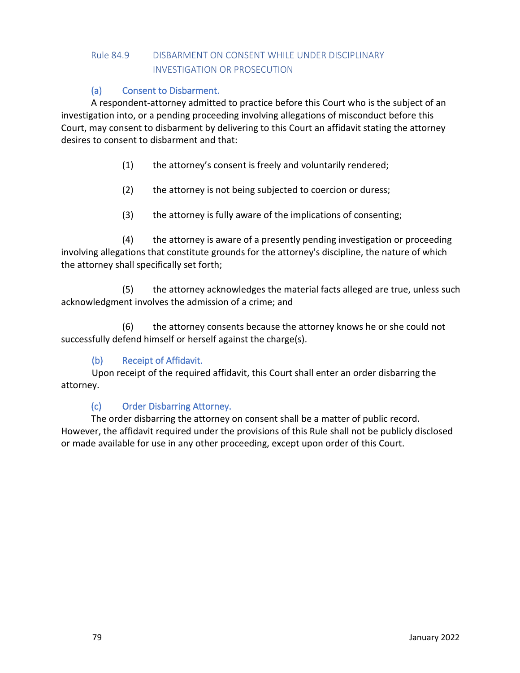## Rule 84.9 DISBARMENT ON CONSENT WHILE UNDER DISCIPLINARY INVESTIGATION OR PROSECUTION

## (a) Consent to Disbarment.

A respondent-attorney admitted to practice before this Court who is the subject of an investigation into, or a pending proceeding involving allegations of misconduct before this Court, may consent to disbarment by delivering to this Court an affidavit stating the attorney desires to consent to disbarment and that:

- (1) the attorney's consent is freely and voluntarily rendered;
- (2) the attorney is not being subjected to coercion or duress;
- (3) the attorney is fully aware of the implications of consenting;

(4) the attorney is aware of a presently pending investigation or proceeding involving allegations that constitute grounds for the attorney's discipline, the nature of which the attorney shall specifically set forth;

(5) the attorney acknowledges the material facts alleged are true, unless such acknowledgment involves the admission of a crime; and

(6) the attorney consents because the attorney knows he or she could not successfully defend himself or herself against the charge(s).

### (b) Receipt of Affidavit.

Upon receipt of the required affidavit, this Court shall enter an order disbarring the attorney.

## (c) Order Disbarring Attorney.

The order disbarring the attorney on consent shall be a matter of public record. However, the affidavit required under the provisions of this Rule shall not be publicly disclosed or made available for use in any other proceeding, except upon order of this Court.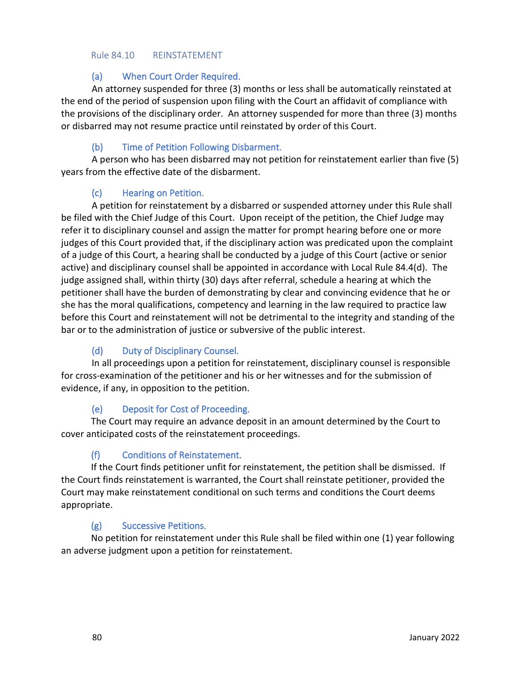#### Rule 84.10 REINSTATEMENT

### (a) When Court Order Required.

An attorney suspended for three (3) months or less shall be automatically reinstated at the end of the period of suspension upon filing with the Court an affidavit of compliance with the provisions of the disciplinary order. An attorney suspended for more than three (3) months or disbarred may not resume practice until reinstated by order of this Court.

## (b) Time of Petition Following Disbarment.

A person who has been disbarred may not petition for reinstatement earlier than five (5) years from the effective date of the disbarment.

### (c) Hearing on Petition.

A petition for reinstatement by a disbarred or suspended attorney under this Rule shall be filed with the Chief Judge of this Court. Upon receipt of the petition, the Chief Judge may refer it to disciplinary counsel and assign the matter for prompt hearing before one or more judges of this Court provided that, if the disciplinary action was predicated upon the complaint of a judge of this Court, a hearing shall be conducted by a judge of this Court (active or senior active) and disciplinary counsel shall be appointed in accordance with Local Rule 84.4(d). The judge assigned shall, within thirty (30) days after referral, schedule a hearing at which the petitioner shall have the burden of demonstrating by clear and convincing evidence that he or she has the moral qualifications, competency and learning in the law required to practice law before this Court and reinstatement will not be detrimental to the integrity and standing of the bar or to the administration of justice or subversive of the public interest.

## (d) Duty of Disciplinary Counsel.

In all proceedings upon a petition for reinstatement, disciplinary counsel is responsible for cross-examination of the petitioner and his or her witnesses and for the submission of evidence, if any, in opposition to the petition.

### (e) Deposit for Cost of Proceeding.

The Court may require an advance deposit in an amount determined by the Court to cover anticipated costs of the reinstatement proceedings.

### (f) Conditions of Reinstatement.

If the Court finds petitioner unfit for reinstatement, the petition shall be dismissed. If the Court finds reinstatement is warranted, the Court shall reinstate petitioner, provided the Court may make reinstatement conditional on such terms and conditions the Court deems appropriate.

### (g) Successive Petitions.

No petition for reinstatement under this Rule shall be filed within one (1) year following an adverse judgment upon a petition for reinstatement.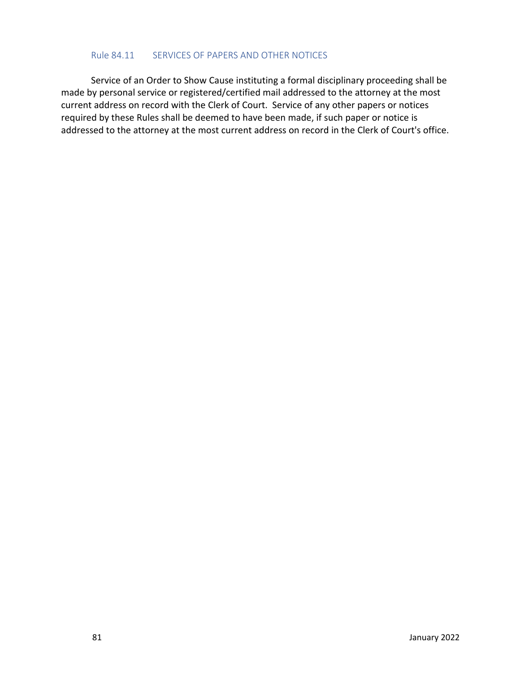#### Rule 84.11 SERVICES OF PAPERS AND OTHER NOTICES

Service of an Order to Show Cause instituting a formal disciplinary proceeding shall be made by personal service or registered/certified mail addressed to the attorney at the most current address on record with the Clerk of Court. Service of any other papers or notices required by these Rules shall be deemed to have been made, if such paper or notice is addressed to the attorney at the most current address on record in the Clerk of Court's office.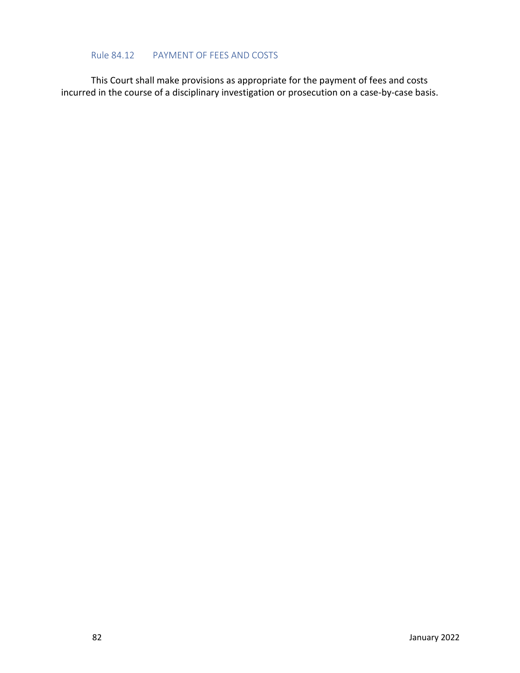#### Rule 84.12 PAYMENT OF FEES AND COSTS

This Court shall make provisions as appropriate for the payment of fees and costs incurred in the course of a disciplinary investigation or prosecution on a case-by-case basis.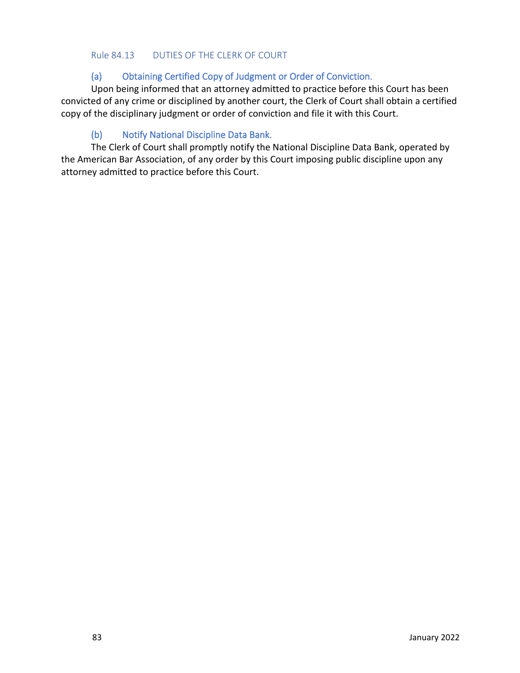#### Rule 84.13 DUTIES OF THE CLERK OF COURT

#### (a) Obtaining Certified Copy of Judgment or Order of Conviction.

Upon being informed that an attorney admitted to practice before this Court has been convicted of any crime or disciplined by another court, the Clerk of Court shall obtain a certified copy of the disciplinary judgment or order of conviction and file it with this Court.

#### (b) Notify National Discipline Data Bank.

The Clerk of Court shall promptly notify the National Discipline Data Bank, operated by the American Bar Association, of any order by this Court imposing public discipline upon any attorney admitted to practice before this Court.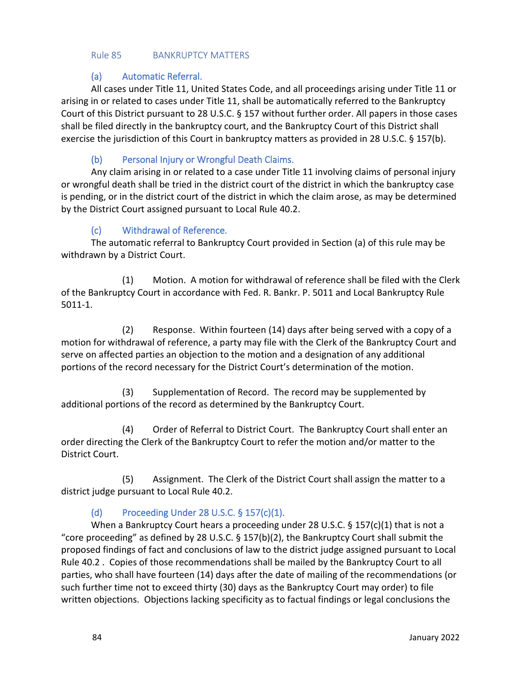#### Rule 85 BANKRUPTCY MATTERS

#### (a) Automatic Referral.

All cases under Title 11, United States Code, and all proceedings arising under Title 11 or arising in or related to cases under Title 11, shall be automatically referred to the Bankruptcy Court of this District pursuant to 28 U.S.C. § 157 without further order. All papers in those cases shall be filed directly in the bankruptcy court, and the Bankruptcy Court of this District shall exercise the jurisdiction of this Court in bankruptcy matters as provided in 28 U.S.C. § 157(b).

## (b) Personal Injury or Wrongful Death Claims.

Any claim arising in or related to a case under Title 11 involving claims of personal injury or wrongful death shall be tried in the district court of the district in which the bankruptcy case is pending, or in the district court of the district in which the claim arose, as may be determined by the District Court assigned pursuant to Local Rule 40.2.

### (c) Withdrawal of Reference.

The automatic referral to Bankruptcy Court provided in Section (a) of this rule may be withdrawn by a District Court.

(1) Motion. A motion for withdrawal of reference shall be filed with the Clerk of the Bankruptcy Court in accordance with Fed. R. Bankr. P. 5011 and Local Bankruptcy Rule 5011-1.

(2) Response. Within fourteen (14) days after being served with a copy of a motion for withdrawal of reference, a party may file with the Clerk of the Bankruptcy Court and serve on affected parties an objection to the motion and a designation of any additional portions of the record necessary for the District Court's determination of the motion.

(3) Supplementation of Record. The record may be supplemented by additional portions of the record as determined by the Bankruptcy Court.

(4) Order of Referral to District Court. The Bankruptcy Court shall enter an order directing the Clerk of the Bankruptcy Court to refer the motion and/or matter to the District Court.

(5) Assignment. The Clerk of the District Court shall assign the matter to a district judge pursuant to Local Rule 40.2.

## (d) Proceeding Under 28 U.S.C. § 157(c)(1).

When a Bankruptcy Court hears a proceeding under 28 U.S.C. § 157(c)(1) that is not a "core proceeding" as defined by 28 U.S.C.  $\S$  157(b)(2), the Bankruptcy Court shall submit the proposed findings of fact and conclusions of law to the district judge assigned pursuant to Local Rule 40.2 . Copies of those recommendations shall be mailed by the Bankruptcy Court to all parties, who shall have fourteen (14) days after the date of mailing of the recommendations (or such further time not to exceed thirty (30) days as the Bankruptcy Court may order) to file written objections. Objections lacking specificity as to factual findings or legal conclusions the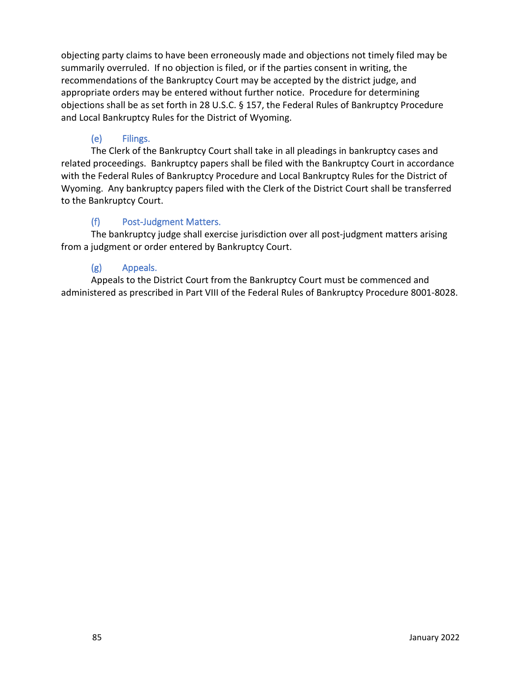objecting party claims to have been erroneously made and objections not timely filed may be summarily overruled. If no objection is filed, or if the parties consent in writing, the recommendations of the Bankruptcy Court may be accepted by the district judge, and appropriate orders may be entered without further notice. Procedure for determining objections shall be as set forth in 28 U.S.C. § 157, the Federal Rules of Bankruptcy Procedure and Local Bankruptcy Rules for the District of Wyoming.

## (e) Filings.

The Clerk of the Bankruptcy Court shall take in all pleadings in bankruptcy cases and related proceedings. Bankruptcy papers shall be filed with the Bankruptcy Court in accordance with the Federal Rules of Bankruptcy Procedure and Local Bankruptcy Rules for the District of Wyoming. Any bankruptcy papers filed with the Clerk of the District Court shall be transferred to the Bankruptcy Court.

### (f) Post-Judgment Matters.

The bankruptcy judge shall exercise jurisdiction over all post-judgment matters arising from a judgment or order entered by Bankruptcy Court.

## (g) Appeals.

Appeals to the District Court from the Bankruptcy Court must be commenced and administered as prescribed in Part VIII of the Federal Rules of Bankruptcy Procedure 8001-8028.